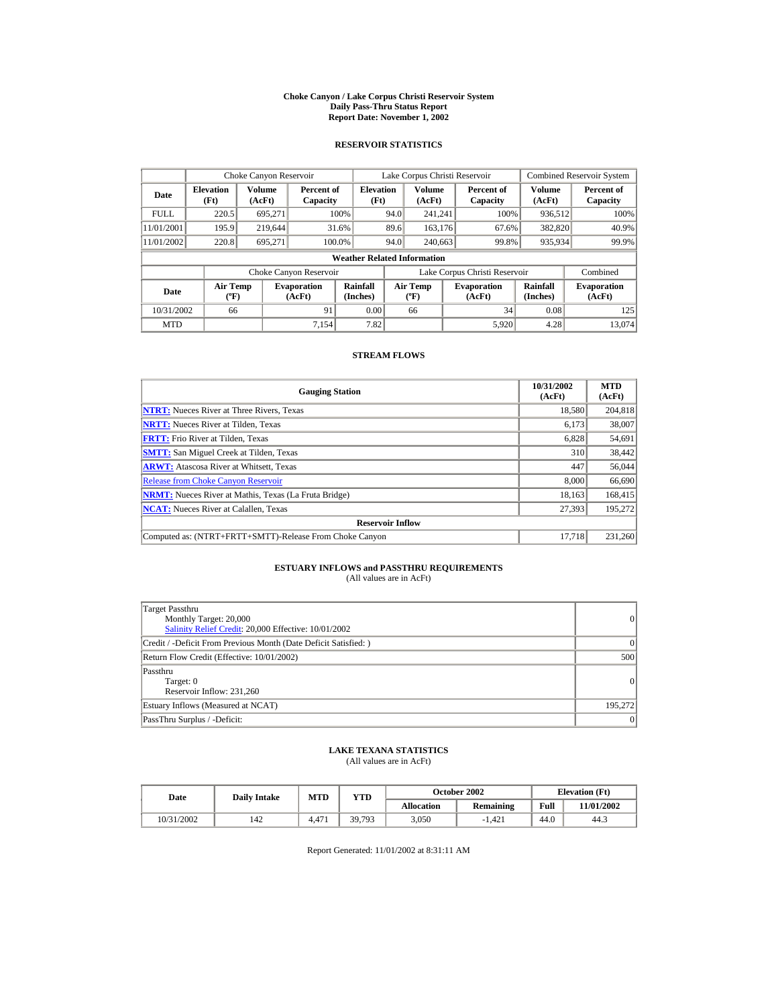#### **Choke Canyon / Lake Corpus Christi Reservoir System Daily Pass-Thru Status Report Report Date: November 1, 2002**

### **RESERVOIR STATISTICS**

|             | Choke Canyon Reservoir                      |                  |                              |                          | Lake Corpus Christi Reservoir |                                  |  |                               |                      | <b>Combined Reservoir System</b> |  |
|-------------|---------------------------------------------|------------------|------------------------------|--------------------------|-------------------------------|----------------------------------|--|-------------------------------|----------------------|----------------------------------|--|
| Date        | <b>Elevation</b><br>(Ft)                    | Volume<br>(AcFt) | Percent of<br>Capacity       | <b>Elevation</b><br>(Ft) |                               | <b>Volume</b><br>(AcFt)          |  | Percent of<br>Capacity        | Volume<br>(AcFt)     | Percent of<br>Capacity           |  |
| <b>FULL</b> | 220.5                                       | 695,271          |                              | 100%                     | 94.0                          | 241.241                          |  | 100%                          | 936,512              | 100%                             |  |
| 11/01/2001  | 195.9                                       | 219,644          |                              | 31.6%                    | 89.6                          | 163.176                          |  | 67.6%                         | 382,820              | 40.9%                            |  |
| 11/01/2002  | 220.8                                       | 695.271          |                              | 100.0%                   | 94.0                          | 240,663                          |  | 99.8%                         | 935,934              | 99.9%                            |  |
|             | <b>Weather Related Information</b>          |                  |                              |                          |                               |                                  |  |                               |                      |                                  |  |
|             |                                             |                  | Choke Canyon Reservoir       |                          |                               |                                  |  | Lake Corpus Christi Reservoir |                      | Combined                         |  |
| Date        | <b>Air Temp</b><br>$({}^{\circ}\mathrm{F})$ |                  | <b>Evaporation</b><br>(AcFt) | Rainfall<br>(Inches)     |                               | <b>Air Temp</b><br>$(^{\circ}F)$ |  | <b>Evaporation</b><br>(AcFt)  | Rainfall<br>(Inches) | <b>Evaporation</b><br>(AcFt)     |  |
| 10/31/2002  | 66                                          |                  | 91                           | 0.00                     |                               | 66                               |  | 34                            | 0.08                 | 125                              |  |
| <b>MTD</b>  |                                             |                  | 7,154                        | 7.82                     |                               |                                  |  | 5,920                         | 4.28                 | 13.074                           |  |

#### **STREAM FLOWS**

| <b>Gauging Station</b>                                       | 10/31/2002<br>(AcFt) | <b>MTD</b><br>(AcFt) |
|--------------------------------------------------------------|----------------------|----------------------|
| <b>NTRT:</b> Nueces River at Three Rivers, Texas             | 18,580               | 204,818              |
| <b>NRTT:</b> Nueces River at Tilden, Texas                   | 6.173                | 38,007               |
| <b>FRTT:</b> Frio River at Tilden, Texas                     | 6,828                | 54,691               |
| <b>SMTT:</b> San Miguel Creek at Tilden, Texas               | 310                  | 38,442               |
| <b>ARWT:</b> Atascosa River at Whitsett, Texas               | 447                  | 56,044               |
| <b>Release from Choke Canyon Reservoir</b>                   | 8,000                | 66,690               |
| <b>NRMT:</b> Nueces River at Mathis, Texas (La Fruta Bridge) | 18.163               | 168,415              |
| <b>NCAT:</b> Nueces River at Calallen, Texas                 | 27,393               | 195,272              |
| <b>Reservoir Inflow</b>                                      |                      |                      |
| Computed as: (NTRT+FRTT+SMTT)-Release From Choke Canyon      | 17.718               | 231,260              |

## **ESTUARY INFLOWS and PASSTHRU REQUIREMENTS**<br>(All values are in AcFt)

| Target Passthru<br>Monthly Target: 20,000<br>Salinity Relief Credit: 20,000 Effective: 10/01/2002 | 0        |
|---------------------------------------------------------------------------------------------------|----------|
| Credit / -Deficit From Previous Month (Date Deficit Satisfied:)                                   | $\Omega$ |
| Return Flow Credit (Effective: 10/01/2002)                                                        | 500      |
| Passthru<br>Target: 0<br>Reservoir Inflow: 231.260                                                | 0        |
| Estuary Inflows (Measured at NCAT)                                                                | 195,272  |
| PassThru Surplus / -Deficit:                                                                      | 0        |

### **LAKE TEXANA STATISTICS**

(All values are in AcFt)

| Date       | <b>Daily Intake</b> | MTD            | $_{\rm VTD}$ |            | <b>October 2002</b> | <b>Elevation</b> (Ft) |            |
|------------|---------------------|----------------|--------------|------------|---------------------|-----------------------|------------|
|            |                     |                |              | Allocation | Remaining           | Full                  | 11/01/2002 |
| 10/31/2002 | 42ء                 | $4.47^{\circ}$ | 39,793       | 3.050      | $-1.421$            | 44.0                  | 44.3       |

Report Generated: 11/01/2002 at 8:31:11 AM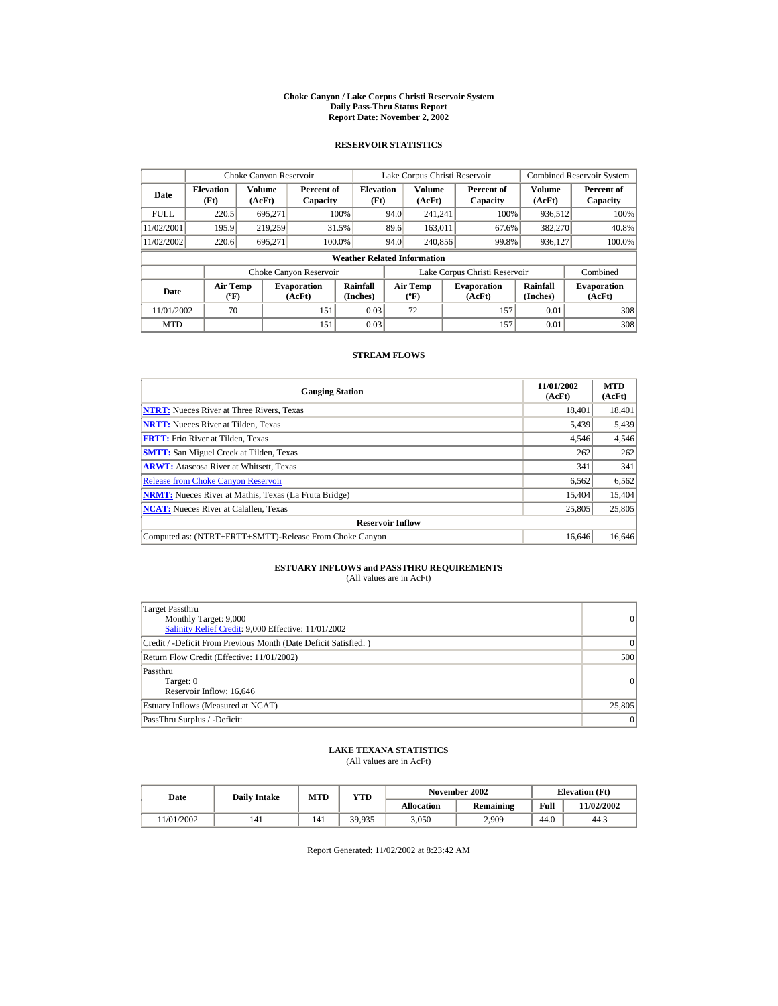#### **Choke Canyon / Lake Corpus Christi Reservoir System Daily Pass-Thru Status Report Report Date: November 2, 2002**

### **RESERVOIR STATISTICS**

|             | Choke Canyon Reservoir                      |                  |                              |                          | Lake Corpus Christi Reservoir |                                           |  |                               |                      | <b>Combined Reservoir System</b> |  |  |
|-------------|---------------------------------------------|------------------|------------------------------|--------------------------|-------------------------------|-------------------------------------------|--|-------------------------------|----------------------|----------------------------------|--|--|
| Date        | <b>Elevation</b><br>(Ft)                    | Volume<br>(AcFt) | Percent of<br>Capacity       | <b>Elevation</b><br>(Ft) |                               | Volume<br>(AcFt)                          |  | Percent of<br>Capacity        | Volume<br>(AcFt)     | Percent of<br>Capacity           |  |  |
| <b>FULL</b> | 220.5                                       | 695.271          |                              | 100%                     | 94.0                          | 241.241                                   |  | 100%                          | 936,512              | 100%                             |  |  |
| 11/02/2001  | 195.9                                       | 219.259          |                              | 31.5%                    | 89.6                          | 163.011                                   |  | 67.6%                         | 382,270              | 40.8%                            |  |  |
| 11/02/2002  | 220.6                                       | 695.271          |                              | 100.0%                   | 94.0                          | 240,856                                   |  | 99.8%                         | 936,127              | 100.0%                           |  |  |
|             | <b>Weather Related Information</b>          |                  |                              |                          |                               |                                           |  |                               |                      |                                  |  |  |
|             |                                             |                  | Choke Canyon Reservoir       |                          |                               |                                           |  | Lake Corpus Christi Reservoir |                      | Combined                         |  |  |
| Date        | <b>Air Temp</b><br>$({}^{\circ}\mathrm{F})$ |                  | <b>Evaporation</b><br>(AcFt) | Rainfall<br>(Inches)     |                               | <b>Air Temp</b><br>$({}^{\circ}\text{F})$ |  | <b>Evaporation</b><br>(AcFt)  | Rainfall<br>(Inches) | <b>Evaporation</b><br>(AcFt)     |  |  |
| 11/01/2002  | 70                                          |                  | 151                          | 0.03                     |                               | 72                                        |  | 157                           | 0.01                 | 308                              |  |  |
| <b>MTD</b>  |                                             |                  | 151                          | 0.03                     |                               |                                           |  | 157                           | 0.01                 | 308                              |  |  |

#### **STREAM FLOWS**

| <b>Gauging Station</b>                                       | 11/01/2002<br>(AcFt) | <b>MTD</b><br>(AcFt) |
|--------------------------------------------------------------|----------------------|----------------------|
| <b>NTRT:</b> Nueces River at Three Rivers, Texas             | 18.401               | 18,401               |
| <b>NRTT:</b> Nueces River at Tilden, Texas                   | 5,439                | 5,439                |
| <b>FRTT:</b> Frio River at Tilden, Texas                     | 4,546                | 4,546                |
| <b>SMTT:</b> San Miguel Creek at Tilden, Texas               | 262                  | 262                  |
| <b>ARWT:</b> Atascosa River at Whitsett, Texas               | 341                  | 341                  |
| <b>Release from Choke Canyon Reservoir</b>                   | 6,562                | 6,562                |
| <b>NRMT:</b> Nueces River at Mathis, Texas (La Fruta Bridge) | 15,404               | 15,404               |
| <b>NCAT:</b> Nueces River at Calallen, Texas                 | 25,805               | 25,805               |
| <b>Reservoir Inflow</b>                                      |                      |                      |
| Computed as: (NTRT+FRTT+SMTT)-Release From Choke Canyon      | 16.646               | 16,646               |

## **ESTUARY INFLOWS and PASSTHRU REQUIREMENTS**<br>(All values are in AcFt)

| Target Passthru<br>Monthly Target: 9,000<br>Salinity Relief Credit: 9,000 Effective: 11/01/2002 | 0               |
|-------------------------------------------------------------------------------------------------|-----------------|
| Credit / -Deficit From Previous Month (Date Deficit Satisfied:)                                 | $\vert$ 0       |
| Return Flow Credit (Effective: 11/01/2002)                                                      | 500             |
| Passthru<br>Target: 0<br>Reservoir Inflow: 16.646                                               | 0               |
| Estuary Inflows (Measured at NCAT)                                                              | 25,805          |
| PassThru Surplus / -Deficit:                                                                    | $\vert 0 \vert$ |

### **LAKE TEXANA STATISTICS**

(All values are in AcFt)

| Date      | <b>Daily Intake</b> | MTD | $_{\rm VTD}$ |            | November 2002 | <b>Elevation</b> (Ft) |            |
|-----------|---------------------|-----|--------------|------------|---------------|-----------------------|------------|
|           |                     |     |              | Allocation | Remaining     | Full                  | 11/02/2002 |
| 1/01/2002 | 141                 | 141 | 39.935       | 3.050      | 2.909         | 44.0                  | 44.3       |

Report Generated: 11/02/2002 at 8:23:42 AM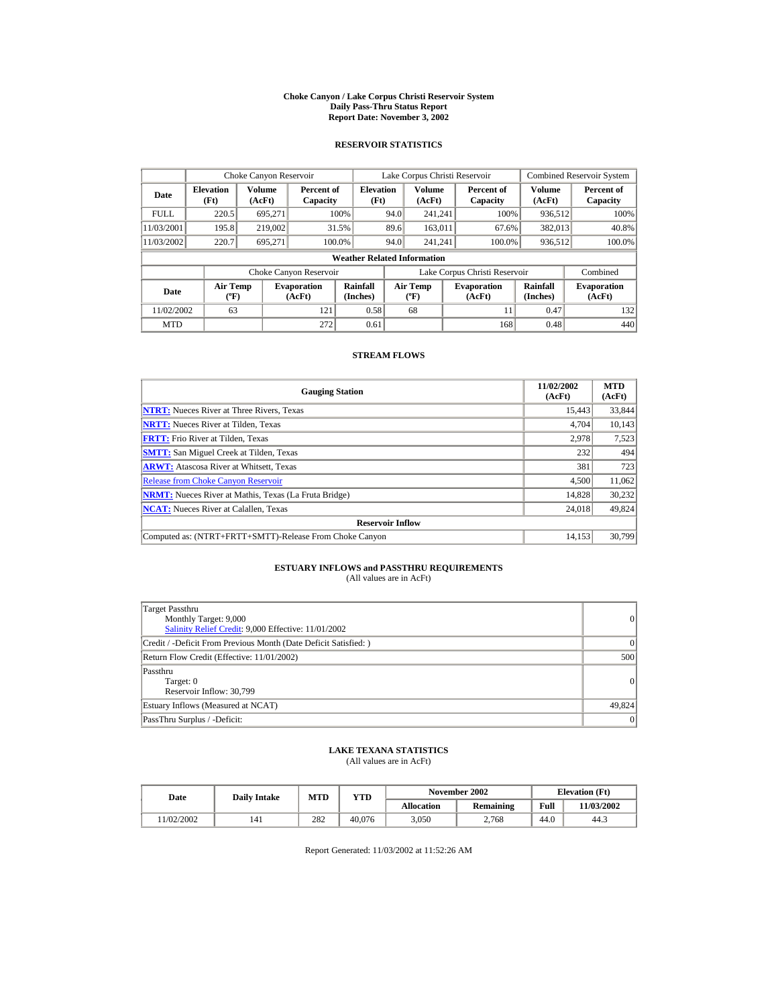#### **Choke Canyon / Lake Corpus Christi Reservoir System Daily Pass-Thru Status Report Report Date: November 3, 2002**

### **RESERVOIR STATISTICS**

|             | Choke Canyon Reservoir                      |                         |                              |                          | Lake Corpus Christi Reservoir            |                  |                              |                               |                              | <b>Combined Reservoir System</b> |  |  |
|-------------|---------------------------------------------|-------------------------|------------------------------|--------------------------|------------------------------------------|------------------|------------------------------|-------------------------------|------------------------------|----------------------------------|--|--|
| Date        | <b>Elevation</b><br>(Ft)                    | <b>Volume</b><br>(AcFt) | Percent of<br>Capacity       | <b>Elevation</b><br>(Ft) |                                          | Volume<br>(AcFt) |                              | Percent of<br>Capacity        | Volume<br>(AcFt)             | Percent of<br>Capacity           |  |  |
| <b>FULL</b> | 220.5                                       | 695.271                 | 100%                         |                          | 94.0                                     | 241.241          |                              | 100%                          | 936.512                      | 100%                             |  |  |
| 11/03/2001  | 195.8                                       | 219,002                 | 31.5%                        |                          | 89.6                                     | 163,011          |                              | 67.6%                         | 382,013                      | 40.8%                            |  |  |
| 11/03/2002  | 220.7                                       | 695.271                 | 100.0%                       |                          | 94.0                                     | 241.241          |                              | 100.0%                        | 936,512                      | 100.0%                           |  |  |
|             | <b>Weather Related Information</b>          |                         |                              |                          |                                          |                  |                              |                               |                              |                                  |  |  |
|             |                                             |                         | Choke Canyon Reservoir       |                          |                                          |                  |                              | Lake Corpus Christi Reservoir |                              | Combined                         |  |  |
| <b>Date</b> | <b>Air Temp</b><br>$({}^{\circ}\mathrm{F})$ |                         | <b>Evaporation</b><br>(AcFt) | Rainfall<br>(Inches)     | <b>Air Temp</b><br>$({}^{\circ}{\rm F})$ |                  | <b>Evaporation</b><br>(AcFt) | Rainfall<br>(Inches)          | <b>Evaporation</b><br>(AcFt) |                                  |  |  |
| 11/02/2002  | 63                                          |                         | 121                          | 0.58                     |                                          | 68               |                              | 11                            | 0.47                         | 132                              |  |  |
| <b>MTD</b>  |                                             |                         | 272                          | 0.61                     |                                          |                  |                              | 168                           | 0.48                         | 440                              |  |  |

#### **STREAM FLOWS**

| <b>Gauging Station</b>                                       | 11/02/2002<br>(AcFt) | <b>MTD</b><br>(AcFt) |
|--------------------------------------------------------------|----------------------|----------------------|
| <b>NTRT:</b> Nueces River at Three Rivers, Texas             | 15.443               | 33,844               |
| <b>NRTT:</b> Nueces River at Tilden, Texas                   | 4,704                | 10,143               |
| <b>FRTT:</b> Frio River at Tilden, Texas                     | 2,978                | 7,523                |
| <b>SMTT:</b> San Miguel Creek at Tilden, Texas               | 232                  | 494                  |
| <b>ARWT:</b> Atascosa River at Whitsett, Texas               | 381                  | 723                  |
| <b>Release from Choke Canyon Reservoir</b>                   | 4.500                | 11,062               |
| <b>NRMT:</b> Nueces River at Mathis, Texas (La Fruta Bridge) | 14.828               | 30,232               |
| <b>NCAT:</b> Nueces River at Calallen, Texas                 | 24,018               | 49,824               |
| <b>Reservoir Inflow</b>                                      |                      |                      |
| Computed as: (NTRT+FRTT+SMTT)-Release From Choke Canyon      | 14.153               | 30,799               |

## **ESTUARY INFLOWS and PASSTHRU REQUIREMENTS**<br>(All values are in AcFt)

| Target Passthru<br>Monthly Target: 9,000<br>Salinity Relief Credit: 9,000 Effective: 11/01/2002 | 0               |
|-------------------------------------------------------------------------------------------------|-----------------|
| Credit / -Deficit From Previous Month (Date Deficit Satisfied:)                                 | 0               |
| Return Flow Credit (Effective: 11/01/2002)                                                      | 500             |
| Passthru<br>Target: 0<br>Reservoir Inflow: 30.799                                               | 0               |
| Estuary Inflows (Measured at NCAT)                                                              | 49,824          |
| PassThru Surplus / -Deficit:                                                                    | $\vert 0 \vert$ |

### **LAKE TEXANA STATISTICS**

(All values are in AcFt)

| Date      | <b>Daily Intake</b> | <b>MTD</b> | YTD    |                   | November 2002 | <b>Elevation</b> (Ft) |            |
|-----------|---------------------|------------|--------|-------------------|---------------|-----------------------|------------|
|           |                     |            |        | <b>Allocation</b> | Remaining     | Full                  | 11/03/2002 |
| 1/02/2002 | 141                 | 282        | 40.076 | 3.050             | 2.768         | 44.0                  | 44.3       |

Report Generated: 11/03/2002 at 11:52:26 AM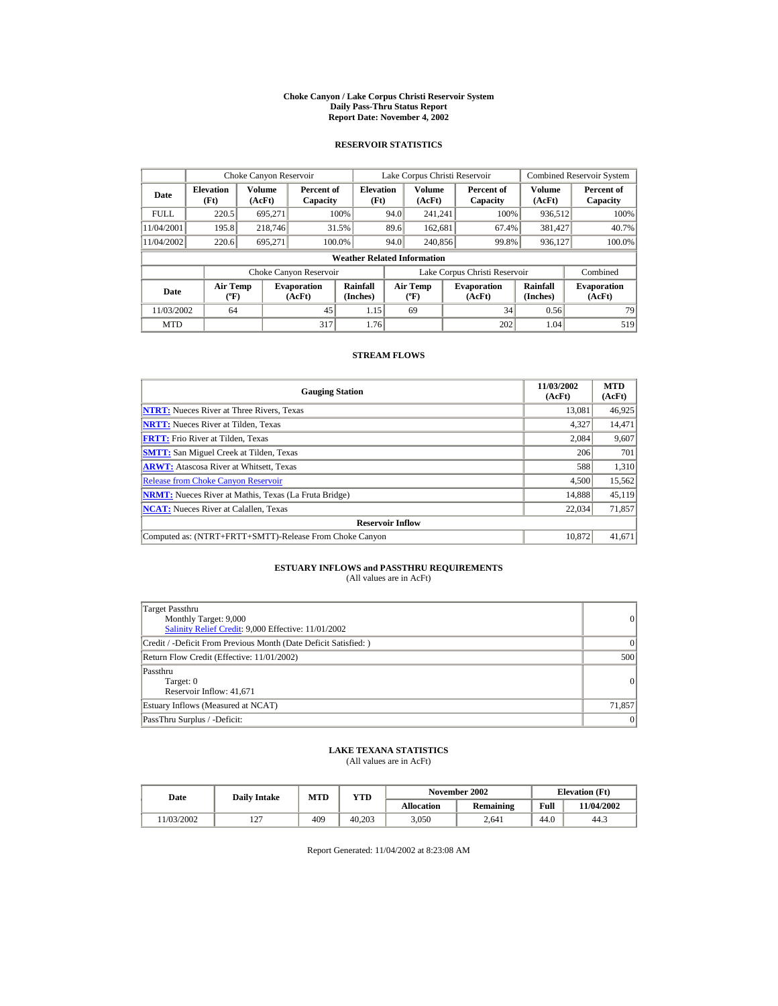#### **Choke Canyon / Lake Corpus Christi Reservoir System Daily Pass-Thru Status Report Report Date: November 4, 2002**

### **RESERVOIR STATISTICS**

|             | Choke Canyon Reservoir                      |                  |                              |                          | Lake Corpus Christi Reservoir |                                           |  |                               | <b>Combined Reservoir System</b> |                              |  |  |
|-------------|---------------------------------------------|------------------|------------------------------|--------------------------|-------------------------------|-------------------------------------------|--|-------------------------------|----------------------------------|------------------------------|--|--|
| Date        | <b>Elevation</b><br>(Ft)                    | Volume<br>(AcFt) | Percent of<br>Capacity       | <b>Elevation</b><br>(Ft) |                               | Volume<br>(AcFt)                          |  | Percent of<br>Capacity        | Volume<br>(AcFt)                 | Percent of<br>Capacity       |  |  |
| <b>FULL</b> | 220.5                                       | 695.271          |                              | 100%                     | 94.0                          | 241.241                                   |  | 100%                          | 936,512                          | 100%                         |  |  |
| 11/04/2001  | 195.8                                       | 218,746          |                              | 31.5%                    | 89.6                          | 162,681                                   |  | 67.4%                         | 381,427                          | 40.7%                        |  |  |
| 11/04/2002  | 220.6                                       | 695,271          |                              | 100.0%                   | 94.0                          | 240,856                                   |  | 99.8%                         | 936,127                          | 100.0%                       |  |  |
|             | <b>Weather Related Information</b>          |                  |                              |                          |                               |                                           |  |                               |                                  |                              |  |  |
|             |                                             |                  | Choke Canyon Reservoir       |                          |                               |                                           |  | Lake Corpus Christi Reservoir |                                  | Combined                     |  |  |
| <b>Date</b> | <b>Air Temp</b><br>$({}^{\circ}\mathrm{F})$ |                  | <b>Evaporation</b><br>(AcFt) | Rainfall<br>(Inches)     |                               | <b>Air Temp</b><br>$(^{\circ}\mathrm{F})$ |  | <b>Evaporation</b><br>(AcFt)  | Rainfall<br>(Inches)             | <b>Evaporation</b><br>(AcFt) |  |  |
| 11/03/2002  | 64                                          |                  | 45                           | 1.15                     |                               | 69                                        |  | 34                            | 0.56                             | 79                           |  |  |
| <b>MTD</b>  |                                             |                  | 317                          | 1.76                     |                               |                                           |  | 202                           | 1.04                             | 519                          |  |  |

#### **STREAM FLOWS**

| <b>Gauging Station</b>                                       | 11/03/2002<br>(AcFt) | <b>MTD</b><br>(AcFt) |
|--------------------------------------------------------------|----------------------|----------------------|
| <b>NTRT:</b> Nueces River at Three Rivers, Texas             | 13.081               | 46,925               |
| <b>NRTT:</b> Nueces River at Tilden, Texas                   | 4,327                | 14,471               |
| <b>FRTT:</b> Frio River at Tilden, Texas                     | 2,084                | 9,607                |
| <b>SMTT:</b> San Miguel Creek at Tilden, Texas               | 206                  | 701                  |
| <b>ARWT:</b> Atascosa River at Whitsett, Texas               | 588                  | 1,310                |
| <b>Release from Choke Canyon Reservoir</b>                   | 4.500                | 15,562               |
| <b>NRMT:</b> Nueces River at Mathis, Texas (La Fruta Bridge) | 14.888               | 45,119               |
| <b>NCAT:</b> Nueces River at Calallen, Texas                 | 22,034               | 71,857               |
| <b>Reservoir Inflow</b>                                      |                      |                      |
| Computed as: (NTRT+FRTT+SMTT)-Release From Choke Canyon      | 10.872               | 41,671               |

## **ESTUARY INFLOWS and PASSTHRU REQUIREMENTS**<br>(All values are in AcFt)

| Target Passthru<br>Monthly Target: 9,000<br>Salinity Relief Credit: 9,000 Effective: 11/01/2002 | $\overline{0}$ |
|-------------------------------------------------------------------------------------------------|----------------|
| Credit / -Deficit From Previous Month (Date Deficit Satisfied: )                                | $\Omega$       |
| Return Flow Credit (Effective: 11/01/2002)                                                      | 500            |
| Passthru<br>Target: 0<br>Reservoir Inflow: 41,671                                               | 0              |
| Estuary Inflows (Measured at NCAT)                                                              | 71,857         |
| PassThru Surplus / -Deficit:                                                                    | 0              |

## **LAKE TEXANA STATISTICS**

(All values are in AcFt)

| Date      | <b>Daily Intake</b>      | <b>MTD</b> | YTD    |                   | November 2002 |      | <b>Elevation</b> (Ft) |
|-----------|--------------------------|------------|--------|-------------------|---------------|------|-----------------------|
|           |                          |            |        | <b>Allocation</b> | Remaining     | Full | 11/04/2002            |
| 1/03/2002 | $\sim$<br>$\overline{ }$ | 409        | 40.203 | 3.050             | 2.641         | 44.0 | 44.3                  |

Report Generated: 11/04/2002 at 8:23:08 AM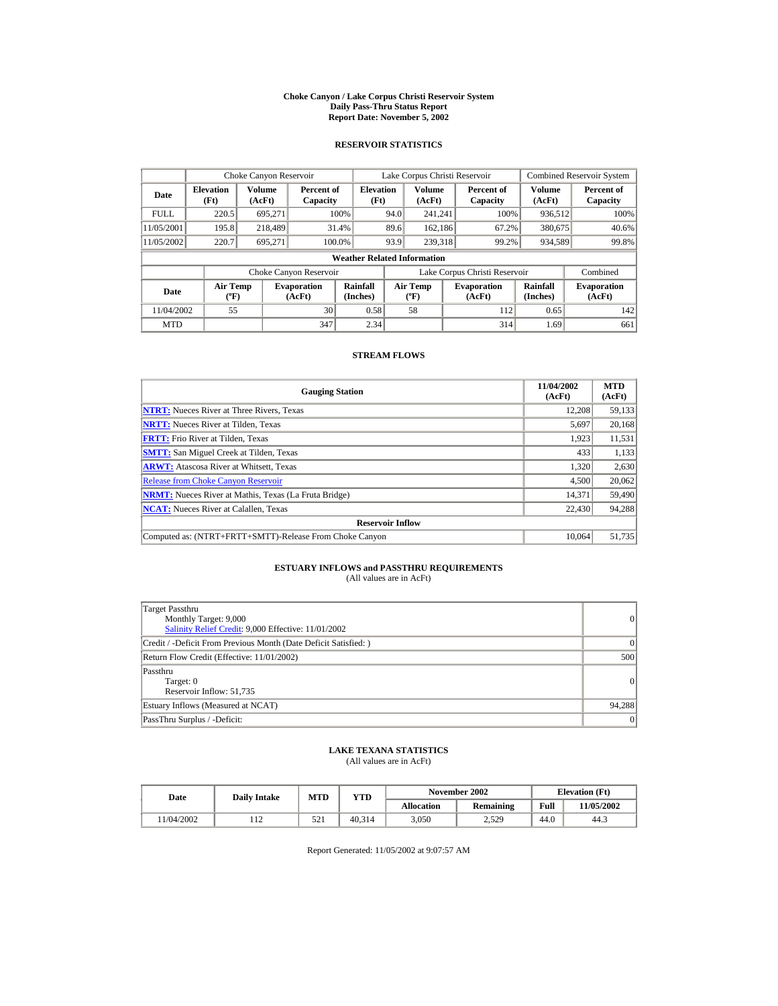#### **Choke Canyon / Lake Corpus Christi Reservoir System Daily Pass-Thru Status Report Report Date: November 5, 2002**

### **RESERVOIR STATISTICS**

|             | Choke Canyon Reservoir                      |                         |                              |                          | Lake Corpus Christi Reservoir |                                           |  |                               |                      | <b>Combined Reservoir System</b> |  |  |
|-------------|---------------------------------------------|-------------------------|------------------------------|--------------------------|-------------------------------|-------------------------------------------|--|-------------------------------|----------------------|----------------------------------|--|--|
| Date        | <b>Elevation</b><br>(Ft)                    | <b>Volume</b><br>(AcFt) | Percent of<br>Capacity       | <b>Elevation</b><br>(Ft) |                               | Volume<br>(AcFt)                          |  | Percent of<br>Capacity        | Volume<br>(AcFt)     | Percent of<br>Capacity           |  |  |
| <b>FULL</b> | 220.5                                       | 695.271                 |                              | 100%                     | 94.0                          | 241.241                                   |  | 100%                          | 936,512              | 100%                             |  |  |
| 11/05/2001  | 195.8                                       | 218,489                 |                              | 31.4%                    | 89.6                          | 162.186                                   |  | 67.2%                         | 380.675              | 40.6%                            |  |  |
| 11/05/2002  | 220.7                                       | 695.271                 | 100.0%                       |                          | 93.9                          | 239,318                                   |  | 99.2%                         | 934,589              | 99.8%                            |  |  |
|             | <b>Weather Related Information</b>          |                         |                              |                          |                               |                                           |  |                               |                      |                                  |  |  |
|             |                                             |                         | Choke Canyon Reservoir       |                          |                               |                                           |  | Lake Corpus Christi Reservoir |                      | Combined                         |  |  |
| Date        | <b>Air Temp</b><br>$({}^{\circ}\mathrm{F})$ |                         | <b>Evaporation</b><br>(AcFt) | Rainfall<br>(Inches)     |                               | <b>Air Temp</b><br>$({}^{\circ}\text{F})$ |  | <b>Evaporation</b><br>(AcFt)  | Rainfall<br>(Inches) | <b>Evaporation</b><br>(AcFt)     |  |  |
| 11/04/2002  | 55                                          |                         | 30                           | 0.58                     |                               | 58                                        |  | 112                           | 0.65                 | 142                              |  |  |
| <b>MTD</b>  |                                             |                         | 347                          | 2.34                     |                               |                                           |  | 314                           | 1.69                 | 661                              |  |  |

#### **STREAM FLOWS**

| <b>Gauging Station</b>                                       | 11/04/2002<br>(AcFt) | <b>MTD</b><br>(AcFt) |
|--------------------------------------------------------------|----------------------|----------------------|
| <b>NTRT:</b> Nueces River at Three Rivers, Texas             | 12.208               | 59,133               |
| <b>NRTT:</b> Nueces River at Tilden, Texas                   | 5,697                | 20,168               |
| <b>FRTT:</b> Frio River at Tilden, Texas                     | 1,923                | 11,531               |
| <b>SMTT:</b> San Miguel Creek at Tilden, Texas               | 433                  | 1,133                |
| <b>ARWT:</b> Atascosa River at Whitsett, Texas               | 1,320                | 2,630                |
| <b>Release from Choke Canyon Reservoir</b>                   | 4.500                | 20,062               |
| <b>NRMT:</b> Nueces River at Mathis, Texas (La Fruta Bridge) | 14,371               | 59,490               |
| <b>NCAT:</b> Nueces River at Calallen, Texas                 | 22,430               | 94,288               |
| <b>Reservoir Inflow</b>                                      |                      |                      |
| Computed as: (NTRT+FRTT+SMTT)-Release From Choke Canyon      | 10.064               | 51,735               |

## **ESTUARY INFLOWS and PASSTHRU REQUIREMENTS**<br>(All values are in AcFt)

| Target Passthru<br>Monthly Target: 9,000<br>Salinity Relief Credit: 9,000 Effective: 11/01/2002 | $\overline{0}$ |
|-------------------------------------------------------------------------------------------------|----------------|
| Credit / -Deficit From Previous Month (Date Deficit Satisfied: )                                | $\Omega$       |
| Return Flow Credit (Effective: 11/01/2002)                                                      | 500            |
| Passthru<br>Target: 0<br>Reservoir Inflow: 51,735                                               | $\Omega$       |
| Estuary Inflows (Measured at NCAT)                                                              | 94,288         |
| PassThru Surplus / -Deficit:                                                                    | 0              |

## **LAKE TEXANA STATISTICS**

(All values are in AcFt)

| Date      | <b>Daily Intake</b> | <b>MTD</b> | YTD    |                   | November 2002 | <b>Elevation</b> (Ft) |            |
|-----------|---------------------|------------|--------|-------------------|---------------|-----------------------|------------|
|           |                     |            |        | <b>Allocation</b> | Remaining     | Full                  | 11/05/2002 |
| 1/04/2002 | .                   | 521        | 40.314 | 3.050             | 2,529         | 44.0                  | 44.3       |

Report Generated: 11/05/2002 at 9:07:57 AM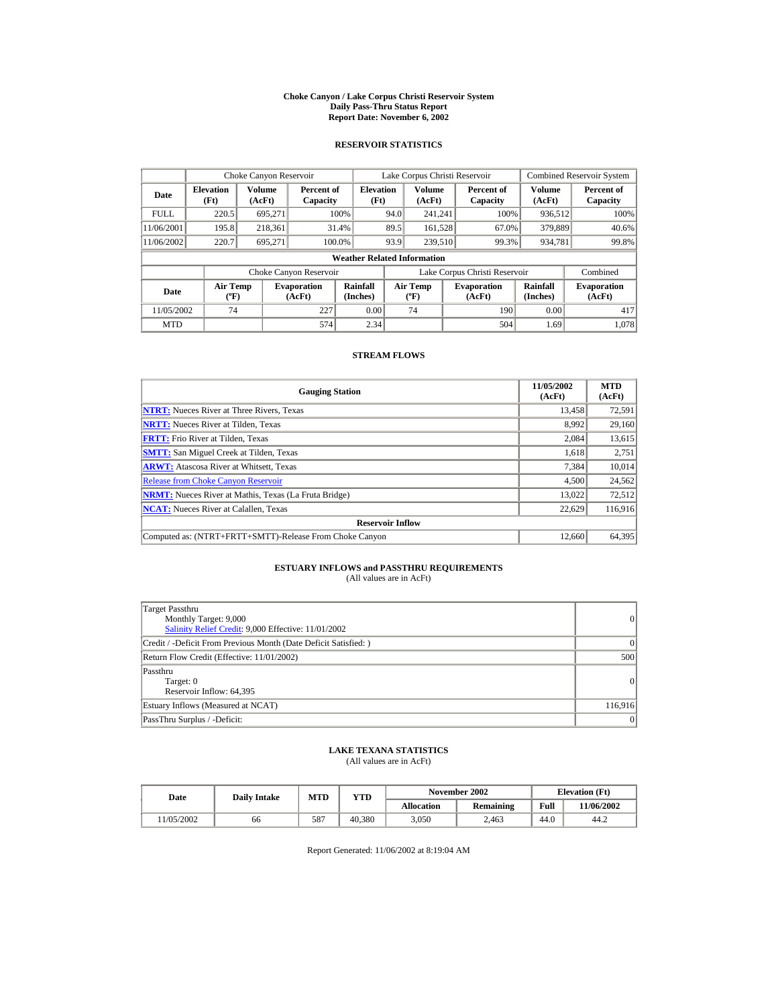#### **Choke Canyon / Lake Corpus Christi Reservoir System Daily Pass-Thru Status Report Report Date: November 6, 2002**

### **RESERVOIR STATISTICS**

|             | Choke Canyon Reservoir                      |                  |                              |                          | Lake Corpus Christi Reservoir |                                           |  |                               |                      | <b>Combined Reservoir System</b> |  |  |
|-------------|---------------------------------------------|------------------|------------------------------|--------------------------|-------------------------------|-------------------------------------------|--|-------------------------------|----------------------|----------------------------------|--|--|
| Date        | <b>Elevation</b><br>(Ft)                    | Volume<br>(AcFt) | Percent of<br>Capacity       | <b>Elevation</b><br>(Ft) |                               | Volume<br>(AcFt)                          |  | Percent of<br>Capacity        | Volume<br>(AcFt)     | Percent of<br>Capacity           |  |  |
| <b>FULL</b> | 220.5                                       | 695.271          |                              | 100%                     | 94.0                          | 241.241                                   |  | 100%                          | 936,512              | 100%                             |  |  |
| 11/06/2001  | 195.8                                       | 218,361          |                              | 31.4%                    | 89.5                          | 161,528                                   |  | 67.0%                         | 379,889              | 40.6%                            |  |  |
| 11/06/2002  | 220.7                                       | 695.271          | 100.0%                       |                          | 93.9                          | 239,510                                   |  | 99.3%                         | 934,781              | 99.8%                            |  |  |
|             | <b>Weather Related Information</b>          |                  |                              |                          |                               |                                           |  |                               |                      |                                  |  |  |
|             |                                             |                  | Choke Canyon Reservoir       |                          |                               |                                           |  | Lake Corpus Christi Reservoir |                      | Combined                         |  |  |
| Date        | <b>Air Temp</b><br>$({}^{\circ}\mathrm{F})$ |                  | <b>Evaporation</b><br>(AcFt) | Rainfall<br>(Inches)     |                               | <b>Air Temp</b><br>$({}^{\circ}\text{F})$ |  | <b>Evaporation</b><br>(AcFt)  | Rainfall<br>(Inches) | <b>Evaporation</b><br>(AcFt)     |  |  |
| 11/05/2002  | 74                                          |                  | 227                          | 0.00                     |                               | 74                                        |  | 190                           | 0.00                 | 417                              |  |  |
| <b>MTD</b>  |                                             |                  | 574                          | 2.34                     |                               |                                           |  | 504                           | 1.69                 | 1.078                            |  |  |

#### **STREAM FLOWS**

| <b>Gauging Station</b>                                       | 11/05/2002<br>(AcFt) | <b>MTD</b><br>(AcFt) |
|--------------------------------------------------------------|----------------------|----------------------|
| <b>NTRT:</b> Nueces River at Three Rivers, Texas             | 13,458               | 72,591               |
| <b>NRTT:</b> Nueces River at Tilden, Texas                   | 8.992                | 29,160               |
| <b>FRTT:</b> Frio River at Tilden, Texas                     | 2,084                | 13,615               |
| <b>SMTT:</b> San Miguel Creek at Tilden, Texas               | 1,618                | 2,751                |
| <b>ARWT:</b> Atascosa River at Whitsett, Texas               | 7.384                | 10,014               |
| <b>Release from Choke Canyon Reservoir</b>                   | 4,500                | 24,562               |
| <b>NRMT:</b> Nueces River at Mathis, Texas (La Fruta Bridge) | 13.022               | 72,512               |
| <b>NCAT:</b> Nueces River at Calallen, Texas                 | 22,629               | 116,916              |
| <b>Reservoir Inflow</b>                                      |                      |                      |
| Computed as: (NTRT+FRTT+SMTT)-Release From Choke Canyon      | 12,660               | 64.395               |

## **ESTUARY INFLOWS and PASSTHRU REQUIREMENTS**<br>(All values are in AcFt)

| <b>Target Passthru</b><br>Monthly Target: 9,000<br>Salinity Relief Credit: 9,000 Effective: 11/01/2002 | 0         |
|--------------------------------------------------------------------------------------------------------|-----------|
| Credit / -Deficit From Previous Month (Date Deficit Satisfied:)                                        | $\vert$ 0 |
| Return Flow Credit (Effective: 11/01/2002)                                                             | 500       |
| Passthru<br>Target: 0<br>Reservoir Inflow: 64,395                                                      | $\vert$ 0 |
| Estuary Inflows (Measured at NCAT)                                                                     | 116,916   |
| PassThru Surplus / -Deficit:                                                                           | $\vert$ 0 |

### **LAKE TEXANA STATISTICS**

(All values are in AcFt)

| Date      | <b>Daily Intake</b> | MTD | $_{\rm VTD}$ |            | November 2002 | <b>Elevation</b> (Ft) |            |
|-----------|---------------------|-----|--------------|------------|---------------|-----------------------|------------|
|           |                     |     |              | Allocation | Remaining     | Full                  | 11/06/2002 |
| 1/05/2002 | 66                  | 587 | 40.380       | 3.050      | 2.463         | 44.0                  | 44.2       |

Report Generated: 11/06/2002 at 8:19:04 AM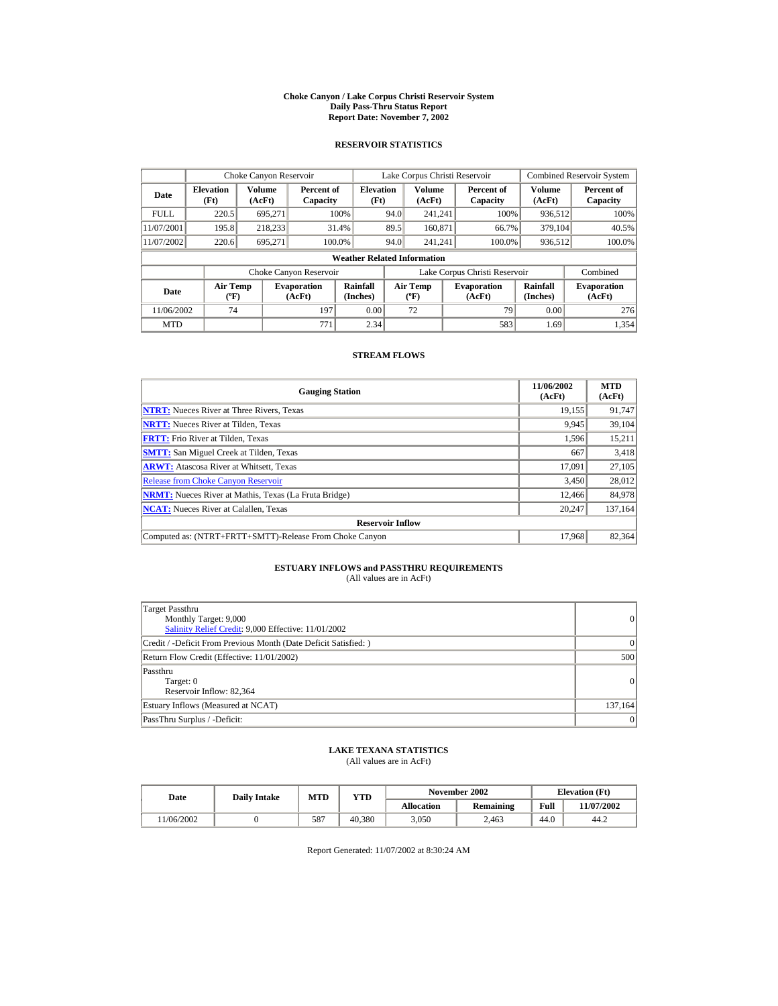#### **Choke Canyon / Lake Corpus Christi Reservoir System Daily Pass-Thru Status Report Report Date: November 7, 2002**

### **RESERVOIR STATISTICS**

|             | Choke Canyon Reservoir                      |                         |                              |                          | Lake Corpus Christi Reservoir |                                          |  |                               |                      | <b>Combined Reservoir System</b> |  |  |
|-------------|---------------------------------------------|-------------------------|------------------------------|--------------------------|-------------------------------|------------------------------------------|--|-------------------------------|----------------------|----------------------------------|--|--|
| Date        | <b>Elevation</b><br>(Ft)                    | <b>Volume</b><br>(AcFt) | Percent of<br>Capacity       | <b>Elevation</b><br>(Ft) |                               | Volume<br>(AcFt)                         |  | Percent of<br>Capacity        | Volume<br>(AcFt)     | Percent of<br>Capacity           |  |  |
| <b>FULL</b> | 220.5                                       | 695.271                 |                              | 100%                     | 94.0                          | 241.241                                  |  | 100%                          | 936,512              | 100%                             |  |  |
| 11/07/2001  | 195.8                                       | 218.233                 | 31.4%                        |                          | 89.5                          | 160,871                                  |  | 66.7%                         | 379,104              | 40.5%                            |  |  |
| 11/07/2002  | 220.6                                       | 695,271                 | 100.0%                       |                          | 94.0                          | 241.241                                  |  | 100.0%                        | 936,512              | 100.0%                           |  |  |
|             | <b>Weather Related Information</b>          |                         |                              |                          |                               |                                          |  |                               |                      |                                  |  |  |
|             |                                             |                         | Choke Canyon Reservoir       |                          |                               |                                          |  | Lake Corpus Christi Reservoir |                      | Combined                         |  |  |
| Date        | <b>Air Temp</b><br>$({}^{\circ}\mathrm{F})$ |                         | <b>Evaporation</b><br>(AcFt) | Rainfall<br>(Inches)     |                               | <b>Air Temp</b><br>$({}^{\circ}{\rm F})$ |  | <b>Evaporation</b><br>(AcFt)  | Rainfall<br>(Inches) | <b>Evaporation</b><br>(AcFt)     |  |  |
| 11/06/2002  | 74                                          |                         | 197                          | 0.00                     |                               | 72                                       |  | 79                            | 0.00                 | 276                              |  |  |
| <b>MTD</b>  |                                             |                         | 771                          | 2.34                     |                               |                                          |  | 583                           | 1.69                 | 1.354                            |  |  |

#### **STREAM FLOWS**

| <b>Gauging Station</b>                                       | 11/06/2002<br>(AcFt) | <b>MTD</b><br>(AcFt) |
|--------------------------------------------------------------|----------------------|----------------------|
| <b>NTRT:</b> Nueces River at Three Rivers, Texas             | 19,155               | 91,747               |
| <b>NRTT:</b> Nueces River at Tilden, Texas                   | 9,945                | 39,104               |
| <b>FRTT:</b> Frio River at Tilden, Texas                     | 1,596                | 15,211               |
| <b>SMTT:</b> San Miguel Creek at Tilden, Texas               | 667                  | 3,418                |
| <b>ARWT:</b> Atascosa River at Whitsett, Texas               | 17,091               | 27,105               |
| <b>Release from Choke Canyon Reservoir</b>                   | 3,450                | 28,012               |
| <b>NRMT:</b> Nueces River at Mathis, Texas (La Fruta Bridge) | 12.466               | 84,978               |
| <b>NCAT:</b> Nueces River at Calallen, Texas                 | 20,247               | 137,164              |
| <b>Reservoir Inflow</b>                                      |                      |                      |
| Computed as: (NTRT+FRTT+SMTT)-Release From Choke Canyon      | 17.968               | 82,364               |

## **ESTUARY INFLOWS and PASSTHRU REQUIREMENTS**<br>(All values are in AcFt)

| Target Passthru<br>Monthly Target: 9,000<br>Salinity Relief Credit: 9,000 Effective: 11/01/2002 | 0               |
|-------------------------------------------------------------------------------------------------|-----------------|
| Credit / -Deficit From Previous Month (Date Deficit Satisfied:)                                 | $\Omega$        |
| Return Flow Credit (Effective: 11/01/2002)                                                      | 500             |
| Passthru<br>Target: 0<br>Reservoir Inflow: 82,364                                               | 0               |
| Estuary Inflows (Measured at NCAT)                                                              | 137,164         |
| PassThru Surplus / -Deficit:                                                                    | $\vert 0 \vert$ |

### **LAKE TEXANA STATISTICS**

(All values are in AcFt)

| Date      | <b>Daily Intake</b> | <b>MTD</b> | YTD    |                   | November 2002 | <b>Elevation</b> (Ft) |            |
|-----------|---------------------|------------|--------|-------------------|---------------|-----------------------|------------|
|           |                     |            |        | <b>Allocation</b> | Remaining     | Full                  | 11/07/2002 |
| 1/06/2002 |                     | 587        | 40.380 | 3.050             | 2.463         | 44.0                  | 44.2       |

Report Generated: 11/07/2002 at 8:30:24 AM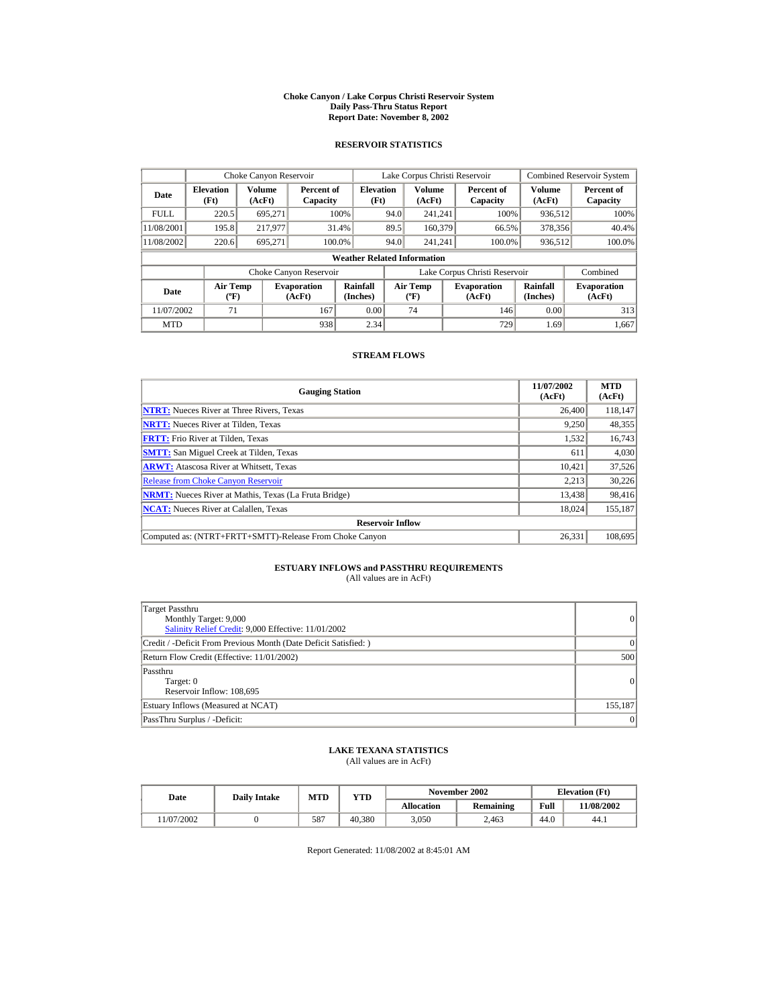#### **Choke Canyon / Lake Corpus Christi Reservoir System Daily Pass-Thru Status Report Report Date: November 8, 2002**

### **RESERVOIR STATISTICS**

|             | Choke Canyon Reservoir                      |                  |                              |                          | Lake Corpus Christi Reservoir |                                           |  |                               |                      | <b>Combined Reservoir System</b> |  |  |
|-------------|---------------------------------------------|------------------|------------------------------|--------------------------|-------------------------------|-------------------------------------------|--|-------------------------------|----------------------|----------------------------------|--|--|
| Date        | <b>Elevation</b><br>(Ft)                    | Volume<br>(AcFt) | Percent of<br>Capacity       | <b>Elevation</b><br>(Ft) |                               | <b>Volume</b><br>(AcFt)                   |  | Percent of<br>Capacity        | Volume<br>(AcFt)     | Percent of<br>Capacity           |  |  |
| <b>FULL</b> | 220.5                                       | 695.271          |                              | 100%                     | 94.0                          | 241.241                                   |  | 100%                          | 936,512              | 100%                             |  |  |
| 11/08/2001  | 195.8                                       | 217.977          |                              | 31.4%                    | 89.5                          | 160,379                                   |  | 66.5%                         | 378,356              | 40.4%                            |  |  |
| 11/08/2002  | 220.6                                       | 695.271          |                              | 100.0%                   | 94.0                          | 241.241                                   |  | 100.0%                        | 936,512              | 100.0%                           |  |  |
|             | <b>Weather Related Information</b>          |                  |                              |                          |                               |                                           |  |                               |                      |                                  |  |  |
|             |                                             |                  | Choke Canyon Reservoir       |                          |                               |                                           |  | Lake Corpus Christi Reservoir |                      | Combined                         |  |  |
| Date        | <b>Air Temp</b><br>$({}^{\circ}\mathrm{F})$ |                  | <b>Evaporation</b><br>(AcFt) | Rainfall<br>(Inches)     |                               | <b>Air Temp</b><br>$({}^{\circ}\text{F})$ |  | <b>Evaporation</b><br>(AcFt)  | Rainfall<br>(Inches) | <b>Evaporation</b><br>(AcFt)     |  |  |
| 11/07/2002  | 71                                          |                  | 167                          | 0.00                     |                               | 74                                        |  | 146                           | 0.00                 | 313                              |  |  |
| <b>MTD</b>  |                                             |                  | 938                          | 2.34                     |                               |                                           |  | 729                           | 1.69                 | 1.667                            |  |  |

#### **STREAM FLOWS**

| <b>Gauging Station</b>                                       | 11/07/2002<br>(AcFt) | <b>MTD</b><br>(AcFt) |
|--------------------------------------------------------------|----------------------|----------------------|
| <b>NTRT:</b> Nueces River at Three Rivers, Texas             | 26,400               | 118,147              |
| <b>NRTT:</b> Nueces River at Tilden, Texas                   | 9.250                | 48,355               |
| <b>FRTT:</b> Frio River at Tilden, Texas                     | 1,532                | 16,743               |
| <b>SMTT:</b> San Miguel Creek at Tilden, Texas               | 611                  | 4,030                |
| <b>ARWT:</b> Atascosa River at Whitsett, Texas               | 10.421               | 37,526               |
| <b>Release from Choke Canvon Reservoir</b>                   | 2.213                | 30,226               |
| <b>NRMT:</b> Nueces River at Mathis, Texas (La Fruta Bridge) | 13,438               | 98,416               |
| <b>NCAT:</b> Nueces River at Calallen, Texas                 | 18,024               | 155,187              |
| <b>Reservoir Inflow</b>                                      |                      |                      |
| Computed as: (NTRT+FRTT+SMTT)-Release From Choke Canyon      | 26.331               | 108,695              |

## **ESTUARY INFLOWS and PASSTHRU REQUIREMENTS**<br>(All values are in AcFt)

| Target Passthru<br>Monthly Target: 9,000<br>Salinity Relief Credit: 9,000 Effective: 11/01/2002 | 0               |
|-------------------------------------------------------------------------------------------------|-----------------|
| Credit / -Deficit From Previous Month (Date Deficit Satisfied:)                                 | $\Omega$        |
| Return Flow Credit (Effective: 11/01/2002)                                                      | 500             |
| Passthru<br>Target: 0<br>Reservoir Inflow: 108,695                                              | $\vert$ 0       |
| Estuary Inflows (Measured at NCAT)                                                              | 155,187         |
| PassThru Surplus / -Deficit:                                                                    | $\vert 0 \vert$ |

### **LAKE TEXANA STATISTICS**

(All values are in AcFt)

| Date      | <b>Daily Intake</b> | <b>MTD</b> | YTD    |                   | November 2002 | <b>Elevation</b> (Ft) |            |
|-----------|---------------------|------------|--------|-------------------|---------------|-----------------------|------------|
|           |                     |            |        | <b>Allocation</b> | Remaining     | Full                  | 11/08/2002 |
| 1/07/2002 |                     | 587        | 40.380 | 3.050             | 2.463         | 44.0                  | 44.1       |

Report Generated: 11/08/2002 at 8:45:01 AM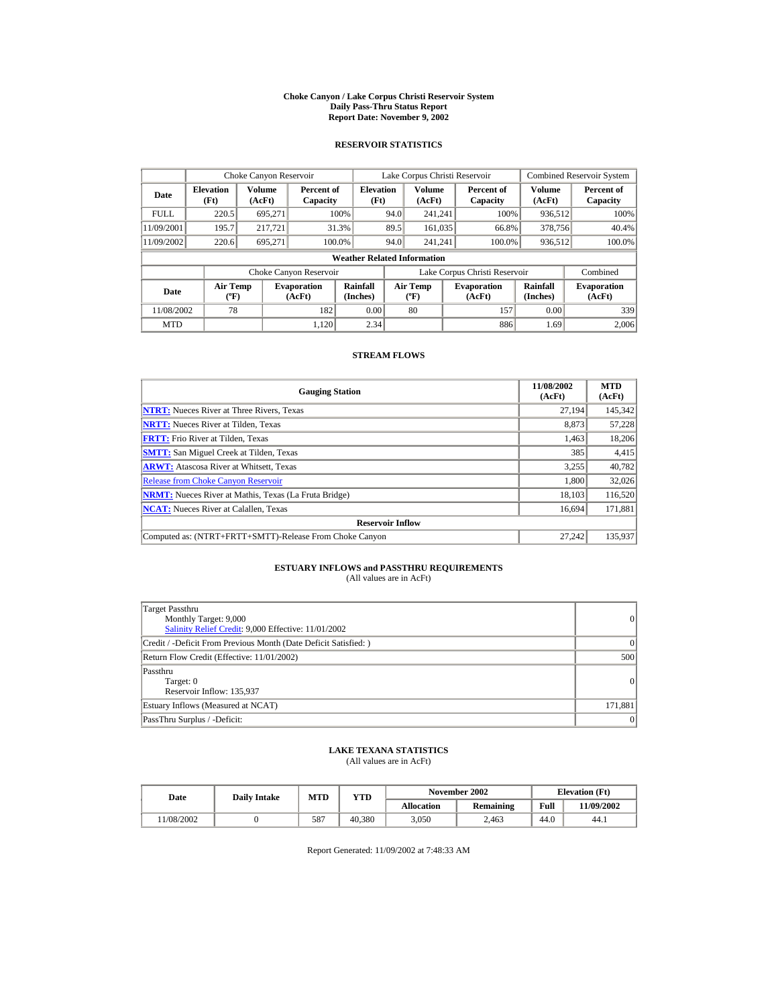#### **Choke Canyon / Lake Corpus Christi Reservoir System Daily Pass-Thru Status Report Report Date: November 9, 2002**

### **RESERVOIR STATISTICS**

|             | Choke Canyon Reservoir                      |                  |                              |                                    | Lake Corpus Christi Reservoir |                                           |  |                               |                      | <b>Combined Reservoir System</b> |
|-------------|---------------------------------------------|------------------|------------------------------|------------------------------------|-------------------------------|-------------------------------------------|--|-------------------------------|----------------------|----------------------------------|
| Date        | <b>Elevation</b><br>(Ft)                    | Volume<br>(AcFt) | Percent of<br>Capacity       | <b>Elevation</b><br>(Ft)           |                               | <b>Volume</b><br>(AcFt)                   |  | Percent of<br>Capacity        | Volume<br>(AcFt)     | Percent of<br>Capacity           |
| <b>FULL</b> | 220.5                                       | 695,271          |                              | 100%                               | 94.0                          | 241.241                                   |  | 100%                          | 936,512              | 100%                             |
| 11/09/2001  | 195.7                                       | 217.721          |                              | 31.3%                              | 89.5                          | 161,035                                   |  | 66.8%                         | 378,756              | 40.4%                            |
| 11/09/2002  | 220.6                                       | 695.271          | 100.0%                       |                                    | 94.0                          | 241.241                                   |  | 100.0%                        | 936,512              | 100.0%                           |
|             |                                             |                  |                              | <b>Weather Related Information</b> |                               |                                           |  |                               |                      |                                  |
|             |                                             |                  | Choke Canyon Reservoir       |                                    |                               |                                           |  | Lake Corpus Christi Reservoir |                      | Combined                         |
| Date        | <b>Air Temp</b><br>$({}^{\circ}\mathrm{F})$ |                  | <b>Evaporation</b><br>(AcFt) | Rainfall<br>(Inches)               |                               | <b>Air Temp</b><br>$({}^{\circ}\text{F})$ |  | <b>Evaporation</b><br>(AcFt)  | Rainfall<br>(Inches) | <b>Evaporation</b><br>(AcFt)     |
| 11/08/2002  | 78                                          |                  | 182                          | 0.00                               |                               | 80                                        |  | 157                           | 0.00                 | 339                              |
| <b>MTD</b>  |                                             |                  | 1.120                        | 2.34                               |                               |                                           |  | 886                           | 1.69                 | 2,006                            |

#### **STREAM FLOWS**

| <b>Gauging Station</b>                                       | 11/08/2002<br>(AcFt) | <b>MTD</b><br>(AcFt) |
|--------------------------------------------------------------|----------------------|----------------------|
| <b>NTRT:</b> Nueces River at Three Rivers, Texas             | 27.194               | 145,342              |
| <b>NRTT:</b> Nueces River at Tilden, Texas                   | 8.873                | 57,228               |
| <b>FRTT:</b> Frio River at Tilden, Texas                     | 1,463                | 18,206               |
| <b>SMTT:</b> San Miguel Creek at Tilden, Texas               | 385                  | 4,415                |
| <b>ARWT:</b> Atascosa River at Whitsett, Texas               | 3,255                | 40,782               |
| <b>Release from Choke Canyon Reservoir</b>                   | 1.800                | 32,026               |
| <b>NRMT:</b> Nueces River at Mathis, Texas (La Fruta Bridge) | 18.103               | 116,520              |
| <b>NCAT:</b> Nueces River at Calallen, Texas                 | 16,694               | 171,881              |
| <b>Reservoir Inflow</b>                                      |                      |                      |
| Computed as: (NTRT+FRTT+SMTT)-Release From Choke Canyon      | 27.242               | 135.937              |

## **ESTUARY INFLOWS and PASSTHRU REQUIREMENTS**<br>(All values are in AcFt)

| <b>Target Passthru</b><br>Monthly Target: 9,000<br>Salinity Relief Credit: 9,000 Effective: 11/01/2002 | 0         |
|--------------------------------------------------------------------------------------------------------|-----------|
| Credit / -Deficit From Previous Month (Date Deficit Satisfied: )                                       | $\vert$ 0 |
| Return Flow Credit (Effective: 11/01/2002)                                                             | 500       |
| Passthru<br>Target: 0<br>Reservoir Inflow: 135,937                                                     | 0         |
| Estuary Inflows (Measured at NCAT)                                                                     | 171,881   |
| PassThru Surplus / -Deficit:                                                                           | $\vert$ 0 |

### **LAKE TEXANA STATISTICS**

(All values are in AcFt)

| Date      | <b>Daily Intake</b> | <b>MTD</b> | $_{\rm VTD}$ |            | November 2002 | <b>Elevation</b> (Ft) |            |
|-----------|---------------------|------------|--------------|------------|---------------|-----------------------|------------|
|           |                     |            |              | Allocation | Remaining     | Full                  | 11/09/2002 |
| 1/08/2002 |                     | 587        | 40.380       | 3.050      | 2.463         | 44.0                  | 44.1       |

Report Generated: 11/09/2002 at 7:48:33 AM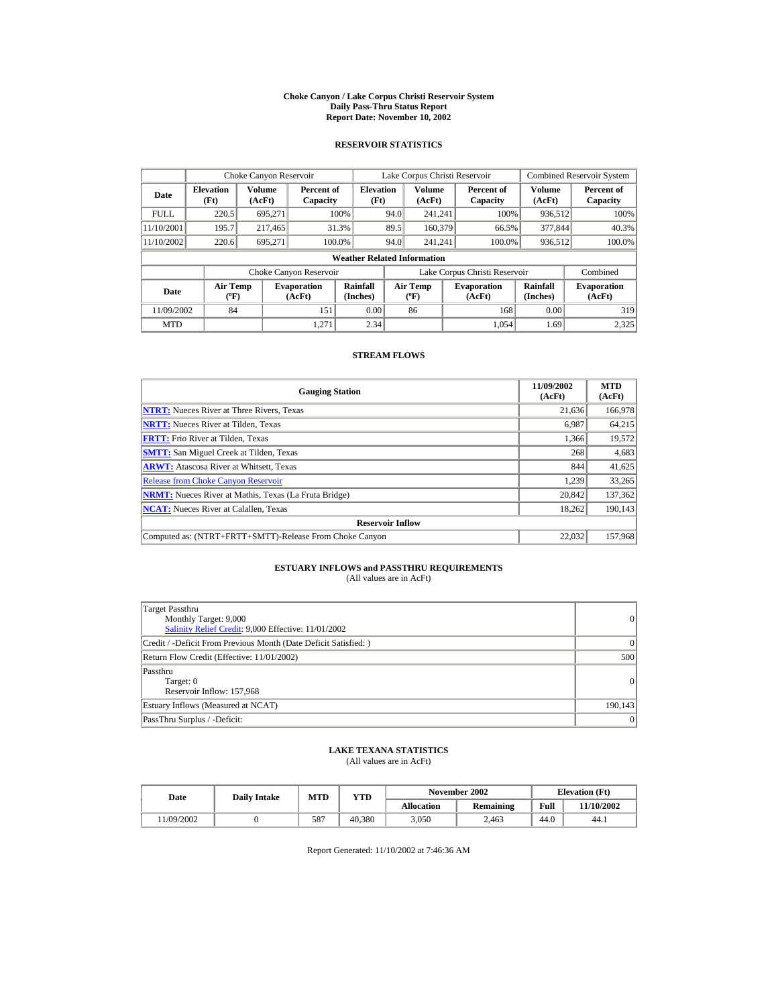#### **Choke Canyon / Lake Corpus Christi Reservoir System Daily Pass-Thru Status Report Report Date: November 10, 2002**

### **RESERVOIR STATISTICS**

|             | Choke Canyon Reservoir                      |                  |                              |                          | Lake Corpus Christi Reservoir |                                           |  |                               |                      | <b>Combined Reservoir System</b> |  |  |
|-------------|---------------------------------------------|------------------|------------------------------|--------------------------|-------------------------------|-------------------------------------------|--|-------------------------------|----------------------|----------------------------------|--|--|
| Date        | <b>Elevation</b><br>(Ft)                    | Volume<br>(AcFt) | Percent of<br>Capacity       | <b>Elevation</b><br>(Ft) |                               | <b>Volume</b><br>(AcFt)                   |  | Percent of<br>Capacity        | Volume<br>(AcFt)     | Percent of<br>Capacity           |  |  |
| <b>FULL</b> | 220.5                                       | 695.271          |                              | 100%                     | 94.0                          | 241.241                                   |  | 100%                          | 936,512              | 100%                             |  |  |
| 11/10/2001  | 195.7                                       | 217,465          |                              | 31.3%                    | 89.5                          | 160,379                                   |  | 66.5%                         | 377,844              | 40.3%                            |  |  |
| 11/10/2002  | 220.6                                       | 695,271          | 100.0%                       |                          | 94.0                          | 241.241                                   |  | 100.0%                        | 936,512              | 100.0%                           |  |  |
|             | <b>Weather Related Information</b>          |                  |                              |                          |                               |                                           |  |                               |                      |                                  |  |  |
|             |                                             |                  | Choke Canyon Reservoir       |                          |                               |                                           |  | Lake Corpus Christi Reservoir |                      | Combined                         |  |  |
| Date        | <b>Air Temp</b><br>$({}^{\circ}\mathrm{F})$ |                  | <b>Evaporation</b><br>(AcFt) | Rainfall<br>(Inches)     |                               | <b>Air Temp</b><br>$(^{\circ}\mathrm{F})$ |  | <b>Evaporation</b><br>(AcFt)  | Rainfall<br>(Inches) | <b>Evaporation</b><br>(AcFt)     |  |  |
| 11/09/2002  | 84                                          |                  | 151                          | 0.00                     |                               | 86                                        |  | 168                           | 0.00                 | 319                              |  |  |
| <b>MTD</b>  |                                             |                  | 1.271                        | 2.34                     |                               |                                           |  | 1.054                         | 1.69                 | 2,325                            |  |  |

#### **STREAM FLOWS**

| <b>Gauging Station</b>                                       | 11/09/2002<br>(AcFt) | <b>MTD</b><br>(AcFt) |
|--------------------------------------------------------------|----------------------|----------------------|
| <b>NTRT:</b> Nueces River at Three Rivers, Texas             | 21,636               | 166,978              |
| <b>NRTT:</b> Nueces River at Tilden, Texas                   | 6,987                | 64,215               |
| <b>FRTT:</b> Frio River at Tilden, Texas                     | 1.366                | 19,572               |
| <b>SMTT:</b> San Miguel Creek at Tilden, Texas               | 268                  | 4,683                |
| <b>ARWT:</b> Atascosa River at Whitsett, Texas               | 844                  | 41,625               |
| <b>Release from Choke Canyon Reservoir</b>                   | 1.239                | 33,265               |
| <b>NRMT:</b> Nueces River at Mathis, Texas (La Fruta Bridge) | 20.842               | 137,362              |
| <b>NCAT:</b> Nueces River at Calallen, Texas                 | 18,262               | 190,143              |
| <b>Reservoir Inflow</b>                                      |                      |                      |
| Computed as: (NTRT+FRTT+SMTT)-Release From Choke Canyon      | 22.032               | 157,968              |

# **ESTUARY INFLOWS and PASSTHRU REQUIREMENTS**<br>(All values are in AcFt)

| Target Passthru<br>Monthly Target: 9,000<br>Salinity Relief Credit: 9,000 Effective: 11/01/2002 | $\overline{0}$ |
|-------------------------------------------------------------------------------------------------|----------------|
| Credit / -Deficit From Previous Month (Date Deficit Satisfied: )                                | ( )            |
| Return Flow Credit (Effective: 11/01/2002)                                                      | 500            |
| Passthru<br>Target: 0<br>Reservoir Inflow: 157,968                                              | $\overline{0}$ |
| Estuary Inflows (Measured at NCAT)                                                              | 190,143        |
| PassThru Surplus / -Deficit:                                                                    | 0              |

## **LAKE TEXANA STATISTICS**

(All values are in AcFt)

| Date      | <b>Daily Intake</b> | <b>MTD</b> | YTD    |                   | November 2002 | <b>Elevation</b> (Ft) |            |
|-----------|---------------------|------------|--------|-------------------|---------------|-----------------------|------------|
|           |                     |            |        | <b>Allocation</b> | Remaining     | Full                  | 11/10/2002 |
| 1/09/2002 |                     | 587        | 40.380 | 3.050             | 2.463         | 44.0                  | 44.1       |

Report Generated: 11/10/2002 at 7:46:36 AM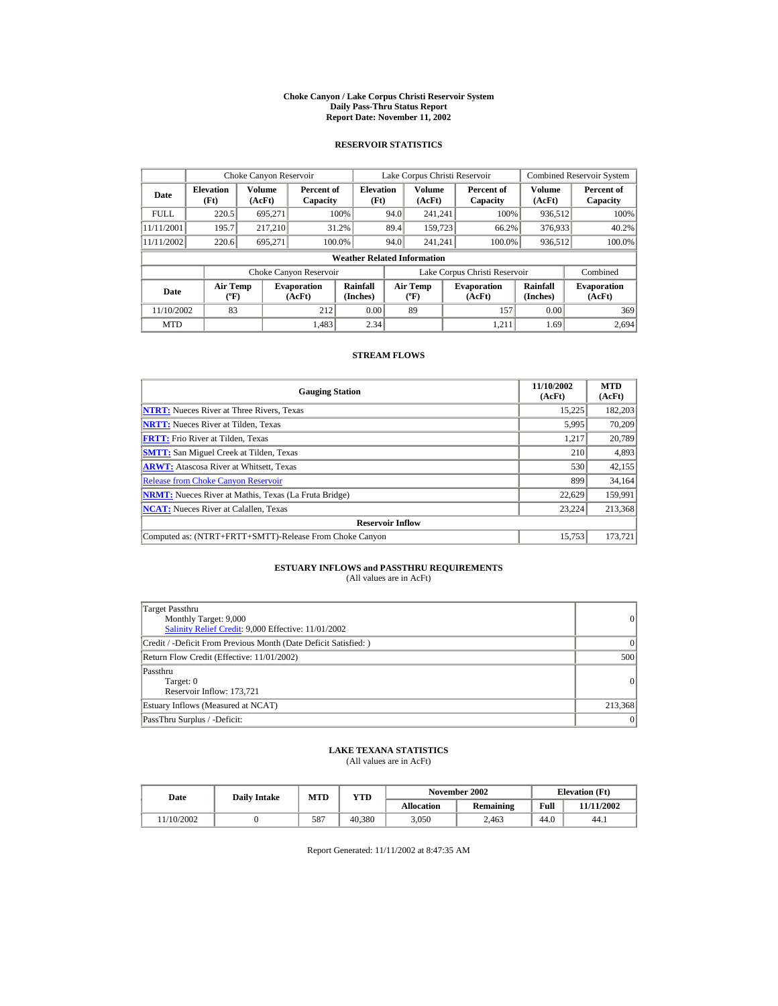#### **Choke Canyon / Lake Corpus Christi Reservoir System Daily Pass-Thru Status Report Report Date: November 11, 2002**

### **RESERVOIR STATISTICS**

|             | Choke Canyon Reservoir                      |                  |                              |                          | Lake Corpus Christi Reservoir |                                           |  |                               |                      | <b>Combined Reservoir System</b> |  |  |
|-------------|---------------------------------------------|------------------|------------------------------|--------------------------|-------------------------------|-------------------------------------------|--|-------------------------------|----------------------|----------------------------------|--|--|
| Date        | <b>Elevation</b><br>(Ft)                    | Volume<br>(AcFt) | Percent of<br>Capacity       | <b>Elevation</b><br>(Ft) |                               | <b>Volume</b><br>(AcFt)                   |  | Percent of<br>Capacity        | Volume<br>(AcFt)     | Percent of<br>Capacity           |  |  |
| <b>FULL</b> | 220.5                                       | 695.271          |                              | 100%                     | 94.0                          | 241.241                                   |  | 100%                          | 936,512              | 100%                             |  |  |
| 11/11/2001  | 195.7                                       | 217.210          |                              | 31.2%                    | 89.4                          | 159,723                                   |  | 66.2%                         | 376,933              | 40.2%                            |  |  |
| 11/11/2002  | 220.6                                       | 695,271          | 100.0%                       |                          | 94.0                          | 241.241                                   |  | 100.0%                        | 936,512              | 100.0%                           |  |  |
|             | <b>Weather Related Information</b>          |                  |                              |                          |                               |                                           |  |                               |                      |                                  |  |  |
|             |                                             |                  | Choke Canyon Reservoir       |                          |                               |                                           |  | Lake Corpus Christi Reservoir |                      | Combined                         |  |  |
| Date        | <b>Air Temp</b><br>$({}^{\circ}\mathrm{F})$ |                  | <b>Evaporation</b><br>(AcFt) | Rainfall<br>(Inches)     |                               | <b>Air Temp</b><br>$(^{\circ}\mathrm{F})$ |  | <b>Evaporation</b><br>(AcFt)  | Rainfall<br>(Inches) | <b>Evaporation</b><br>(AcFt)     |  |  |
| 11/10/2002  | 83                                          |                  | 212                          | 0.00                     |                               | 89                                        |  | 157                           | 0.00                 | 369                              |  |  |
| <b>MTD</b>  |                                             |                  | 1.483                        | 2.34                     |                               |                                           |  | 1.211                         | 1.69                 | 2.694                            |  |  |

#### **STREAM FLOWS**

| <b>Gauging Station</b>                                       | 11/10/2002<br>(AcFt) | <b>MTD</b><br>(AcFt) |
|--------------------------------------------------------------|----------------------|----------------------|
| <b>NTRT:</b> Nueces River at Three Rivers, Texas             | 15,225               | 182,203              |
| <b>NRTT:</b> Nueces River at Tilden, Texas                   | 5,995                | 70,209               |
| <b>FRTT:</b> Frio River at Tilden, Texas                     | 1.217                | 20,789               |
| <b>SMTT:</b> San Miguel Creek at Tilden, Texas               | 210                  | 4,893                |
| <b>ARWT:</b> Atascosa River at Whitsett, Texas               | 530                  | 42,155               |
| <b>Release from Choke Canyon Reservoir</b>                   | 899                  | 34,164               |
| <b>NRMT:</b> Nueces River at Mathis, Texas (La Fruta Bridge) | 22.629               | 159,991              |
| <b>NCAT:</b> Nueces River at Calallen, Texas                 | 23,224               | 213,368              |
| <b>Reservoir Inflow</b>                                      |                      |                      |
| Computed as: (NTRT+FRTT+SMTT)-Release From Choke Canyon      | 15.753               | 173,721              |

# **ESTUARY INFLOWS and PASSTHRU REQUIREMENTS**<br>(All values are in AcFt)

| Target Passthru<br>Monthly Target: 9,000<br>Salinity Relief Credit: 9,000 Effective: 11/01/2002 | 0               |
|-------------------------------------------------------------------------------------------------|-----------------|
| Credit / -Deficit From Previous Month (Date Deficit Satisfied:)                                 | $\Omega$        |
| Return Flow Credit (Effective: 11/01/2002)                                                      | 500             |
| Passthru<br>Target: 0<br>Reservoir Inflow: 173.721                                              | $\vert$ 0       |
| Estuary Inflows (Measured at NCAT)                                                              | 213,368         |
| PassThru Surplus / -Deficit:                                                                    | $\vert 0 \vert$ |

## **LAKE TEXANA STATISTICS**

(All values are in AcFt)

| Date      | <b>Daily Intake</b> | <b>MTD</b> | YTD    |                   | November 2002 | <b>Elevation</b> (Ft) |            |
|-----------|---------------------|------------|--------|-------------------|---------------|-----------------------|------------|
|           |                     |            |        | <b>Allocation</b> | Remaining     | Full                  | 11/11/2002 |
| 1/10/2002 |                     | 587        | 40.380 | 3.050             | 2.463         | 44.0                  | 44.1       |

Report Generated: 11/11/2002 at 8:47:35 AM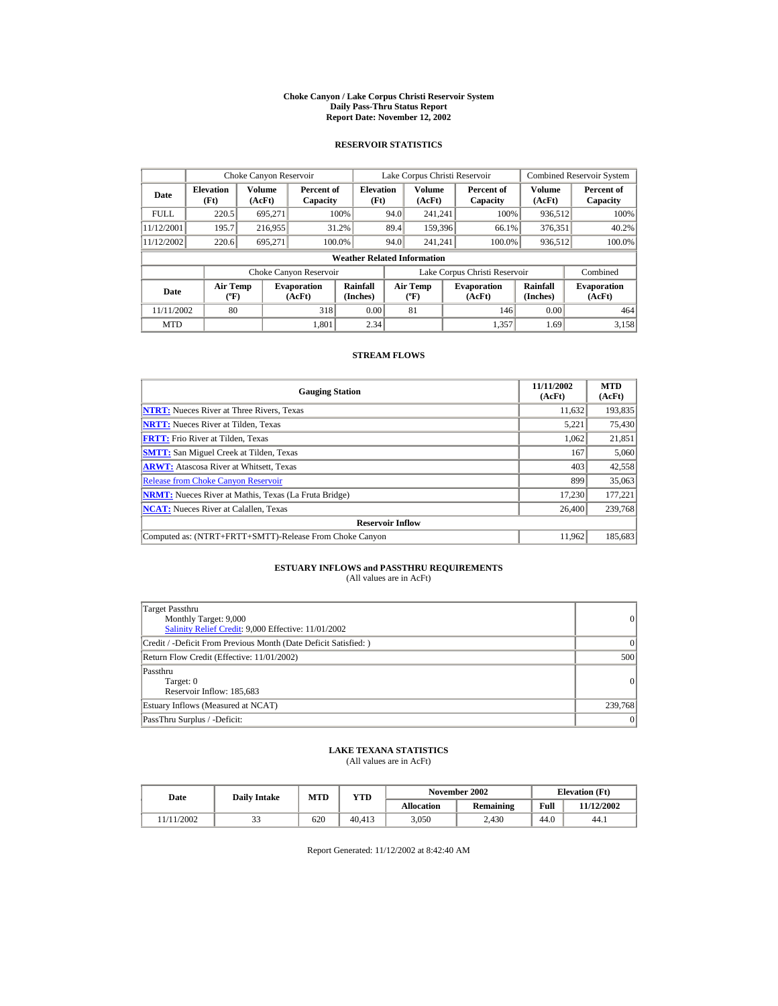#### **Choke Canyon / Lake Corpus Christi Reservoir System Daily Pass-Thru Status Report Report Date: November 12, 2002**

### **RESERVOIR STATISTICS**

|             | Choke Canyon Reservoir                      |                  |                              |                          | Lake Corpus Christi Reservoir |                                          |  |                               |                      | <b>Combined Reservoir System</b> |  |  |
|-------------|---------------------------------------------|------------------|------------------------------|--------------------------|-------------------------------|------------------------------------------|--|-------------------------------|----------------------|----------------------------------|--|--|
| Date        | <b>Elevation</b><br>(Ft)                    | Volume<br>(AcFt) | Percent of<br>Capacity       | <b>Elevation</b><br>(Ft) |                               | Volume<br>(AcFt)                         |  | Percent of<br>Capacity        | Volume<br>(AcFt)     | Percent of<br>Capacity           |  |  |
| <b>FULL</b> | 220.5                                       | 695,271          |                              | 100%                     | 94.0                          | 241.241                                  |  | 100%                          | 936,512              | 100%                             |  |  |
| 11/12/2001  | 195.7                                       | 216,955          |                              | 31.2%                    | 89.4                          | 159,396                                  |  | 66.1%                         | 376,351              | 40.2%                            |  |  |
| 11/12/2002  | 220.6                                       | 695,271          | 100.0%                       |                          | 94.0                          | 241.241                                  |  | 100.0%                        | 936,512              | 100.0%                           |  |  |
|             | <b>Weather Related Information</b>          |                  |                              |                          |                               |                                          |  |                               |                      |                                  |  |  |
|             |                                             |                  | Choke Canyon Reservoir       |                          |                               |                                          |  | Lake Corpus Christi Reservoir |                      | Combined                         |  |  |
| Date        | <b>Air Temp</b><br>$({}^{\circ}\mathrm{F})$ |                  | <b>Evaporation</b><br>(AcFt) | Rainfall<br>(Inches)     |                               | <b>Air Temp</b><br>$({}^{\circ}{\rm F})$ |  | <b>Evaporation</b><br>(AcFt)  | Rainfall<br>(Inches) | <b>Evaporation</b><br>(AcFt)     |  |  |
| 11/11/2002  | 80                                          |                  | 318                          | 0.00                     |                               | 81                                       |  | 146                           | 0.00                 | 464                              |  |  |
| <b>MTD</b>  |                                             |                  | 1.801                        | 2.34                     |                               |                                          |  | 1.357                         | 1.69                 | 3.158                            |  |  |

#### **STREAM FLOWS**

| <b>Gauging Station</b>                                       | 11/11/2002<br>(AcFt) | <b>MTD</b><br>(AcFt) |
|--------------------------------------------------------------|----------------------|----------------------|
| <b>NTRT:</b> Nueces River at Three Rivers, Texas             | 11,632               | 193,835              |
| <b>NRTT:</b> Nueces River at Tilden, Texas                   | 5.221                | 75,430               |
| <b>FRTT:</b> Frio River at Tilden, Texas                     | 1.062                | 21,851               |
| <b>SMTT:</b> San Miguel Creek at Tilden, Texas               | 167                  | 5,060                |
| <b>ARWT:</b> Atascosa River at Whitsett, Texas               | 403                  | 42,558               |
| <b>Release from Choke Canyon Reservoir</b>                   | 899                  | 35,063               |
| <b>NRMT:</b> Nueces River at Mathis, Texas (La Fruta Bridge) | 17.230               | 177,221              |
| <b>NCAT:</b> Nueces River at Calallen, Texas                 | 26,400               | 239,768              |
| <b>Reservoir Inflow</b>                                      |                      |                      |
| Computed as: (NTRT+FRTT+SMTT)-Release From Choke Canyon      | 11.962               | 185.683              |

## **ESTUARY INFLOWS and PASSTHRU REQUIREMENTS**<br>(All values are in AcFt)

| <b>Target Passthru</b><br>Monthly Target: 9,000<br>Salinity Relief Credit: 9,000 Effective: 11/01/2002 | 0         |
|--------------------------------------------------------------------------------------------------------|-----------|
| Credit / -Deficit From Previous Month (Date Deficit Satisfied: )                                       | $\vert$ 0 |
| Return Flow Credit (Effective: 11/01/2002)                                                             | 500       |
| Passthru<br>Target: 0<br>Reservoir Inflow: 185,683                                                     | 0         |
| Estuary Inflows (Measured at NCAT)                                                                     | 239,768   |
| PassThru Surplus / -Deficit:                                                                           | $\vert$ 0 |

### **LAKE TEXANA STATISTICS**

(All values are in AcFt)

| Date      | <b>Daily Intake</b> | <b>MTD</b> | YTD    |                   | November 2002 | <b>Elevation</b> (Ft) |            |
|-----------|---------------------|------------|--------|-------------------|---------------|-----------------------|------------|
|           |                     |            |        | <b>Allocation</b> | Remaining     | Full                  | 11/12/2002 |
| 1/11/2002 | ر ر                 | 620        | 40.413 | 3.050             | 2.430         | 44.0                  | 44.1       |

Report Generated: 11/12/2002 at 8:42:40 AM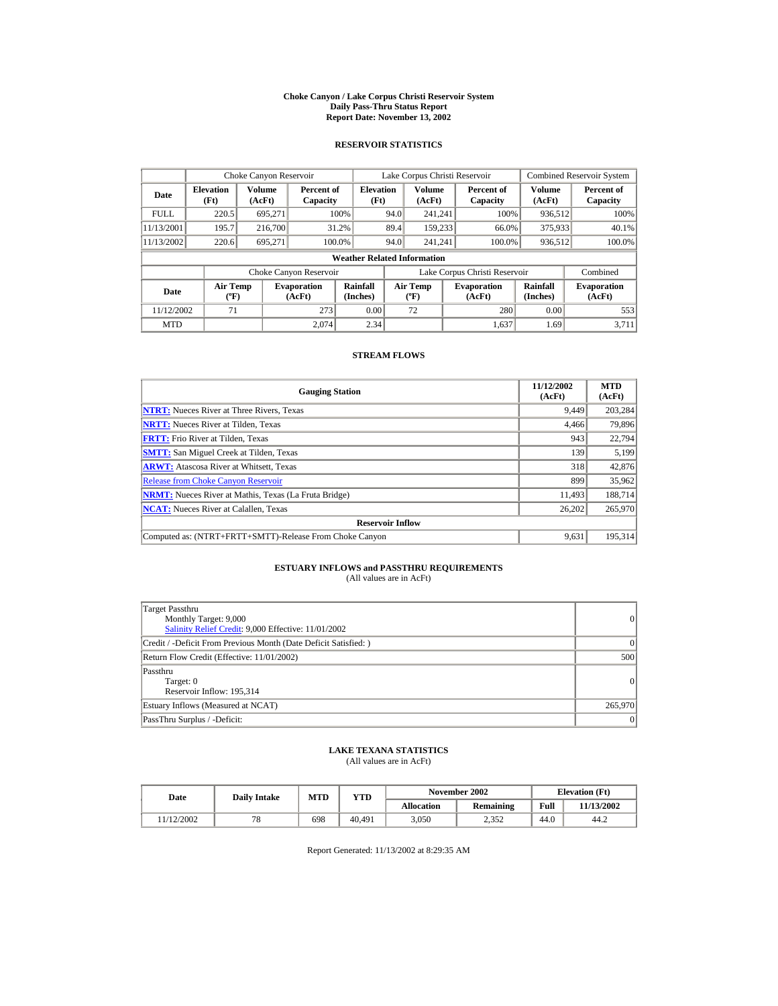#### **Choke Canyon / Lake Corpus Christi Reservoir System Daily Pass-Thru Status Report Report Date: November 13, 2002**

### **RESERVOIR STATISTICS**

|             | Choke Canyon Reservoir                      |                  |                              |                                    | Lake Corpus Christi Reservoir |                                             |  |                               |                      | <b>Combined Reservoir System</b> |
|-------------|---------------------------------------------|------------------|------------------------------|------------------------------------|-------------------------------|---------------------------------------------|--|-------------------------------|----------------------|----------------------------------|
| Date        | <b>Elevation</b><br>(Ft)                    | Volume<br>(AcFt) | Percent of<br>Capacity       | <b>Elevation</b><br>(Ft)           |                               | Volume<br>(AcFt)                            |  | Percent of<br>Capacity        | Volume<br>(AcFt)     | Percent of<br>Capacity           |
| <b>FULL</b> | 220.5                                       | 695.271          |                              | 100%                               | 94.0                          | 241.241                                     |  | 100%                          | 936,512              | 100%                             |
| 11/13/2001  | 195.7                                       | 216,700          |                              | 31.2%                              | 89.4                          | 159.233                                     |  | 66.0%                         | 375,933              | 40.1%                            |
| 11/13/2002  | 220.6                                       | 695.271          | 100.0%                       |                                    | 94.0                          | 241.241                                     |  | 100.0%                        | 936,512              | 100.0%                           |
|             |                                             |                  |                              | <b>Weather Related Information</b> |                               |                                             |  |                               |                      |                                  |
|             |                                             |                  | Choke Canyon Reservoir       |                                    |                               |                                             |  | Lake Corpus Christi Reservoir |                      | Combined                         |
| Date        | <b>Air Temp</b><br>$({}^{\circ}\mathrm{F})$ |                  | <b>Evaporation</b><br>(AcFt) | Rainfall<br>(Inches)               |                               | <b>Air Temp</b><br>$({}^{\circ}\mathbf{F})$ |  | <b>Evaporation</b><br>(AcFt)  | Rainfall<br>(Inches) | <b>Evaporation</b><br>(AcFt)     |
| 11/12/2002  | 71                                          |                  | 273                          | 0.00                               |                               | 72                                          |  | 280                           | 0.00                 | 553                              |
| <b>MTD</b>  |                                             |                  | 2.074                        | 2.34                               |                               |                                             |  | 1.637                         | 1.69                 | 3.711                            |

#### **STREAM FLOWS**

| <b>Gauging Station</b>                                       | 11/12/2002<br>(AcFt) | <b>MTD</b><br>(AcFt) |
|--------------------------------------------------------------|----------------------|----------------------|
| <b>NTRT:</b> Nueces River at Three Rivers, Texas             | 9,449                | 203,284              |
| <b>NRTT:</b> Nueces River at Tilden, Texas                   | 4,466                | 79,896               |
| <b>FRTT:</b> Frio River at Tilden, Texas                     | 943                  | 22,794               |
| <b>SMTT:</b> San Miguel Creek at Tilden, Texas               | 139                  | 5,199                |
| <b>ARWT:</b> Atascosa River at Whitsett, Texas               | 318                  | 42,876               |
| <b>Release from Choke Canyon Reservoir</b>                   | 899                  | 35,962               |
| <b>NRMT:</b> Nueces River at Mathis, Texas (La Fruta Bridge) | 11.493               | 188.714              |
| <b>NCAT:</b> Nueces River at Calallen, Texas                 | 26,202               | 265,970              |
| <b>Reservoir Inflow</b>                                      |                      |                      |
| Computed as: (NTRT+FRTT+SMTT)-Release From Choke Canyon      | 9.631                | 195,314              |

# **ESTUARY INFLOWS and PASSTHRU REQUIREMENTS**<br>(All values are in AcFt)

| Target Passthru<br>Monthly Target: 9,000<br>Salinity Relief Credit: 9,000 Effective: 11/01/2002 | 0               |
|-------------------------------------------------------------------------------------------------|-----------------|
| Credit / -Deficit From Previous Month (Date Deficit Satisfied:)                                 | $\Omega$        |
| Return Flow Credit (Effective: 11/01/2002)                                                      | 500             |
| Passthru<br>Target: 0<br>Reservoir Inflow: 195.314                                              | $\vert$ 0       |
| Estuary Inflows (Measured at NCAT)                                                              | 265,970         |
| PassThru Surplus / -Deficit:                                                                    | $\vert 0 \vert$ |

## **LAKE TEXANA STATISTICS**

(All values are in AcFt)

| Date |           | <b>Daily Intake</b> | <b>MTD</b> | YTD    |                   | November 2002 | <b>Elevation</b> (Ft) |            |
|------|-----------|---------------------|------------|--------|-------------------|---------------|-----------------------|------------|
|      |           |                     |            |        | <b>Allocation</b> | Remaining     | Full                  | 11/13/2002 |
|      | 1/12/2002 | $\pi$ $\alpha$      | 698        | 40.491 | 3.050             | 2.352         | 44.0                  | 44.2       |

Report Generated: 11/13/2002 at 8:29:35 AM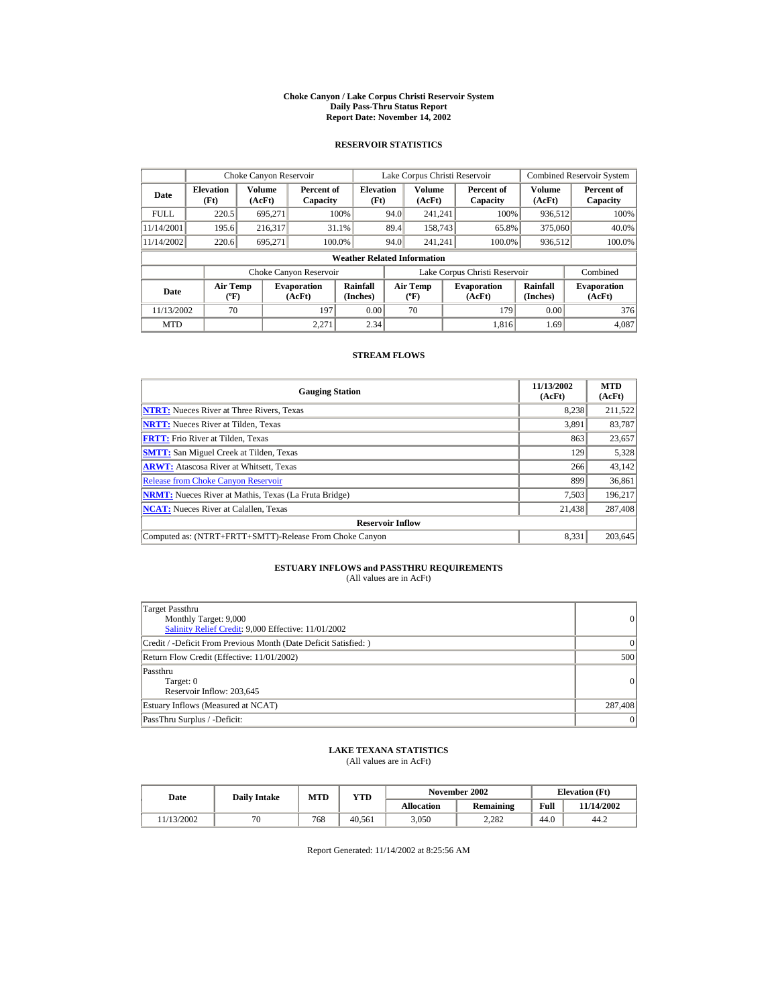#### **Choke Canyon / Lake Corpus Christi Reservoir System Daily Pass-Thru Status Report Report Date: November 14, 2002**

### **RESERVOIR STATISTICS**

|             | Choke Canyon Reservoir                      |                  |                              |                                    | Lake Corpus Christi Reservoir |                                             |  |                               |                      | <b>Combined Reservoir System</b> |
|-------------|---------------------------------------------|------------------|------------------------------|------------------------------------|-------------------------------|---------------------------------------------|--|-------------------------------|----------------------|----------------------------------|
| Date        | <b>Elevation</b><br>(Ft)                    | Volume<br>(AcFt) | Percent of<br>Capacity       | <b>Elevation</b><br>(Ft)           |                               | Volume<br>(AcFt)                            |  | Percent of<br>Capacity        | Volume<br>(AcFt)     | Percent of<br>Capacity           |
| <b>FULL</b> | 220.5                                       | 695.271          |                              | 100%                               | 94.0                          | 241.241                                     |  | 100%                          | 936,512              | 100%                             |
| 11/14/2001  | 195.6                                       | 216.317          |                              | 31.1%                              | 89.4                          | 158,743                                     |  | 65.8%                         | 375,060              | 40.0%                            |
| 11/14/2002  | 220.6                                       | 695.271          | 100.0%                       |                                    | 94.0                          | 241.241                                     |  | 100.0%                        | 936,512              | 100.0%                           |
|             |                                             |                  |                              | <b>Weather Related Information</b> |                               |                                             |  |                               |                      |                                  |
|             |                                             |                  | Choke Canyon Reservoir       |                                    |                               |                                             |  | Lake Corpus Christi Reservoir |                      | Combined                         |
| Date        | <b>Air Temp</b><br>$({}^{\circ}\mathrm{F})$ |                  | <b>Evaporation</b><br>(AcFt) | Rainfall<br>(Inches)               |                               | <b>Air Temp</b><br>$({}^{\circ}\mathbf{F})$ |  | <b>Evaporation</b><br>(AcFt)  | Rainfall<br>(Inches) | <b>Evaporation</b><br>(AcFt)     |
| 11/13/2002  | 70                                          |                  | 197                          | 0.00                               |                               | 70                                          |  | 179                           | 0.00                 | 376                              |
| <b>MTD</b>  |                                             |                  | 2.271                        | 2.34                               |                               |                                             |  | 1.816                         | 1.69                 | 4.087                            |

#### **STREAM FLOWS**

| <b>Gauging Station</b>                                       | 11/13/2002<br>(AcFt) | <b>MTD</b><br>(AcFt) |
|--------------------------------------------------------------|----------------------|----------------------|
| <b>NTRT:</b> Nueces River at Three Rivers, Texas             | 8,238                | 211,522              |
| <b>NRTT:</b> Nueces River at Tilden, Texas                   | 3.891                | 83,787               |
| <b>FRTT:</b> Frio River at Tilden, Texas                     | 863                  | 23,657               |
| <b>SMTT:</b> San Miguel Creek at Tilden, Texas               | 129                  | 5,328                |
| <b>ARWT:</b> Atascosa River at Whitsett, Texas               | 266                  | 43,142               |
| <b>Release from Choke Canyon Reservoir</b>                   | 899                  | 36,861               |
| <b>NRMT:</b> Nueces River at Mathis, Texas (La Fruta Bridge) | 7.503                | 196,217              |
| <b>NCAT:</b> Nueces River at Calallen, Texas                 | 21,438               | 287,408              |
| <b>Reservoir Inflow</b>                                      |                      |                      |
| Computed as: (NTRT+FRTT+SMTT)-Release From Choke Canyon      | 8.331                | 203.645              |

# **ESTUARY INFLOWS and PASSTHRU REQUIREMENTS**<br>(All values are in AcFt)

| Target Passthru<br>Monthly Target: 9,000<br>Salinity Relief Credit: 9,000 Effective: 11/01/2002 | 0               |
|-------------------------------------------------------------------------------------------------|-----------------|
| Credit / -Deficit From Previous Month (Date Deficit Satisfied:)                                 | $\Omega$        |
| Return Flow Credit (Effective: 11/01/2002)                                                      | 500             |
| Passthru<br>Target: 0<br>Reservoir Inflow: 203,645                                              | $\vert$ 0       |
| Estuary Inflows (Measured at NCAT)                                                              | 287,408         |
| PassThru Surplus / -Deficit:                                                                    | $\vert 0 \vert$ |

## **LAKE TEXANA STATISTICS**

(All values are in AcFt)

| Date      | <b>Daily Intake</b> | <b>MTD</b> | YTD    |                   | November 2002 | <b>Elevation</b> (Ft) |            |
|-----------|---------------------|------------|--------|-------------------|---------------|-----------------------|------------|
|           |                     |            |        | <b>Allocation</b> | Remaining     | Full                  | 11/14/2002 |
| 1/13/2002 | $\pi$ c             | 768        | 40.561 | 3.050             | 2.282         | 44.0                  | 44.2       |

Report Generated: 11/14/2002 at 8:25:56 AM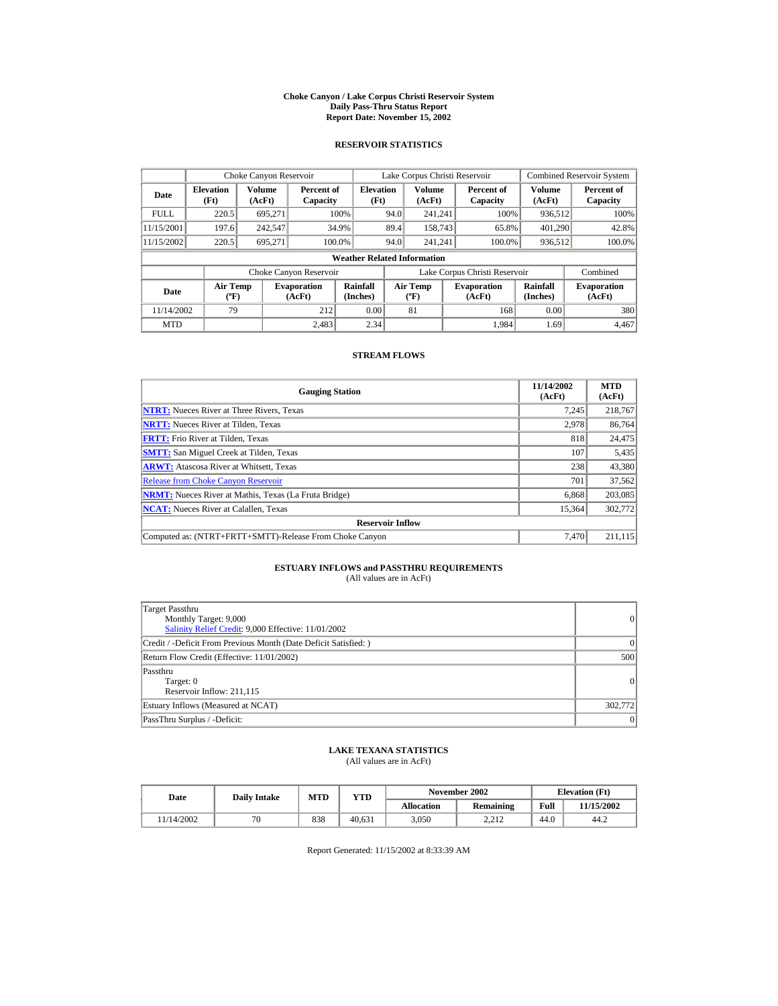#### **Choke Canyon / Lake Corpus Christi Reservoir System Daily Pass-Thru Status Report Report Date: November 15, 2002**

### **RESERVOIR STATISTICS**

|             | Choke Canyon Reservoir                      |                         |                              |                                    | Lake Corpus Christi Reservoir |                                           |  |                               |                      | <b>Combined Reservoir System</b> |
|-------------|---------------------------------------------|-------------------------|------------------------------|------------------------------------|-------------------------------|-------------------------------------------|--|-------------------------------|----------------------|----------------------------------|
| Date        | <b>Elevation</b><br>(Ft)                    | <b>Volume</b><br>(AcFt) | Percent of<br>Capacity       | <b>Elevation</b><br>(Ft)           |                               | <b>Volume</b><br>(AcFt)                   |  | Percent of<br>Capacity        | Volume<br>(AcFt)     | Percent of<br>Capacity           |
| <b>FULL</b> | 220.5                                       | 695.271                 |                              | 100%                               | 94.0                          | 241.241                                   |  | 100%                          | 936,512              | 100%                             |
| 11/15/2001  | 197.6                                       | 242,547                 |                              | 34.9%                              | 89.4                          | 158,743                                   |  | 65.8%                         | 401,290              | 42.8%                            |
| 11/15/2002  | 220.5                                       | 695,271                 | 100.0%                       |                                    | 94.0                          | 241.241                                   |  | 100.0%                        | 936,512              | 100.0%                           |
|             |                                             |                         |                              | <b>Weather Related Information</b> |                               |                                           |  |                               |                      |                                  |
|             |                                             |                         | Choke Canyon Reservoir       |                                    |                               |                                           |  | Lake Corpus Christi Reservoir |                      | Combined                         |
| Date        | <b>Air Temp</b><br>$({}^{\circ}\mathrm{F})$ |                         | <b>Evaporation</b><br>(AcFt) | Rainfall<br>(Inches)               |                               | <b>Air Temp</b><br>$(^{\circ}\mathrm{F})$ |  | <b>Evaporation</b><br>(AcFt)  | Rainfall<br>(Inches) | <b>Evaporation</b><br>(AcFt)     |
| 11/14/2002  | 79                                          |                         | 212                          | 0.00                               |                               | 81                                        |  | 168                           | 0.00                 | 380                              |
| <b>MTD</b>  |                                             |                         | 2.483                        | 2.34                               |                               |                                           |  | 1.984                         | 1.69                 | 4.467                            |

#### **STREAM FLOWS**

| <b>Gauging Station</b>                                       | 11/14/2002<br>(AcFt) | <b>MTD</b><br>(AcFt) |
|--------------------------------------------------------------|----------------------|----------------------|
| <b>NTRT:</b> Nueces River at Three Rivers, Texas             | 7.245                | 218,767              |
| <b>NRTT:</b> Nueces River at Tilden, Texas                   | 2,978                | 86,764               |
| <b>FRTT:</b> Frio River at Tilden, Texas                     | 818                  | 24,475               |
| <b>SMTT:</b> San Miguel Creek at Tilden, Texas               | 107                  | 5,435                |
| <b>ARWT:</b> Atascosa River at Whitsett, Texas               | 238                  | 43,380               |
| <b>Release from Choke Canyon Reservoir</b>                   | 701                  | 37.562               |
| <b>NRMT:</b> Nueces River at Mathis, Texas (La Fruta Bridge) | 6.868                | 203,085              |
| <b>NCAT:</b> Nueces River at Calallen, Texas                 | 15,364               | 302,772              |
| <b>Reservoir Inflow</b>                                      |                      |                      |
| Computed as: (NTRT+FRTT+SMTT)-Release From Choke Canyon      | 7.470                | 211.115              |

# **ESTUARY INFLOWS and PASSTHRU REQUIREMENTS**<br>(All values are in AcFt)

| Target Passthru<br>Monthly Target: 9,000<br>Salinity Relief Credit: 9,000 Effective: 11/01/2002 | 0               |
|-------------------------------------------------------------------------------------------------|-----------------|
| Credit / -Deficit From Previous Month (Date Deficit Satisfied:)                                 | $\Omega$        |
| Return Flow Credit (Effective: 11/01/2002)                                                      | 500             |
| Passthru<br>Target: 0<br>Reservoir Inflow: 211,115                                              | $\vert$ 0       |
| Estuary Inflows (Measured at NCAT)                                                              | 302,772         |
| PassThru Surplus / -Deficit:                                                                    | $\vert 0 \vert$ |

## **LAKE TEXANA STATISTICS**

(All values are in AcFt)

| Date      | <b>Daily Intake</b> | <b>MTD</b> | YTD    |                   | November 2002 | <b>Elevation</b> (Ft) |            |
|-----------|---------------------|------------|--------|-------------------|---------------|-----------------------|------------|
|           |                     |            |        | <b>Allocation</b> | Remaining     | Full                  | 11/15/2002 |
| 1/14/2002 | $\pi$ c             | 838        | 40.631 | 3.050             | າ າ າ<br>4.41 | 44.0                  | 44.2       |

Report Generated: 11/15/2002 at 8:33:39 AM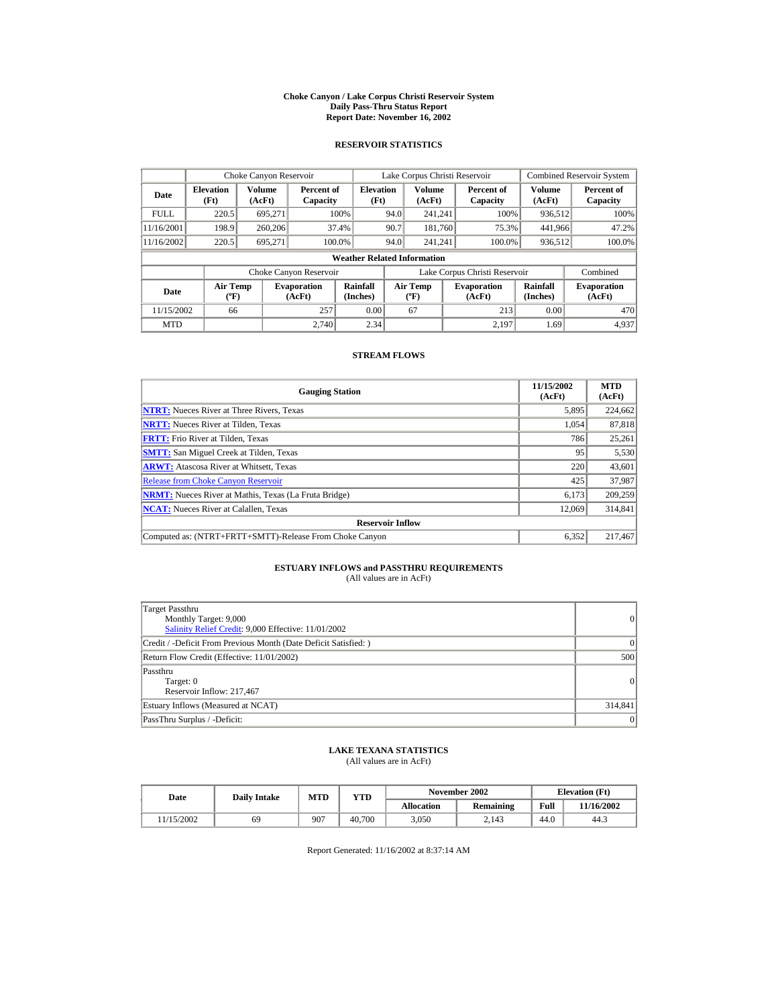#### **Choke Canyon / Lake Corpus Christi Reservoir System Daily Pass-Thru Status Report Report Date: November 16, 2002**

### **RESERVOIR STATISTICS**

|             | Choke Canyon Reservoir                      |                  |                              |                          | Lake Corpus Christi Reservoir |                                           |  |                               |                      | <b>Combined Reservoir System</b> |  |  |
|-------------|---------------------------------------------|------------------|------------------------------|--------------------------|-------------------------------|-------------------------------------------|--|-------------------------------|----------------------|----------------------------------|--|--|
| Date        | <b>Elevation</b><br>(Ft)                    | Volume<br>(AcFt) | Percent of<br>Capacity       | <b>Elevation</b><br>(Ft) |                               | <b>Volume</b><br>(AcFt)                   |  | Percent of<br>Capacity        | Volume<br>(AcFt)     | Percent of<br>Capacity           |  |  |
| <b>FULL</b> | 220.5                                       | 695.271          |                              | 100%                     | 94.0                          | 241.241                                   |  | 100%                          | 936,512              | 100%                             |  |  |
| 11/16/2001  | 198.9                                       | 260,206          |                              | 37.4%                    | 90.7                          | 181.760                                   |  | 75.3%                         | 441,966              | 47.2%                            |  |  |
| 11/16/2002  | 220.5                                       | 695,271          | 100.0%                       |                          | 94.0                          | 241.241                                   |  | 100.0%                        | 936,512              | 100.0%                           |  |  |
|             | <b>Weather Related Information</b>          |                  |                              |                          |                               |                                           |  |                               |                      |                                  |  |  |
|             |                                             |                  | Choke Canyon Reservoir       |                          |                               |                                           |  | Lake Corpus Christi Reservoir |                      | Combined                         |  |  |
| Date        | <b>Air Temp</b><br>$({}^{\circ}\mathrm{F})$ |                  | <b>Evaporation</b><br>(AcFt) | Rainfall<br>(Inches)     |                               | <b>Air Temp</b><br>$(^{\circ}\mathrm{F})$ |  | <b>Evaporation</b><br>(AcFt)  | Rainfall<br>(Inches) | <b>Evaporation</b><br>(AcFt)     |  |  |
| 11/15/2002  | 66                                          |                  | 257                          | 0.00                     |                               | 67                                        |  | 213                           | 0.00                 | 470                              |  |  |
| <b>MTD</b>  |                                             |                  | 2.740                        | 2.34                     |                               |                                           |  | 2.197                         | 1.69                 | 4.937                            |  |  |

#### **STREAM FLOWS**

| <b>Gauging Station</b>                                       | 11/15/2002<br>(AcFt) | <b>MTD</b><br>(AcFt) |
|--------------------------------------------------------------|----------------------|----------------------|
| <b>NTRT:</b> Nueces River at Three Rivers, Texas             | 5,895                | 224,662              |
| <b>NRTT:</b> Nueces River at Tilden, Texas                   | 1.054                | 87,818               |
| <b>FRTT:</b> Frio River at Tilden, Texas                     | 786                  | 25,261               |
| <b>SMTT:</b> San Miguel Creek at Tilden, Texas               | 95                   | 5,530                |
| <b>ARWT:</b> Atascosa River at Whitsett, Texas               | 220                  | 43,601               |
| <b>Release from Choke Canyon Reservoir</b>                   | 425                  | 37.987               |
| <b>NRMT:</b> Nueces River at Mathis, Texas (La Fruta Bridge) | 6,173                | 209,259              |
| <b>NCAT:</b> Nueces River at Calallen, Texas                 | 12,069               | 314,841              |
| <b>Reservoir Inflow</b>                                      |                      |                      |
| Computed as: (NTRT+FRTT+SMTT)-Release From Choke Canyon      | 6.352                | 217,467              |

# **ESTUARY INFLOWS and PASSTHRU REQUIREMENTS**<br>(All values are in AcFt)

| Target Passthru<br>Monthly Target: 9,000<br>Salinity Relief Credit: 9,000 Effective: 11/01/2002 | 0               |
|-------------------------------------------------------------------------------------------------|-----------------|
| Credit / -Deficit From Previous Month (Date Deficit Satisfied:)                                 | $\Omega$        |
| Return Flow Credit (Effective: 11/01/2002)                                                      | 500             |
| Passthru<br>Target: 0<br>Reservoir Inflow: 217,467                                              | $\vert$ 0       |
| Estuary Inflows (Measured at NCAT)                                                              | 314,841         |
| PassThru Surplus / -Deficit:                                                                    | $\vert 0 \vert$ |

## **LAKE TEXANA STATISTICS**

(All values are in AcFt)

| Date      | <b>Daily Intake</b> | <b>MTD</b> | YTD    |                   | November 2002 | <b>Elevation</b> (Ft) |            |
|-----------|---------------------|------------|--------|-------------------|---------------|-----------------------|------------|
|           |                     |            |        | <b>Allocation</b> | Remaining     | Full                  | 11/16/2002 |
| 1/15/2002 | 69                  | 907        | 40.700 | 3.050             | 2.143         | 44.0                  | 44.3       |

Report Generated: 11/16/2002 at 8:37:14 AM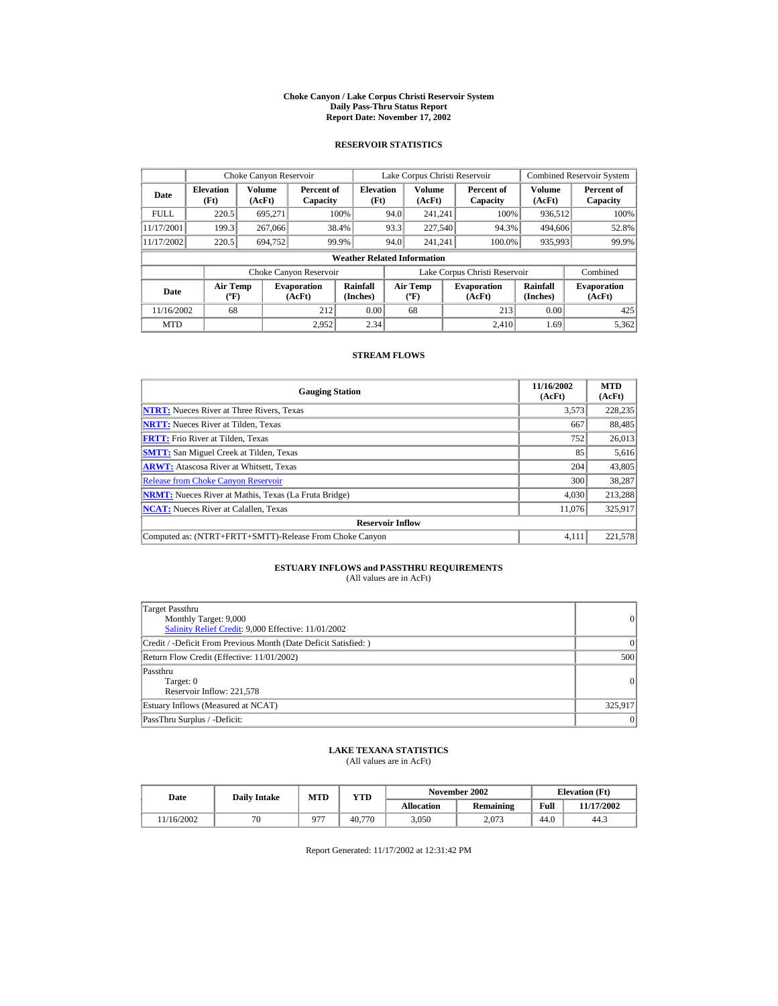#### **Choke Canyon / Lake Corpus Christi Reservoir System Daily Pass-Thru Status Report Report Date: November 17, 2002**

### **RESERVOIR STATISTICS**

|             | Choke Canyon Reservoir                      |                  |                              |                          | Lake Corpus Christi Reservoir |                                   |  |                               |                      | <b>Combined Reservoir System</b> |  |  |
|-------------|---------------------------------------------|------------------|------------------------------|--------------------------|-------------------------------|-----------------------------------|--|-------------------------------|----------------------|----------------------------------|--|--|
| Date        | <b>Elevation</b><br>(Ft)                    | Volume<br>(AcFt) | Percent of<br>Capacity       | <b>Elevation</b><br>(Ft) |                               | Volume<br>(AcFt)                  |  | Percent of<br>Capacity        | Volume<br>(AcFt)     | Percent of<br>Capacity           |  |  |
| <b>FULL</b> | 220.5                                       | 695.271          |                              | 100%                     | 94.0                          | 241.241                           |  | 100%                          | 936,512              | 100%                             |  |  |
| 11/17/2001  | 199.3                                       | 267,066          |                              | 38.4%                    | 93.3                          | 227,540                           |  | 94.3%                         | 494,606              | 52.8%                            |  |  |
| 11/17/2002  | 220.5                                       | 694,752          |                              | 99.9%                    | 94.0                          | 241.241                           |  | 100.0%                        | 935,993              | 99.9%                            |  |  |
|             | <b>Weather Related Information</b>          |                  |                              |                          |                               |                                   |  |                               |                      |                                  |  |  |
|             |                                             |                  | Choke Canyon Reservoir       |                          |                               |                                   |  | Lake Corpus Christi Reservoir |                      | Combined                         |  |  |
| Date        | <b>Air Temp</b><br>$({}^{\circ}\mathrm{F})$ |                  | <b>Evaporation</b><br>(AcFt) | Rainfall<br>(Inches)     |                               | Air Temp<br>$({}^{\circ}{\rm F})$ |  | <b>Evaporation</b><br>(AcFt)  | Rainfall<br>(Inches) | <b>Evaporation</b><br>(AcFt)     |  |  |
| 11/16/2002  | 68                                          |                  | 212                          | 0.00                     |                               | 68                                |  | 213                           | 0.00                 | 425                              |  |  |
| <b>MTD</b>  |                                             |                  | 2.952                        | 2.34                     |                               |                                   |  | 2.410                         | 1.69                 | 5.362                            |  |  |

#### **STREAM FLOWS**

| <b>Gauging Station</b>                                       | 11/16/2002<br>(AcFt) | <b>MTD</b><br>(AcFt) |
|--------------------------------------------------------------|----------------------|----------------------|
| <b>NTRT:</b> Nueces River at Three Rivers, Texas             | 3,573                | 228,235              |
| <b>NRTT:</b> Nueces River at Tilden, Texas                   | 667                  | 88,485               |
| <b>FRTT:</b> Frio River at Tilden, Texas                     | 752                  | 26,013               |
| <b>SMTT:</b> San Miguel Creek at Tilden, Texas               | 85                   | 5,616                |
| <b>ARWT:</b> Atascosa River at Whitsett, Texas               | 204                  | 43,805               |
| <b>Release from Choke Canvon Reservoir</b>                   | 300                  | 38,287               |
| <b>NRMT:</b> Nueces River at Mathis, Texas (La Fruta Bridge) | 4.030                | 213.288              |
| <b>NCAT:</b> Nueces River at Calallen, Texas                 | 11,076               | 325,917              |
| <b>Reservoir Inflow</b>                                      |                      |                      |
| Computed as: (NTRT+FRTT+SMTT)-Release From Choke Canyon      | 4.111                | 221,578              |

## **ESTUARY INFLOWS and PASSTHRU REQUIREMENTS**<br>(All values are in AcFt)

| Target Passthru<br>Monthly Target: 9,000<br>Salinity Relief Credit: 9,000 Effective: 11/01/2002 | $\overline{0}$ |
|-------------------------------------------------------------------------------------------------|----------------|
| Credit / -Deficit From Previous Month (Date Deficit Satisfied:)                                 | $\Omega$       |
| Return Flow Credit (Effective: 11/01/2002)                                                      | 500            |
| Passthru<br>Target: 0<br>Reservoir Inflow: 221,578                                              | $\overline{0}$ |
| Estuary Inflows (Measured at NCAT)                                                              | 325,917        |
| PassThru Surplus / -Deficit:                                                                    | 0              |

### **LAKE TEXANA STATISTICS**

(All values are in AcFt)

| Date      | <b>Daily Intake</b> | <b>MTD</b> | YTD    |                   | November 2002 | <b>Elevation</b> (Ft) |            |
|-----------|---------------------|------------|--------|-------------------|---------------|-----------------------|------------|
|           |                     |            |        | <b>Allocation</b> | Remaining     | Full                  | 11/17/2002 |
| 1/16/2002 | $\pi$ c             | 077        | 40.770 | 3.050             | 2.073         | 44.0                  | 44.3       |

Report Generated: 11/17/2002 at 12:31:42 PM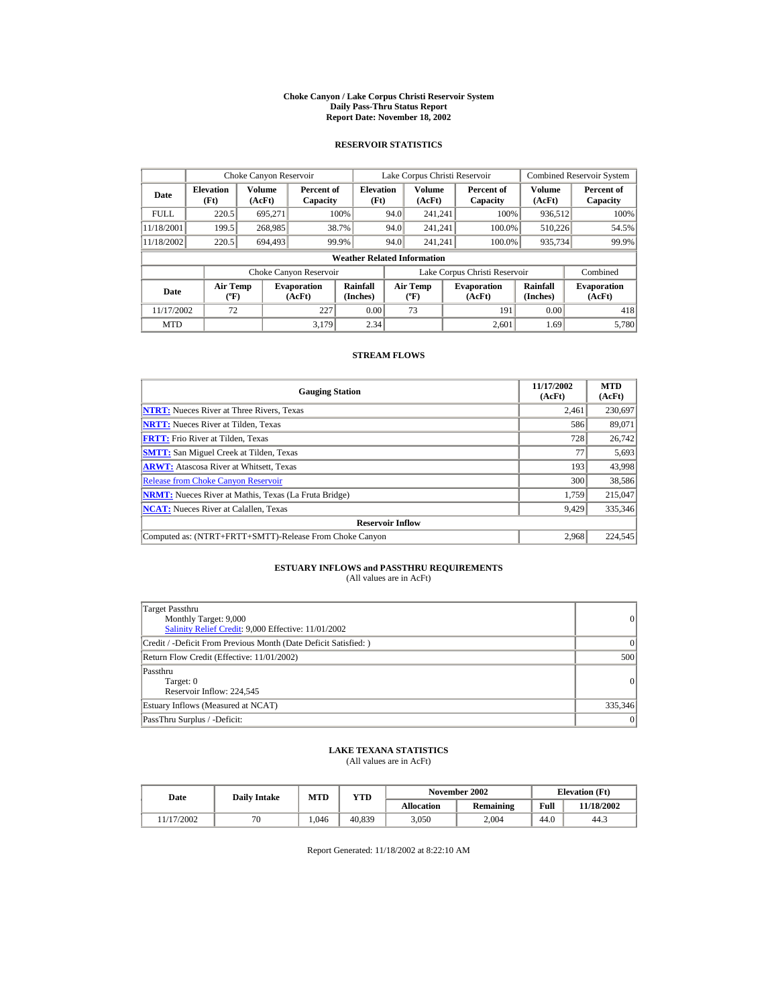#### **Choke Canyon / Lake Corpus Christi Reservoir System Daily Pass-Thru Status Report Report Date: November 18, 2002**

### **RESERVOIR STATISTICS**

|             | Choke Canyon Reservoir                      |                  |                              |                          | Lake Corpus Christi Reservoir |                                         |  |                               |                      | <b>Combined Reservoir System</b> |  |  |
|-------------|---------------------------------------------|------------------|------------------------------|--------------------------|-------------------------------|-----------------------------------------|--|-------------------------------|----------------------|----------------------------------|--|--|
| Date        | <b>Elevation</b><br>(Ft)                    | Volume<br>(AcFt) | Percent of<br>Capacity       | <b>Elevation</b><br>(Ft) |                               | <b>Volume</b><br>(AcFt)                 |  | Percent of<br>Capacity        | Volume<br>(AcFt)     | Percent of<br>Capacity           |  |  |
| <b>FULL</b> | 220.5                                       | 695.271          |                              | 100%                     | 94.0                          | 241.241                                 |  | 100%                          | 936,512              | 100%                             |  |  |
| 11/18/2001  | 199.5                                       | 268,985          |                              | 38.7%                    | 94.0                          | 241.241                                 |  | 100.0%                        | 510,226              | 54.5%                            |  |  |
| 11/18/2002  | 220.5                                       | 694.493          |                              | 99.9%                    | 94.0                          | 241.241                                 |  | 100.0%                        | 935,734              | 99.9%                            |  |  |
|             | <b>Weather Related Information</b>          |                  |                              |                          |                               |                                         |  |                               |                      |                                  |  |  |
|             |                                             |                  | Choke Canyon Reservoir       |                          |                               |                                         |  | Lake Corpus Christi Reservoir |                      | Combined                         |  |  |
| Date        | <b>Air Temp</b><br>$({}^{\circ}\mathrm{F})$ |                  | <b>Evaporation</b><br>(AcFt) | Rainfall<br>(Inches)     |                               | <b>Air Temp</b><br>$(^{\circ}\text{F})$ |  | <b>Evaporation</b><br>(AcFt)  | Rainfall<br>(Inches) | <b>Evaporation</b><br>(AcFt)     |  |  |
| 11/17/2002  | 72                                          |                  | 227                          | 0.00                     |                               | 73                                      |  | 191                           | 0.00                 | 418                              |  |  |
| <b>MTD</b>  |                                             |                  | 3.179                        | 2.34                     |                               |                                         |  | 2.601                         | 1.69                 | 5.780                            |  |  |

#### **STREAM FLOWS**

| <b>Gauging Station</b>                                       | 11/17/2002<br>(AcFt) | <b>MTD</b><br>(AcFt) |
|--------------------------------------------------------------|----------------------|----------------------|
| <b>NTRT:</b> Nueces River at Three Rivers, Texas             | 2,461                | 230,697              |
| <b>NRTT:</b> Nueces River at Tilden, Texas                   | 586                  | 89,071               |
| <b>FRTT:</b> Frio River at Tilden, Texas                     | 728                  | 26,742               |
| <b>SMTT:</b> San Miguel Creek at Tilden, Texas               | 77                   | 5,693                |
| <b>ARWT:</b> Atascosa River at Whitsett, Texas               | 193                  | 43,998               |
| <b>Release from Choke Canyon Reservoir</b>                   | 300                  | 38,586               |
| <b>NRMT:</b> Nueces River at Mathis, Texas (La Fruta Bridge) | 1.759                | 215,047              |
| <b>NCAT:</b> Nueces River at Calallen, Texas                 | 9,429                | 335,346              |
| <b>Reservoir Inflow</b>                                      |                      |                      |
| Computed as: (NTRT+FRTT+SMTT)-Release From Choke Canyon      | 2.968                | 224,545              |

# **ESTUARY INFLOWS and PASSTHRU REQUIREMENTS**<br>(All values are in AcFt)

| Target Passthru<br>Monthly Target: 9,000<br>Salinity Relief Credit: 9,000 Effective: 11/01/2002 | $\overline{0}$ |
|-------------------------------------------------------------------------------------------------|----------------|
| Credit / -Deficit From Previous Month (Date Deficit Satisfied: )                                | ( )            |
| Return Flow Credit (Effective: 11/01/2002)                                                      | 500            |
| Passthru<br>Target: 0<br>Reservoir Inflow: 224,545                                              | $\overline{0}$ |
| Estuary Inflows (Measured at NCAT)                                                              | 335,346        |
| PassThru Surplus / -Deficit:                                                                    | $\overline{0}$ |

## **LAKE TEXANA STATISTICS**

(All values are in AcFt)

| Date      | <b>Daily Intake</b> | <b>MTD</b> | YTD    |                   | November 2002 | <b>Elevation</b> (Ft) |            |
|-----------|---------------------|------------|--------|-------------------|---------------|-----------------------|------------|
|           |                     |            |        | <b>Allocation</b> | Remaining     | Full                  | 11/18/2002 |
| 1/17/2002 | $\pi$ c             | 1.046      | 40.839 | 3.050             | 2.004         | 44.0                  | 44.3       |

Report Generated: 11/18/2002 at 8:22:10 AM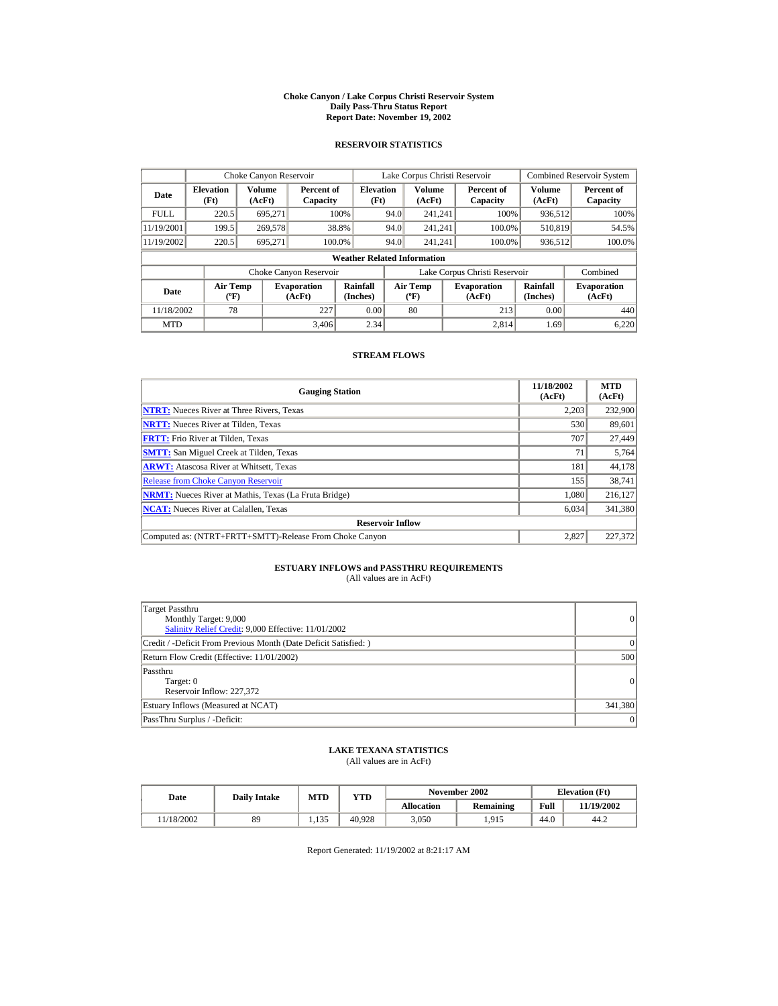#### **Choke Canyon / Lake Corpus Christi Reservoir System Daily Pass-Thru Status Report Report Date: November 19, 2002**

### **RESERVOIR STATISTICS**

|             | Choke Canyon Reservoir                      |                  |                              |                                    | Lake Corpus Christi Reservoir |                                           |  |                               |                      | <b>Combined Reservoir System</b> |
|-------------|---------------------------------------------|------------------|------------------------------|------------------------------------|-------------------------------|-------------------------------------------|--|-------------------------------|----------------------|----------------------------------|
| Date        | <b>Elevation</b><br>(Ft)                    | Volume<br>(AcFt) | Percent of<br>Capacity       | <b>Elevation</b><br>(Ft)           |                               | Volume<br>(AcFt)                          |  | Percent of<br>Capacity        | Volume<br>(AcFt)     | Percent of<br>Capacity           |
| <b>FULL</b> | 220.5                                       | 695.271          |                              | 100%                               | 94.0                          | 241.241                                   |  | 100%                          | 936,512              | 100%                             |
| 11/19/2001  | 199.5                                       | 269,578          |                              | 38.8%                              | 94.0                          | 241.241                                   |  | 100.0%                        | 510.819              | 54.5%                            |
| 11/19/2002  | 220.5                                       | 695.271          | 100.0%                       |                                    | 94.0                          | 241.241                                   |  | 100.0%                        | 936,512              | 100.0%                           |
|             |                                             |                  |                              | <b>Weather Related Information</b> |                               |                                           |  |                               |                      |                                  |
|             |                                             |                  | Choke Canyon Reservoir       |                                    |                               |                                           |  | Lake Corpus Christi Reservoir |                      | Combined                         |
| Date        | <b>Air Temp</b><br>$({}^{\circ}\mathrm{F})$ |                  | <b>Evaporation</b><br>(AcFt) | Rainfall<br>(Inches)               |                               | <b>Air Temp</b><br>$({}^{\circ}\text{F})$ |  | <b>Evaporation</b><br>(AcFt)  | Rainfall<br>(Inches) | <b>Evaporation</b><br>(AcFt)     |
| 11/18/2002  | 78                                          |                  | 227                          | 0.00                               |                               | 80                                        |  | 213                           | 0.00                 | 440                              |
| <b>MTD</b>  |                                             |                  | 3.406                        | 2.34                               |                               |                                           |  | 2.814                         | 1.69                 | 6,220                            |

#### **STREAM FLOWS**

| <b>Gauging Station</b>                                       | 11/18/2002<br>(AcFt) | <b>MTD</b><br>(AcFt) |
|--------------------------------------------------------------|----------------------|----------------------|
| <b>NTRT:</b> Nueces River at Three Rivers, Texas             | 2,203                | 232,900              |
| <b>NRTT:</b> Nueces River at Tilden, Texas                   | 530                  | 89,601               |
| <b>FRTT:</b> Frio River at Tilden, Texas                     | 707                  | 27,449               |
| <b>SMTT:</b> San Miguel Creek at Tilden, Texas               | 71                   | 5,764                |
| <b>ARWT:</b> Atascosa River at Whitsett, Texas               | 181                  | 44,178               |
| <b>Release from Choke Canyon Reservoir</b>                   | 155                  | 38.741               |
| <b>NRMT:</b> Nueces River at Mathis, Texas (La Fruta Bridge) | 1.080                | 216,127              |
| <b>NCAT:</b> Nueces River at Calallen, Texas                 | 6,034                | 341,380              |
| <b>Reservoir Inflow</b>                                      |                      |                      |
| Computed as: (NTRT+FRTT+SMTT)-Release From Choke Canyon      | 2.827                | 227,372              |

# **ESTUARY INFLOWS and PASSTHRU REQUIREMENTS**<br>(All values are in AcFt)

| Target Passthru<br>Monthly Target: 9,000<br>Salinity Relief Credit: 9,000 Effective: 11/01/2002 | $\overline{0}$ |
|-------------------------------------------------------------------------------------------------|----------------|
| Credit / -Deficit From Previous Month (Date Deficit Satisfied: )                                | $\Omega$       |
| Return Flow Credit (Effective: 11/01/2002)                                                      | 500            |
| Passthru<br>Target: 0<br>Reservoir Inflow: 227.372                                              | $\Omega$       |
| Estuary Inflows (Measured at NCAT)                                                              | 341,380        |
| PassThru Surplus / -Deficit:                                                                    | 0              |

## **LAKE TEXANA STATISTICS**

(All values are in AcFt)

| Date      | <b>Daily Intake</b> | MTD   | $_{\rm VTD}$ |            | November 2002 | <b>Elevation</b> (Ft) |            |
|-----------|---------------------|-------|--------------|------------|---------------|-----------------------|------------|
|           |                     |       |              | Allocation | Remaining     | Full                  | 11/19/2002 |
| 1/18/2002 | 89                  | 1.135 | 40.928       | 3.050      | 1.915         | 44.0                  | 44.2       |

Report Generated: 11/19/2002 at 8:21:17 AM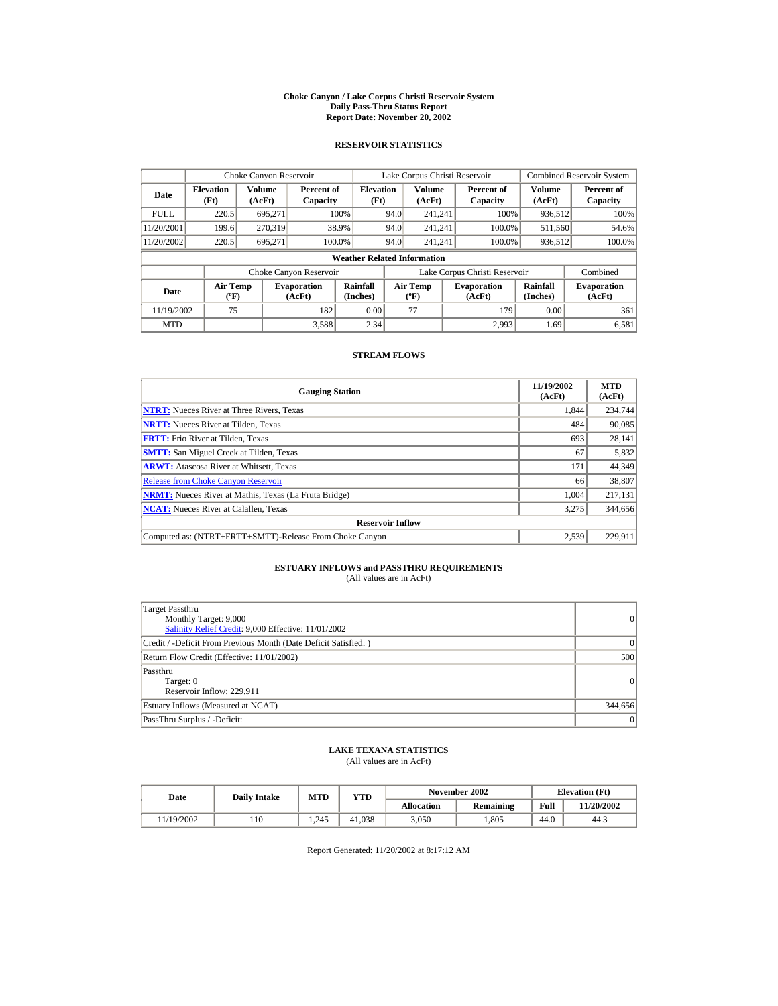#### **Choke Canyon / Lake Corpus Christi Reservoir System Daily Pass-Thru Status Report Report Date: November 20, 2002**

### **RESERVOIR STATISTICS**

|             | Choke Canyon Reservoir                      |                  |                              |                                    | Lake Corpus Christi Reservoir |                                           |  |                               |                      | <b>Combined Reservoir System</b> |
|-------------|---------------------------------------------|------------------|------------------------------|------------------------------------|-------------------------------|-------------------------------------------|--|-------------------------------|----------------------|----------------------------------|
| Date        | <b>Elevation</b><br>(Ft)                    | Volume<br>(AcFt) | Percent of<br>Capacity       | <b>Elevation</b><br>(Ft)           |                               | Volume<br>(AcFt)                          |  | Percent of<br>Capacity        | Volume<br>(AcFt)     | Percent of<br>Capacity           |
| <b>FULL</b> | 220.5                                       | 695.271          |                              | 100%                               | 94.0                          | 241.241                                   |  | 100%                          | 936,512              | 100%                             |
| 11/20/2001  | 199.6                                       | 270.319          |                              | 38.9%                              | 94.0                          | 241.241                                   |  | 100.0%                        | 511,560              | 54.6%                            |
| 11/20/2002  | 220.5                                       | 695.271          |                              | 100.0%                             | 94.0                          | 241.241                                   |  | 100.0%                        | 936,512              | 100.0%                           |
|             |                                             |                  |                              | <b>Weather Related Information</b> |                               |                                           |  |                               |                      |                                  |
|             |                                             |                  | Choke Canyon Reservoir       |                                    |                               |                                           |  | Lake Corpus Christi Reservoir |                      | Combined                         |
| Date        | <b>Air Temp</b><br>$({}^{\circ}\mathrm{F})$ |                  | <b>Evaporation</b><br>(AcFt) | Rainfall<br>(Inches)               |                               | <b>Air Temp</b><br>$({}^{\circ}\text{F})$ |  | <b>Evaporation</b><br>(AcFt)  | Rainfall<br>(Inches) | <b>Evaporation</b><br>(AcFt)     |
| 11/19/2002  | 75                                          |                  | 182                          | 0.00                               |                               | 77                                        |  | 179                           | 0.00                 | 361                              |
| <b>MTD</b>  |                                             |                  | 3,588                        | 2.34                               |                               |                                           |  | 2.993                         | 1.69                 | 6,581                            |

#### **STREAM FLOWS**

| <b>Gauging Station</b>                                       | 11/19/2002<br>(AcFt) | <b>MTD</b><br>(AcFt) |
|--------------------------------------------------------------|----------------------|----------------------|
| <b>NTRT:</b> Nueces River at Three Rivers, Texas             | 1.844                | 234,744              |
| <b>NRTT:</b> Nueces River at Tilden, Texas                   | 484                  | 90,085               |
| <b>FRTT:</b> Frio River at Tilden, Texas                     | 693                  | 28,141               |
| <b>SMTT:</b> San Miguel Creek at Tilden, Texas               | 67                   | 5,832                |
| <b>ARWT:</b> Atascosa River at Whitsett, Texas               | 171                  | 44,349               |
| <b>Release from Choke Canyon Reservoir</b>                   | 66                   | 38,807               |
| <b>NRMT:</b> Nueces River at Mathis, Texas (La Fruta Bridge) | 1.004                | 217,131              |
| <b>NCAT:</b> Nueces River at Calallen, Texas                 | 3,275                | 344,656              |
| <b>Reservoir Inflow</b>                                      |                      |                      |
| Computed as: (NTRT+FRTT+SMTT)-Release From Choke Canyon      | 2.539                | 229.911              |

# **ESTUARY INFLOWS and PASSTHRU REQUIREMENTS**<br>(All values are in AcFt)

| Target Passthru<br>Monthly Target: 9,000<br>Salinity Relief Credit: 9,000 Effective: 11/01/2002 | $\overline{0}$ |
|-------------------------------------------------------------------------------------------------|----------------|
| Credit / -Deficit From Previous Month (Date Deficit Satisfied: )                                | ( )            |
| Return Flow Credit (Effective: 11/01/2002)                                                      | 500            |
| Passthru<br>Target: 0<br>Reservoir Inflow: 229,911                                              | $\overline{0}$ |
| Estuary Inflows (Measured at NCAT)                                                              | 344,656        |
| PassThru Surplus / -Deficit:                                                                    | 0              |

## **LAKE TEXANA STATISTICS**

(All values are in AcFt)

| Date      | <b>Daily Intake</b> | MTD   | $_{\rm VTD}$ |                   | November 2002 | <b>Elevation</b> (Ft) |            |
|-----------|---------------------|-------|--------------|-------------------|---------------|-----------------------|------------|
|           |                     |       |              | <b>Allocation</b> | Remaining     | Full                  | 11/20/2002 |
| 1/19/2002 | 110                 | 1.245 | 41.038       | 3.050             | .805          | 44.0                  | 44.3       |

Report Generated: 11/20/2002 at 8:17:12 AM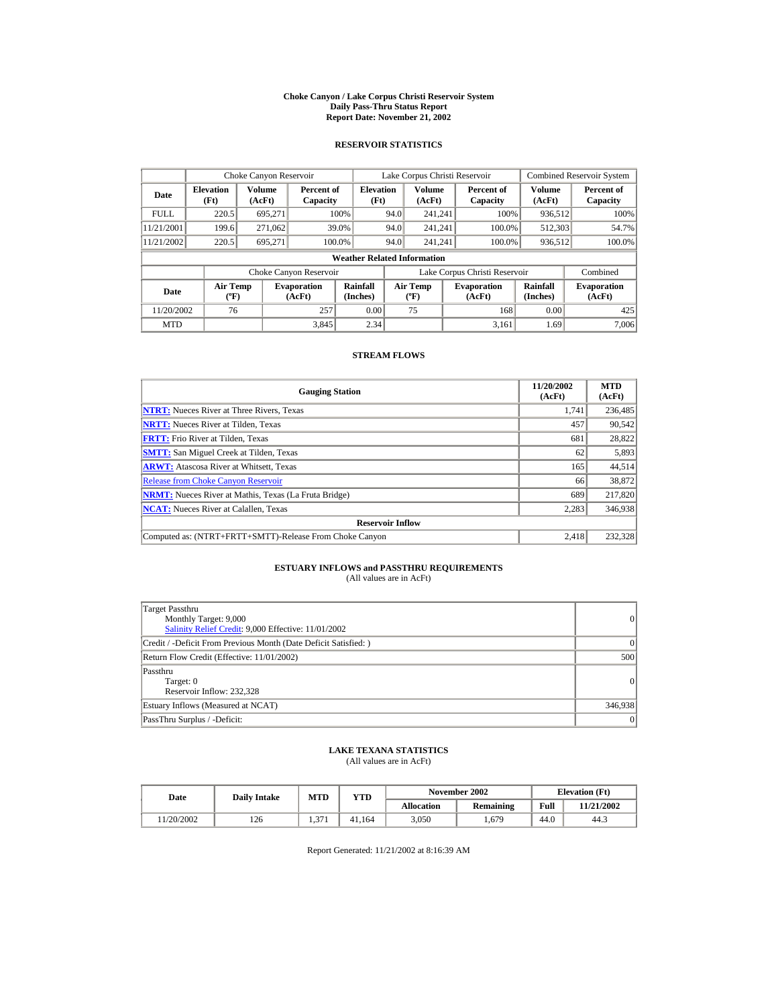#### **Choke Canyon / Lake Corpus Christi Reservoir System Daily Pass-Thru Status Report Report Date: November 21, 2002**

### **RESERVOIR STATISTICS**

|             | Choke Canyon Reservoir                      |                  |                              |                                    | Lake Corpus Christi Reservoir |                                           |  |                               |                      | <b>Combined Reservoir System</b> |
|-------------|---------------------------------------------|------------------|------------------------------|------------------------------------|-------------------------------|-------------------------------------------|--|-------------------------------|----------------------|----------------------------------|
| Date        | <b>Elevation</b><br>(Ft)                    | Volume<br>(AcFt) | Percent of<br>Capacity       | <b>Elevation</b><br>(Ft)           |                               | Volume<br>(AcFt)                          |  | Percent of<br>Capacity        | Volume<br>(AcFt)     | Percent of<br>Capacity           |
| <b>FULL</b> | 220.5                                       | 695.271          |                              | 100%                               | 94.0                          | 241.241                                   |  | 100%                          | 936,512              | 100%                             |
| 11/21/2001  | 199.6                                       | 271,062          |                              | 39.0%                              | 94.0                          | 241.241                                   |  | 100.0%                        | 512,303              | 54.7%                            |
| 11/21/2002  | 220.5                                       | 695.271          | 100.0%                       |                                    | 94.0                          | 241.241                                   |  | 100.0%                        | 936,512              | 100.0%                           |
|             |                                             |                  |                              | <b>Weather Related Information</b> |                               |                                           |  |                               |                      |                                  |
|             |                                             |                  | Choke Canyon Reservoir       |                                    |                               |                                           |  | Lake Corpus Christi Reservoir |                      | Combined                         |
| Date        | <b>Air Temp</b><br>$({}^{\circ}\mathrm{F})$ |                  | <b>Evaporation</b><br>(AcFt) | Rainfall<br>(Inches)               |                               | <b>Air Temp</b><br>$({}^{\circ}\text{F})$ |  | <b>Evaporation</b><br>(AcFt)  | Rainfall<br>(Inches) | <b>Evaporation</b><br>(AcFt)     |
| 11/20/2002  | 76                                          |                  | 257                          | 0.00                               |                               | 75                                        |  | 168                           | 0.00                 | 425                              |
| <b>MTD</b>  |                                             |                  | 3.845                        | 2.34                               |                               |                                           |  | 3.161                         | 1.69                 | 7.006                            |

#### **STREAM FLOWS**

| <b>Gauging Station</b>                                       | 11/20/2002<br>(AcFt) | <b>MTD</b><br>(AcFt) |
|--------------------------------------------------------------|----------------------|----------------------|
| <b>NTRT:</b> Nueces River at Three Rivers, Texas             | 1,741                | 236,485              |
| <b>NRTT:</b> Nueces River at Tilden, Texas                   | 457                  | 90,542               |
| <b>FRTT:</b> Frio River at Tilden, Texas                     | 681                  | 28,822               |
| <b>SMTT:</b> San Miguel Creek at Tilden, Texas               | 62                   | 5,893                |
| <b>ARWT:</b> Atascosa River at Whitsett, Texas               | 165                  | 44,514               |
| <b>Release from Choke Canyon Reservoir</b>                   | 66                   | 38.872               |
| <b>NRMT:</b> Nueces River at Mathis, Texas (La Fruta Bridge) | 689                  | 217,820              |
| <b>NCAT:</b> Nueces River at Calallen, Texas                 | 2,283                | 346,938              |
| <b>Reservoir Inflow</b>                                      |                      |                      |
| Computed as: (NTRT+FRTT+SMTT)-Release From Choke Canyon      | 2.418                | 232.328              |

# **ESTUARY INFLOWS and PASSTHRU REQUIREMENTS**<br>(All values are in AcFt)

| Target Passthru<br>Monthly Target: 9,000<br>Salinity Relief Credit: 9,000 Effective: 11/01/2002 | $\overline{0}$ |
|-------------------------------------------------------------------------------------------------|----------------|
| Credit / -Deficit From Previous Month (Date Deficit Satisfied: )                                | ( )            |
| Return Flow Credit (Effective: 11/01/2002)                                                      | 500            |
| Passthru<br>Target: 0<br>Reservoir Inflow: 232.328                                              | $\overline{0}$ |
| Estuary Inflows (Measured at NCAT)                                                              | 346,938        |
| PassThru Surplus / -Deficit:                                                                    | $\overline{0}$ |

## **LAKE TEXANA STATISTICS**

(All values are in AcFt)

| Date      | <b>Daily Intake</b> | <b>MTD</b>  | YTD    |                   | November 2002 | <b>Elevation</b> (Ft) |            |
|-----------|---------------------|-------------|--------|-------------------|---------------|-----------------------|------------|
|           |                     |             |        | <b>Allocation</b> | Remaining     | Full                  | 11/21/2002 |
| 1/20/2002 | 126                 | 27'<br>1.57 | 41.164 | 3.050             | . 679         | 44.0                  | 44.3       |

Report Generated: 11/21/2002 at 8:16:39 AM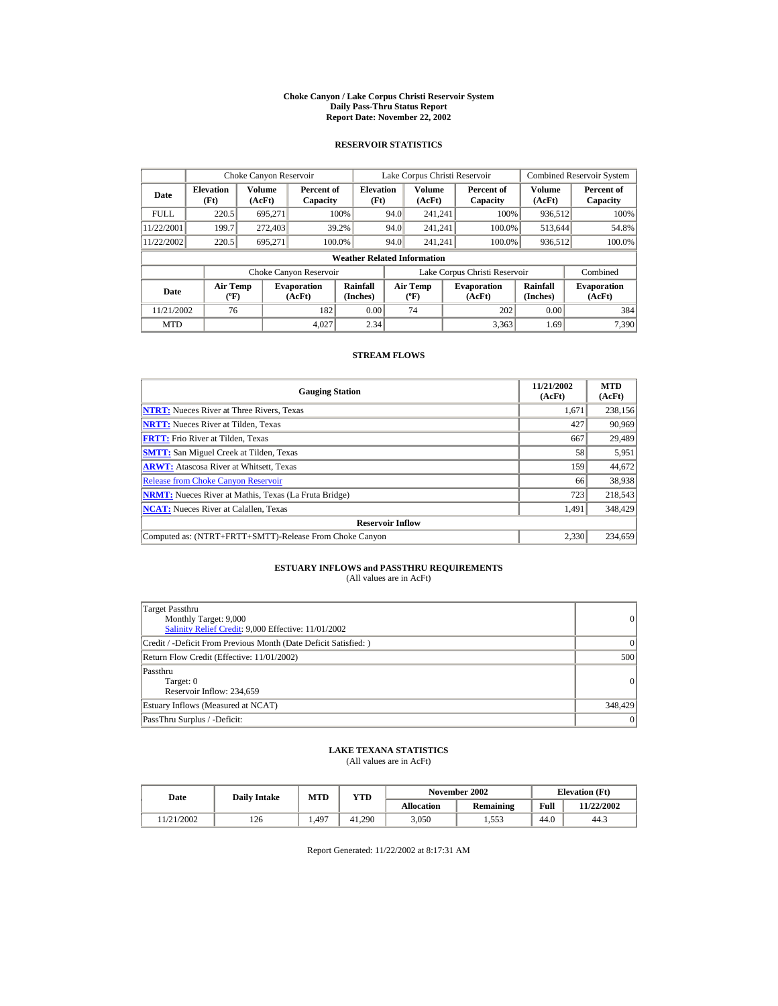#### **Choke Canyon / Lake Corpus Christi Reservoir System Daily Pass-Thru Status Report Report Date: November 22, 2002**

### **RESERVOIR STATISTICS**

|             | Choke Canyon Reservoir                      |                  |                              |                          | Lake Corpus Christi Reservoir |                                         |  |                               |                      | <b>Combined Reservoir System</b> |  |  |
|-------------|---------------------------------------------|------------------|------------------------------|--------------------------|-------------------------------|-----------------------------------------|--|-------------------------------|----------------------|----------------------------------|--|--|
| Date        | <b>Elevation</b><br>(Ft)                    | Volume<br>(AcFt) | Percent of<br>Capacity       | <b>Elevation</b><br>(Ft) |                               | <b>Volume</b><br>(AcFt)                 |  | Percent of<br>Capacity        | Volume<br>(AcFt)     | Percent of<br>Capacity           |  |  |
| <b>FULL</b> | 220.5                                       | 695.271          |                              | 100%                     | 94.0                          | 241.241                                 |  | 100%                          | 936,512              | 100%                             |  |  |
| 11/22/2001  | 199.7                                       | 272,403          |                              | 39.2%                    | 94.0                          | 241.241                                 |  | 100.0%                        | 513,644              | 54.8%                            |  |  |
| 11/22/2002  | 220.5                                       | 695,271          | 100.0%                       |                          | 94.0                          | 241.241                                 |  | 100.0%                        | 936,512              | 100.0%                           |  |  |
|             | <b>Weather Related Information</b>          |                  |                              |                          |                               |                                         |  |                               |                      |                                  |  |  |
|             |                                             |                  | Choke Canyon Reservoir       |                          |                               |                                         |  | Lake Corpus Christi Reservoir |                      | Combined                         |  |  |
| Date        | <b>Air Temp</b><br>$({}^{\circ}\mathrm{F})$ |                  | <b>Evaporation</b><br>(AcFt) | Rainfall<br>(Inches)     |                               | <b>Air Temp</b><br>$(^{\circ}\text{F})$ |  | <b>Evaporation</b><br>(AcFt)  | Rainfall<br>(Inches) | <b>Evaporation</b><br>(AcFt)     |  |  |
| 11/21/2002  | 76                                          |                  | 182                          | 0.00                     |                               | 74                                      |  | 202                           | 0.00                 | 384                              |  |  |
| <b>MTD</b>  |                                             |                  | 4.027                        | 2.34                     |                               |                                         |  | 3.363                         | 1.69                 | 7.390                            |  |  |

#### **STREAM FLOWS**

| <b>Gauging Station</b>                                       | 11/21/2002<br>(AcFt) | <b>MTD</b><br>(AcFt) |
|--------------------------------------------------------------|----------------------|----------------------|
| <b>NTRT:</b> Nueces River at Three Rivers, Texas             | 1.671                | 238,156              |
| <b>NRTT:</b> Nueces River at Tilden, Texas                   | 427                  | 90,969               |
| <b>FRTT:</b> Frio River at Tilden, Texas                     | 667                  | 29,489               |
| <b>SMTT:</b> San Miguel Creek at Tilden, Texas               | 58                   | 5,951                |
| <b>ARWT:</b> Atascosa River at Whitsett, Texas               | 159                  | 44,672               |
| <b>Release from Choke Canyon Reservoir</b>                   | 66                   | 38,938               |
| <b>NRMT:</b> Nueces River at Mathis, Texas (La Fruta Bridge) | 723                  | 218,543              |
| <b>NCAT:</b> Nueces River at Calallen, Texas                 | 1,491                | 348,429              |
| <b>Reservoir Inflow</b>                                      |                      |                      |
| Computed as: (NTRT+FRTT+SMTT)-Release From Choke Canyon      | 2.330                | 234,659              |

# **ESTUARY INFLOWS and PASSTHRU REQUIREMENTS**<br>(All values are in AcFt)

| Target Passthru<br>Monthly Target: 9,000<br>Salinity Relief Credit: 9,000 Effective: 11/01/2002 | 0               |
|-------------------------------------------------------------------------------------------------|-----------------|
| Credit / -Deficit From Previous Month (Date Deficit Satisfied:)                                 | $\Omega$        |
| Return Flow Credit (Effective: 11/01/2002)                                                      | 500             |
| Passthru<br>Target: 0<br>Reservoir Inflow: 234,659                                              | $\vert$ 0       |
| Estuary Inflows (Measured at NCAT)                                                              | 348,429         |
| PassThru Surplus / -Deficit:                                                                    | $\vert 0 \vert$ |

## **LAKE TEXANA STATISTICS**

(All values are in AcFt)

| Date      | <b>Daily Intake</b> | <b>MTD</b> | YTD    |                   | November 2002 | <b>Elevation</b> (Ft) |            |
|-----------|---------------------|------------|--------|-------------------|---------------|-----------------------|------------|
|           |                     |            |        | <b>Allocation</b> | Remaining     | Full                  | 11/22/2002 |
| 1/21/2002 | 126                 | 1.497      | 41.290 | 3.050             | 1.553         | 44.0                  | 44.3       |

Report Generated: 11/22/2002 at 8:17:31 AM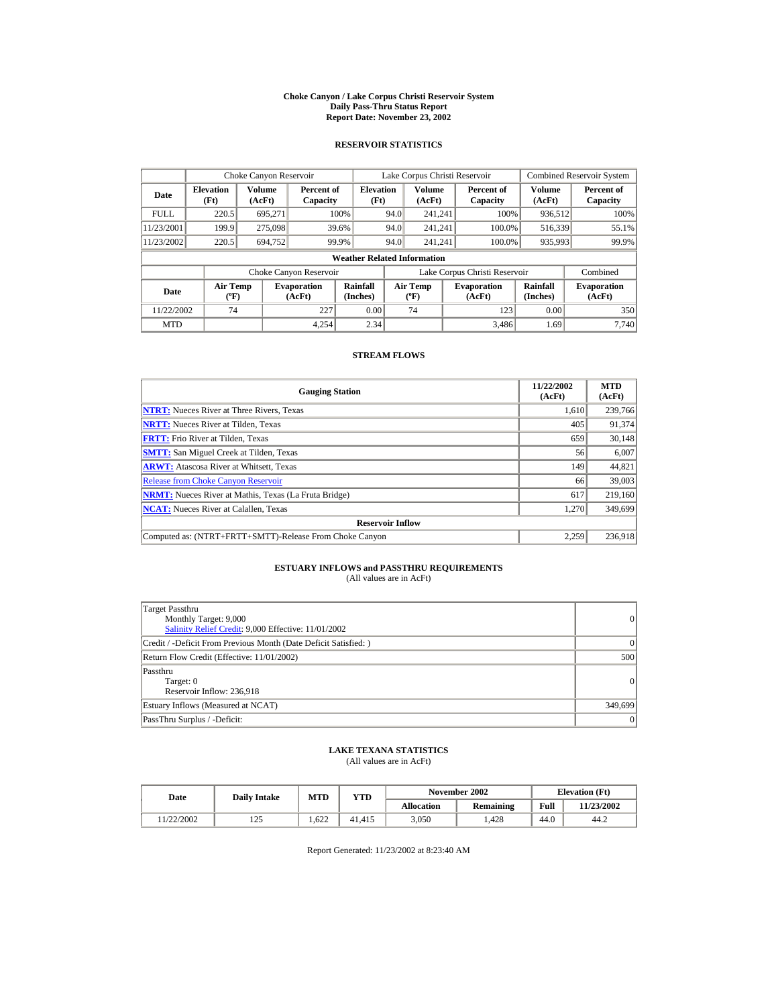#### **Choke Canyon / Lake Corpus Christi Reservoir System Daily Pass-Thru Status Report Report Date: November 23, 2002**

### **RESERVOIR STATISTICS**

|             | Choke Canyon Reservoir                      |                  |                              |                          | Lake Corpus Christi Reservoir |                                         |  |                               |                      | <b>Combined Reservoir System</b> |  |  |
|-------------|---------------------------------------------|------------------|------------------------------|--------------------------|-------------------------------|-----------------------------------------|--|-------------------------------|----------------------|----------------------------------|--|--|
| Date        | <b>Elevation</b><br>(Ft)                    | Volume<br>(AcFt) | Percent of<br>Capacity       | <b>Elevation</b><br>(Ft) |                               | <b>Volume</b><br>(AcFt)                 |  | Percent of<br>Capacity        | Volume<br>(AcFt)     | Percent of<br>Capacity           |  |  |
| <b>FULL</b> | 220.5                                       | 695.271          |                              | 100%                     | 94.0                          | 241.241                                 |  | 100%                          | 936,512              | 100%                             |  |  |
| 11/23/2001  | 199.9                                       | 275,098          |                              | 39.6%                    | 94.0                          | 241.241                                 |  | 100.0%                        | 516,339              | 55.1%                            |  |  |
| 11/23/2002  | 220.5                                       | 694,752          |                              | 99.9%                    | 94.0                          | 241.241                                 |  | 100.0%                        | 935,993              | 99.9%                            |  |  |
|             | <b>Weather Related Information</b>          |                  |                              |                          |                               |                                         |  |                               |                      |                                  |  |  |
|             |                                             |                  | Choke Canyon Reservoir       |                          |                               |                                         |  | Lake Corpus Christi Reservoir |                      | Combined                         |  |  |
| Date        | <b>Air Temp</b><br>$({}^{\circ}\mathrm{F})$ |                  | <b>Evaporation</b><br>(AcFt) | Rainfall<br>(Inches)     |                               | <b>Air Temp</b><br>$(^{\circ}\text{F})$ |  | <b>Evaporation</b><br>(AcFt)  | Rainfall<br>(Inches) | <b>Evaporation</b><br>(AcFt)     |  |  |
| 11/22/2002  | 74                                          |                  | 227                          | 0.00                     |                               | 74                                      |  | 123                           | 0.00                 | 350                              |  |  |
| <b>MTD</b>  |                                             |                  | 4.254                        | 2.34                     |                               |                                         |  | 3.486                         | 1.69                 | 7.740                            |  |  |

#### **STREAM FLOWS**

| <b>Gauging Station</b>                                       | 11/22/2002<br>(AcFt) | <b>MTD</b><br>(AcFt) |
|--------------------------------------------------------------|----------------------|----------------------|
| <b>NTRT:</b> Nueces River at Three Rivers, Texas             | 1.610                | 239,766              |
| <b>NRTT:</b> Nueces River at Tilden, Texas                   | 405                  | 91,374               |
| <b>FRTT:</b> Frio River at Tilden, Texas                     | 659                  | 30,148               |
| <b>SMTT:</b> San Miguel Creek at Tilden, Texas               | 56                   | 6,007                |
| <b>ARWT:</b> Atascosa River at Whitsett, Texas               | 149                  | 44,821               |
| <b>Release from Choke Canyon Reservoir</b>                   | 66                   | 39,003               |
| <b>NRMT:</b> Nueces River at Mathis, Texas (La Fruta Bridge) | 617                  | 219,160              |
| <b>NCAT:</b> Nueces River at Calallen, Texas                 | 1,270                | 349,699              |
| <b>Reservoir Inflow</b>                                      |                      |                      |
| Computed as: (NTRT+FRTT+SMTT)-Release From Choke Canyon      | 2.259                | 236,918              |

# **ESTUARY INFLOWS and PASSTHRU REQUIREMENTS**<br>(All values are in AcFt)

| Target Passthru<br>Monthly Target: 9,000<br>Salinity Relief Credit: 9,000 Effective: 11/01/2002 | 0         |
|-------------------------------------------------------------------------------------------------|-----------|
| Credit / -Deficit From Previous Month (Date Deficit Satisfied:)                                 | $\Omega$  |
| Return Flow Credit (Effective: 11/01/2002)                                                      | 500       |
| Passthru<br>Target: 0<br>Reservoir Inflow: 236.918                                              | $\vert$ 0 |
| Estuary Inflows (Measured at NCAT)                                                              | 349,699   |
| PassThru Surplus / -Deficit:                                                                    | $\vert$ 0 |

## **LAKE TEXANA STATISTICS**

(All values are in AcFt)

| Date      | <b>Daily Intake</b> | <b>MTD</b> | YTD    |                   | November 2002 | <b>Elevation</b> (Ft) |            |
|-----------|---------------------|------------|--------|-------------------|---------------|-----------------------|------------|
|           |                     |            |        | <b>Allocation</b> | Remaining     | Full                  | 11/23/2002 |
| 1/22/2002 | 125<br>ل کے 1       | 1.622      | 41.415 | 3.050             | .428          | 44.0                  | 44.2       |

Report Generated: 11/23/2002 at 8:23:40 AM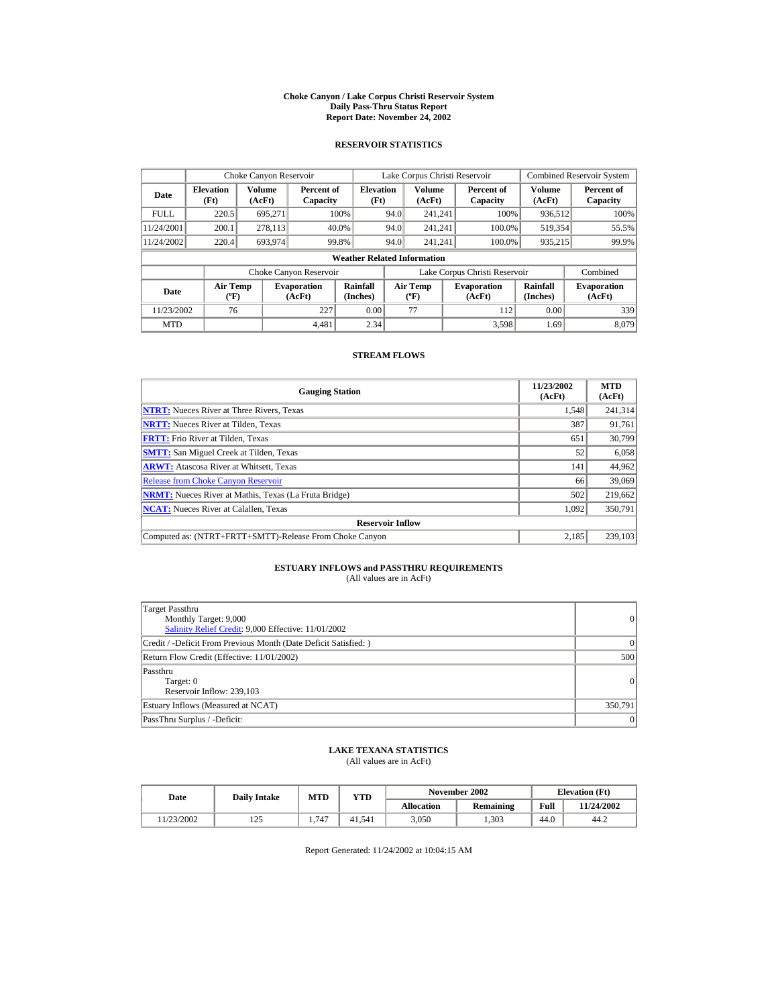#### **Choke Canyon / Lake Corpus Christi Reservoir System Daily Pass-Thru Status Report Report Date: November 24, 2002**

### **RESERVOIR STATISTICS**

|             | Choke Canyon Reservoir                      |                  |                              |                          | Lake Corpus Christi Reservoir |                                          |  |                               |                      | <b>Combined Reservoir System</b> |  |  |
|-------------|---------------------------------------------|------------------|------------------------------|--------------------------|-------------------------------|------------------------------------------|--|-------------------------------|----------------------|----------------------------------|--|--|
| Date        | <b>Elevation</b><br>(Ft)                    | Volume<br>(AcFt) | Percent of<br>Capacity       | <b>Elevation</b><br>(Ft) |                               | <b>Volume</b><br>(AcFt)                  |  | Percent of<br>Capacity        | Volume<br>(AcFt)     | Percent of<br>Capacity           |  |  |
| <b>FULL</b> | 220.5                                       | 695.271          |                              | 100%                     | 94.0                          | 241.241                                  |  | 100%                          | 936,512              | 100%                             |  |  |
| 11/24/2001  | 200.1                                       | 278,113          |                              | 40.0%                    | 94.0                          | 241.241                                  |  | 100.0%                        | 519,354              | 55.5%                            |  |  |
| 11/24/2002  | 220.4                                       | 693,974          |                              | 99.8%                    | 94.0                          | 241.241                                  |  | 100.0%                        | 935,215              | 99.9%                            |  |  |
|             | <b>Weather Related Information</b>          |                  |                              |                          |                               |                                          |  |                               |                      |                                  |  |  |
|             |                                             |                  | Choke Canyon Reservoir       |                          |                               |                                          |  | Lake Corpus Christi Reservoir |                      | Combined                         |  |  |
| Date        | <b>Air Temp</b><br>$({}^{\circ}\mathrm{F})$ |                  | <b>Evaporation</b><br>(AcFt) | Rainfall<br>(Inches)     |                               | <b>Air Temp</b><br>$({}^{\circ}{\rm F})$ |  | <b>Evaporation</b><br>(AcFt)  | Rainfall<br>(Inches) | <b>Evaporation</b><br>(AcFt)     |  |  |
| 11/23/2002  | 76                                          |                  | 227                          | 0.00                     |                               | 77                                       |  | 112                           | 0.00                 | 339                              |  |  |
| <b>MTD</b>  |                                             |                  | 4.481                        | 2.34                     |                               |                                          |  | 3.598                         | 1.69                 | 8.079                            |  |  |

#### **STREAM FLOWS**

| <b>Gauging Station</b>                                       | 11/23/2002<br>(AcFt) | <b>MTD</b><br>(AcFt) |
|--------------------------------------------------------------|----------------------|----------------------|
| <b>NTRT:</b> Nueces River at Three Rivers, Texas             | 1,548                | 241,314              |
| <b>NRTT:</b> Nueces River at Tilden, Texas                   | 387                  | 91,761               |
| <b>FRTT:</b> Frio River at Tilden, Texas                     | 651                  | 30,799               |
| <b>SMTT:</b> San Miguel Creek at Tilden, Texas               | 52                   | 6,058                |
| <b>ARWT:</b> Atascosa River at Whitsett, Texas               | 141                  | 44,962               |
| <b>Release from Choke Canyon Reservoir</b>                   | 66                   | 39,069               |
| <b>NRMT:</b> Nueces River at Mathis, Texas (La Fruta Bridge) | 502                  | 219,662              |
| <b>NCAT:</b> Nueces River at Calallen, Texas                 | 1,092                | 350,791              |
| <b>Reservoir Inflow</b>                                      |                      |                      |
| Computed as: (NTRT+FRTT+SMTT)-Release From Choke Canyon      | 2.185                | 239.103              |

# **ESTUARY INFLOWS and PASSTHRU REQUIREMENTS**<br>(All values are in AcFt)

| Target Passthru<br>Monthly Target: 9,000<br>Salinity Relief Credit: 9,000 Effective: 11/01/2002 | 0         |
|-------------------------------------------------------------------------------------------------|-----------|
| Credit / -Deficit From Previous Month (Date Deficit Satisfied:)                                 | $\Omega$  |
| Return Flow Credit (Effective: 11/01/2002)                                                      | 500       |
| Passthru<br>Target: 0<br>Reservoir Inflow: 239,103                                              | $\vert$ 0 |
| Estuary Inflows (Measured at NCAT)                                                              | 350,791   |
| PassThru Surplus / -Deficit:                                                                    | $\vert$ 0 |

## **LAKE TEXANA STATISTICS**

(All values are in AcFt)

| Date      | <b>Daily Intake</b> | MTD   | YTD    |            | November 2002 | <b>Elevation</b> (Ft) |            |
|-----------|---------------------|-------|--------|------------|---------------|-----------------------|------------|
|           |                     |       |        | Allocation | Remaining     | Full                  | 11/24/2002 |
| 1/23/2002 | $\cap$<br>رے 1      | 1.747 | 41.541 | 3,050      | .303          | 44.0                  | 44.2       |

Report Generated: 11/24/2002 at 10:04:15 AM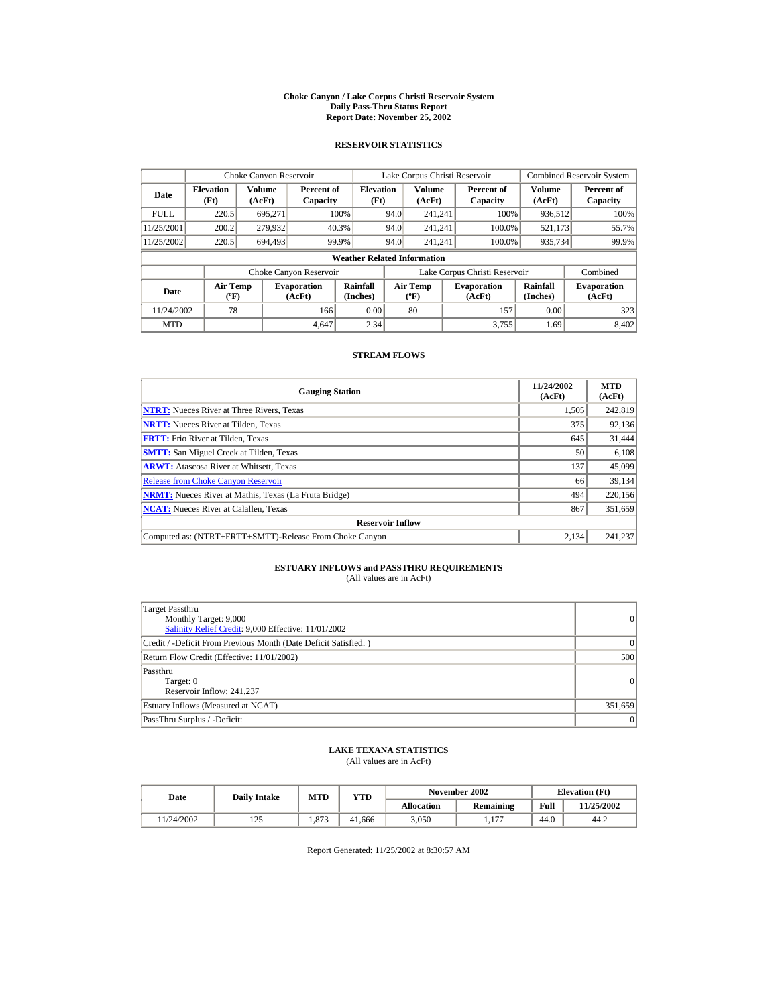#### **Choke Canyon / Lake Corpus Christi Reservoir System Daily Pass-Thru Status Report Report Date: November 25, 2002**

### **RESERVOIR STATISTICS**

|             | Choke Canyon Reservoir                      |                  |                              |                          | Lake Corpus Christi Reservoir |                                          |  |                               |                      | <b>Combined Reservoir System</b> |  |  |
|-------------|---------------------------------------------|------------------|------------------------------|--------------------------|-------------------------------|------------------------------------------|--|-------------------------------|----------------------|----------------------------------|--|--|
| Date        | <b>Elevation</b><br>(Ft)                    | Volume<br>(AcFt) | Percent of<br>Capacity       | <b>Elevation</b><br>(Ft) |                               | <b>Volume</b><br>(AcFt)                  |  | Percent of<br>Capacity        | Volume<br>(AcFt)     | Percent of<br>Capacity           |  |  |
| <b>FULL</b> | 220.5                                       | 695.271          |                              | 100%                     | 94.0                          | 241.241                                  |  | 100%                          | 936,512              | 100%                             |  |  |
| 11/25/2001  | 200.2                                       | 279,932          |                              | 40.3%                    | 94.0                          | 241.241                                  |  | 100.0%                        | 521,173              | 55.7%                            |  |  |
| 11/25/2002  | 220.5                                       | 694.493          |                              | 99.9%                    | 94.0                          | 241.241                                  |  | 100.0%                        | 935,734              | 99.9%                            |  |  |
|             | <b>Weather Related Information</b>          |                  |                              |                          |                               |                                          |  |                               |                      |                                  |  |  |
|             |                                             |                  | Choke Canyon Reservoir       |                          |                               |                                          |  | Lake Corpus Christi Reservoir |                      | Combined                         |  |  |
| Date        | <b>Air Temp</b><br>$({}^{\circ}\mathrm{F})$ |                  | <b>Evaporation</b><br>(AcFt) | Rainfall<br>(Inches)     |                               | <b>Air Temp</b><br>$({}^{\circ}{\rm F})$ |  | <b>Evaporation</b><br>(AcFt)  | Rainfall<br>(Inches) | <b>Evaporation</b><br>(AcFt)     |  |  |
| 11/24/2002  | 78                                          |                  | 166                          | 0.00                     |                               | 80                                       |  | 157                           | 0.00                 | 323                              |  |  |
| <b>MTD</b>  |                                             |                  | 4.647                        | 2.34                     |                               |                                          |  | 3.755                         | 1.69                 | 8.402                            |  |  |

#### **STREAM FLOWS**

| <b>Gauging Station</b>                                       | 11/24/2002<br>(AcFt) | <b>MTD</b><br>(AcFt) |
|--------------------------------------------------------------|----------------------|----------------------|
| <b>NTRT:</b> Nueces River at Three Rivers, Texas             | 1,505                | 242,819              |
| <b>NRTT:</b> Nueces River at Tilden, Texas                   | 375                  | 92,136               |
| <b>FRTT:</b> Frio River at Tilden, Texas                     | 645                  | 31,444               |
| <b>SMTT:</b> San Miguel Creek at Tilden, Texas               | 50                   | 6,108                |
| <b>ARWT:</b> Atascosa River at Whitsett, Texas               | 137                  | 45,099               |
| <b>Release from Choke Canyon Reservoir</b>                   | 66                   | 39.134               |
| <b>NRMT:</b> Nueces River at Mathis, Texas (La Fruta Bridge) | 494                  | 220,156              |
| <b>NCAT:</b> Nueces River at Calallen, Texas                 | 867                  | 351,659              |
| <b>Reservoir Inflow</b>                                      |                      |                      |
| Computed as: (NTRT+FRTT+SMTT)-Release From Choke Canyon      | 2.134                | 241.237              |

## **ESTUARY INFLOWS and PASSTHRU REQUIREMENTS**<br>(All values are in AcFt)

| Target Passthru<br>Monthly Target: 9,000<br>Salinity Relief Credit: 9,000 Effective: 11/01/2002 | $\overline{0}$ |
|-------------------------------------------------------------------------------------------------|----------------|
| Credit / -Deficit From Previous Month (Date Deficit Satisfied:)                                 | $\Omega$       |
| Return Flow Credit (Effective: 11/01/2002)                                                      | 500            |
| Passthru<br>Target: 0<br>Reservoir Inflow: 241.237                                              | $\overline{0}$ |
| Estuary Inflows (Measured at NCAT)                                                              | 351,659        |
| PassThru Surplus / -Deficit:                                                                    | 0              |

## **LAKE TEXANA STATISTICS**

(All values are in AcFt)

| Date      | <b>Daily Intake</b> | <b>MTD</b> | YTD    |                   | November 2002       | <b>Elevation</b> (Ft) |            |
|-----------|---------------------|------------|--------|-------------------|---------------------|-----------------------|------------|
|           |                     |            |        | <b>Allocation</b> | Remaining           | Full                  | 11/25/2002 |
| 1/24/2002 | 125<br>ل کے 1       | 1.873      | 41.666 | 3.050             | 177<br><b>1.1</b> / | 44.0                  | 44.2       |

Report Generated: 11/25/2002 at 8:30:57 AM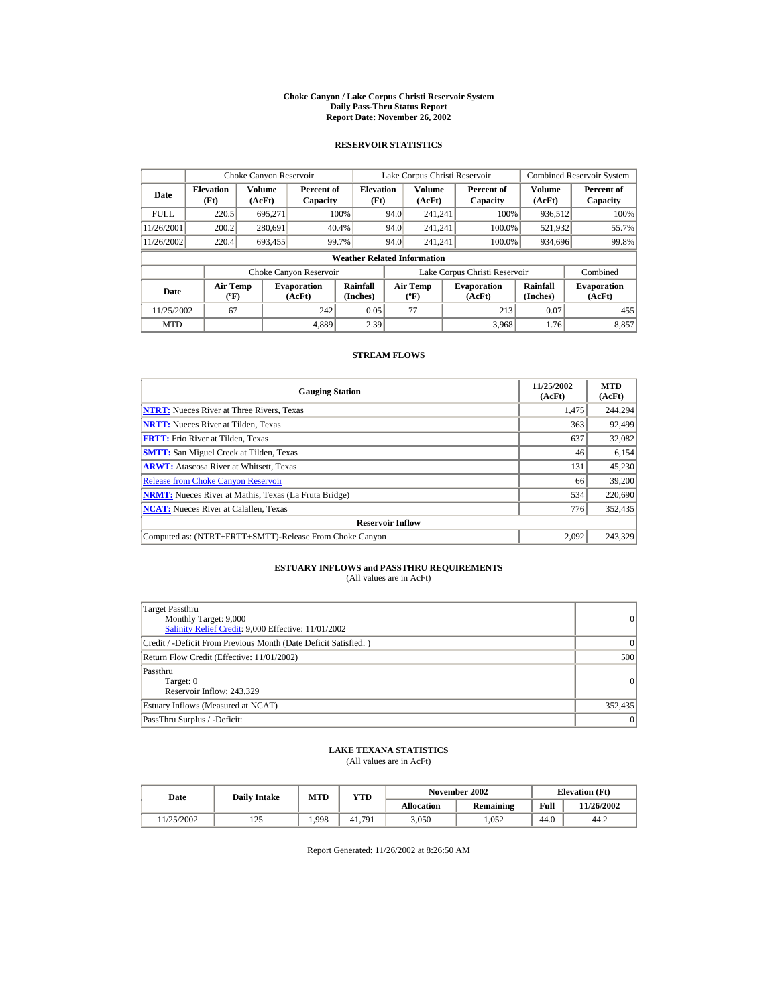#### **Choke Canyon / Lake Corpus Christi Reservoir System Daily Pass-Thru Status Report Report Date: November 26, 2002**

### **RESERVOIR STATISTICS**

|             | Choke Canyon Reservoir                      |                  |                              |                          | Lake Corpus Christi Reservoir |                                             |  |                               |                      | <b>Combined Reservoir System</b> |  |  |
|-------------|---------------------------------------------|------------------|------------------------------|--------------------------|-------------------------------|---------------------------------------------|--|-------------------------------|----------------------|----------------------------------|--|--|
| Date        | <b>Elevation</b><br>(Ft)                    | Volume<br>(AcFt) | Percent of<br>Capacity       | <b>Elevation</b><br>(Ft) |                               | Volume<br>(AcFt)                            |  | Percent of<br>Capacity        | Volume<br>(AcFt)     | Percent of<br>Capacity           |  |  |
| <b>FULL</b> | 220.5                                       | 695.271          |                              | 100%                     | 94.0                          | 241.241                                     |  | 100%                          | 936,512              | 100%                             |  |  |
| 11/26/2001  | 200.2                                       | 280,691          |                              | 40.4%                    | 94.0                          | 241.241                                     |  | 100.0%                        | 521,932              | 55.7%                            |  |  |
| 11/26/2002  | 220.4                                       | 693.455          |                              | 99.7%                    | 94.0                          | 241.241                                     |  | 100.0%                        | 934,696              | 99.8%                            |  |  |
|             | <b>Weather Related Information</b>          |                  |                              |                          |                               |                                             |  |                               |                      |                                  |  |  |
|             |                                             |                  | Choke Canyon Reservoir       |                          |                               |                                             |  | Lake Corpus Christi Reservoir |                      | Combined                         |  |  |
| Date        | <b>Air Temp</b><br>$({}^{\circ}\mathrm{F})$ |                  | <b>Evaporation</b><br>(AcFt) | Rainfall<br>(Inches)     |                               | <b>Air Temp</b><br>$({}^{\circ}\mathbf{F})$ |  | <b>Evaporation</b><br>(AcFt)  | Rainfall<br>(Inches) | <b>Evaporation</b><br>(AcFt)     |  |  |
| 11/25/2002  | 67                                          |                  | 242                          | 0.05                     |                               | 77                                          |  | 213                           | 0.07                 | 455                              |  |  |
| <b>MTD</b>  |                                             |                  | 4.889                        | 2.39                     |                               |                                             |  | 3.968                         | 1.76                 | 8.857                            |  |  |

#### **STREAM FLOWS**

| <b>Gauging Station</b>                                       | 11/25/2002<br>(AcFt) | <b>MTD</b><br>(AcFt) |
|--------------------------------------------------------------|----------------------|----------------------|
| <b>NTRT:</b> Nueces River at Three Rivers, Texas             | 1,475                | 244,294              |
| <b>NRTT:</b> Nueces River at Tilden, Texas                   | 363                  | 92,499               |
| <b>FRTT:</b> Frio River at Tilden, Texas                     | 637                  | 32,082               |
| <b>SMTT:</b> San Miguel Creek at Tilden, Texas               | 46                   | 6,154                |
| <b>ARWT:</b> Atascosa River at Whitsett, Texas               | 131                  | 45,230               |
| <b>Release from Choke Canyon Reservoir</b>                   | 66                   | 39,200               |
| <b>NRMT:</b> Nueces River at Mathis, Texas (La Fruta Bridge) | 534                  | 220,690              |
| <b>NCAT:</b> Nueces River at Calallen, Texas                 | 776                  | 352,435              |
| <b>Reservoir Inflow</b>                                      |                      |                      |
| Computed as: (NTRT+FRTT+SMTT)-Release From Choke Canyon      | 2.092                | 243.329              |

# **ESTUARY INFLOWS and PASSTHRU REQUIREMENTS**<br>(All values are in AcFt)

| Target Passthru<br>Monthly Target: 9,000<br>Salinity Relief Credit: 9,000 Effective: 11/01/2002 | $\overline{0}$ |
|-------------------------------------------------------------------------------------------------|----------------|
| Credit / -Deficit From Previous Month (Date Deficit Satisfied: )                                | ( )            |
| Return Flow Credit (Effective: 11/01/2002)                                                      | 500            |
| Passthru<br>Target: 0<br>Reservoir Inflow: 243,329                                              | $\overline{0}$ |
| Estuary Inflows (Measured at NCAT)                                                              | 352,435        |
| PassThru Surplus / -Deficit:                                                                    | $\overline{0}$ |

## **LAKE TEXANA STATISTICS**

(All values are in AcFt)

| Date      | <b>Daily Intake</b> | MTD   | YTD    |                   | November 2002 | <b>Elevation</b> (Ft) |            |
|-----------|---------------------|-------|--------|-------------------|---------------|-----------------------|------------|
|           |                     |       |        | <b>Allocation</b> | Remaining     | Full                  | 11/26/2002 |
| 1/25/2002 | $\gamma$<br>رے 1    | 1.998 | 41,791 | 3,050             | .052          | 44.0                  | 44.2       |

Report Generated: 11/26/2002 at 8:26:50 AM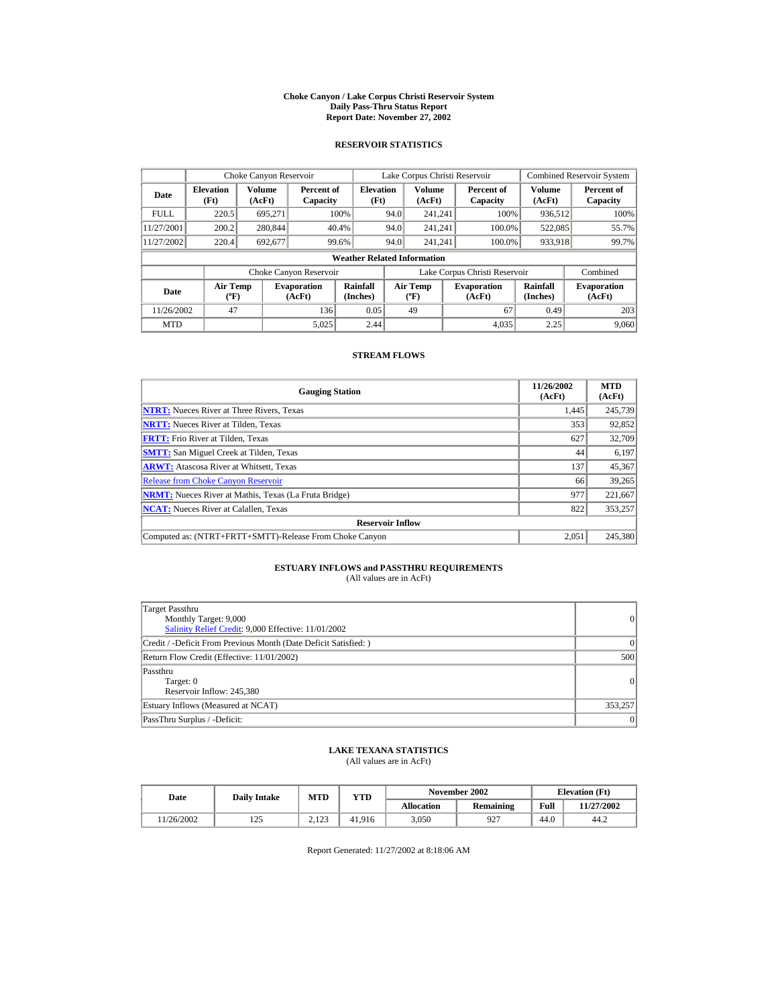#### **Choke Canyon / Lake Corpus Christi Reservoir System Daily Pass-Thru Status Report Report Date: November 27, 2002**

### **RESERVOIR STATISTICS**

|             | Choke Canyon Reservoir                      |                         |                              |                          | Lake Corpus Christi Reservoir |                                         |                               |        |                      | <b>Combined Reservoir System</b> |  |  |
|-------------|---------------------------------------------|-------------------------|------------------------------|--------------------------|-------------------------------|-----------------------------------------|-------------------------------|--------|----------------------|----------------------------------|--|--|
| Date        | <b>Elevation</b><br>(Ft)                    | <b>Volume</b><br>(AcFt) | Percent of<br>Capacity       | <b>Elevation</b><br>(Ft) |                               | <b>Volume</b><br>(AcFt)                 | Percent of<br>Capacity        |        | Volume<br>(AcFt)     | Percent of<br>Capacity           |  |  |
| <b>FULL</b> | 220.5                                       | 695.271                 |                              | 100%                     | 94.0                          | 241.241                                 |                               | 100%   | 936,512              | 100%                             |  |  |
| 11/27/2001  | 200.2                                       | 280,844                 |                              | 40.4%                    | 94.0                          | 241.241                                 |                               | 100.0% | 522,085              | 55.7%                            |  |  |
| 11/27/2002  | 220.4                                       | 692,677                 |                              | 99.6%                    | 94.0                          | 241.241                                 |                               | 100.0% | 933,918              | 99.7%                            |  |  |
|             | <b>Weather Related Information</b>          |                         |                              |                          |                               |                                         |                               |        |                      |                                  |  |  |
|             |                                             |                         | Choke Canyon Reservoir       |                          |                               |                                         | Lake Corpus Christi Reservoir |        |                      | Combined                         |  |  |
| Date        | <b>Air Temp</b><br>$({}^{\circ}\mathrm{F})$ |                         | <b>Evaporation</b><br>(AcFt) | Rainfall<br>(Inches)     |                               | <b>Air Temp</b><br>$(^{\circ}\text{F})$ | <b>Evaporation</b><br>(AcFt)  |        | Rainfall<br>(Inches) | <b>Evaporation</b><br>(AcFt)     |  |  |
| 11/26/2002  | 47                                          |                         | 136                          | 0.05                     |                               | 49                                      |                               | 67     | 0.49                 | 203                              |  |  |
| <b>MTD</b>  |                                             |                         | 5,025                        | 2.44                     |                               |                                         |                               | 4.035  | 2.25                 | 9.060                            |  |  |

#### **STREAM FLOWS**

| <b>Gauging Station</b>                                       | 11/26/2002<br>(AcFt) | <b>MTD</b><br>(AcFt) |
|--------------------------------------------------------------|----------------------|----------------------|
| <b>NTRT:</b> Nueces River at Three Rivers, Texas             | 1,445                | 245,739              |
| <b>NRTT:</b> Nueces River at Tilden, Texas                   | 353                  | 92,852               |
| <b>FRTT:</b> Frio River at Tilden, Texas                     | 627                  | 32,709               |
| <b>SMTT:</b> San Miguel Creek at Tilden, Texas               | 44                   | 6,197                |
| <b>ARWT:</b> Atascosa River at Whitsett, Texas               | 137                  | 45,367               |
| <b>Release from Choke Canyon Reservoir</b>                   | 66                   | 39,265               |
| <b>NRMT:</b> Nueces River at Mathis, Texas (La Fruta Bridge) | 977                  | 221,667              |
| <b>NCAT:</b> Nueces River at Calallen, Texas                 | 822                  | 353,257              |
| <b>Reservoir Inflow</b>                                      |                      |                      |
| Computed as: (NTRT+FRTT+SMTT)-Release From Choke Canyon      | 2.051                | 245,380              |

## **ESTUARY INFLOWS and PASSTHRU REQUIREMENTS**<br>(All values are in AcFt)

| Target Passthru<br>Monthly Target: 9,000<br>Salinity Relief Credit: 9,000 Effective: 11/01/2002 | $\overline{0}$ |
|-------------------------------------------------------------------------------------------------|----------------|
| Credit / -Deficit From Previous Month (Date Deficit Satisfied:)                                 | $\Omega$       |
| Return Flow Credit (Effective: 11/01/2002)                                                      | 500            |
| Passthru<br>Target: 0<br>Reservoir Inflow: 245,380                                              | $\Omega$       |
| Estuary Inflows (Measured at NCAT)                                                              | 353,257        |
| PassThru Surplus / -Deficit:                                                                    | 0              |

### **LAKE TEXANA STATISTICS**

(All values are in AcFt)

| Date      | <b>Daily Intake</b> | MTD               | $_{\rm VTD}$ |            | November 2002 | <b>Elevation</b> (Ft) |            |
|-----------|---------------------|-------------------|--------------|------------|---------------|-----------------------|------------|
|           |                     |                   |              | Allocation | Remaining     | Full                  | 11/27/2002 |
| 1/26/2002 | رے 1                | 122<br>ل که ۱۰ سا | 41.916       | 3.050      | 927           | 44.0                  | 44.2       |

Report Generated: 11/27/2002 at 8:18:06 AM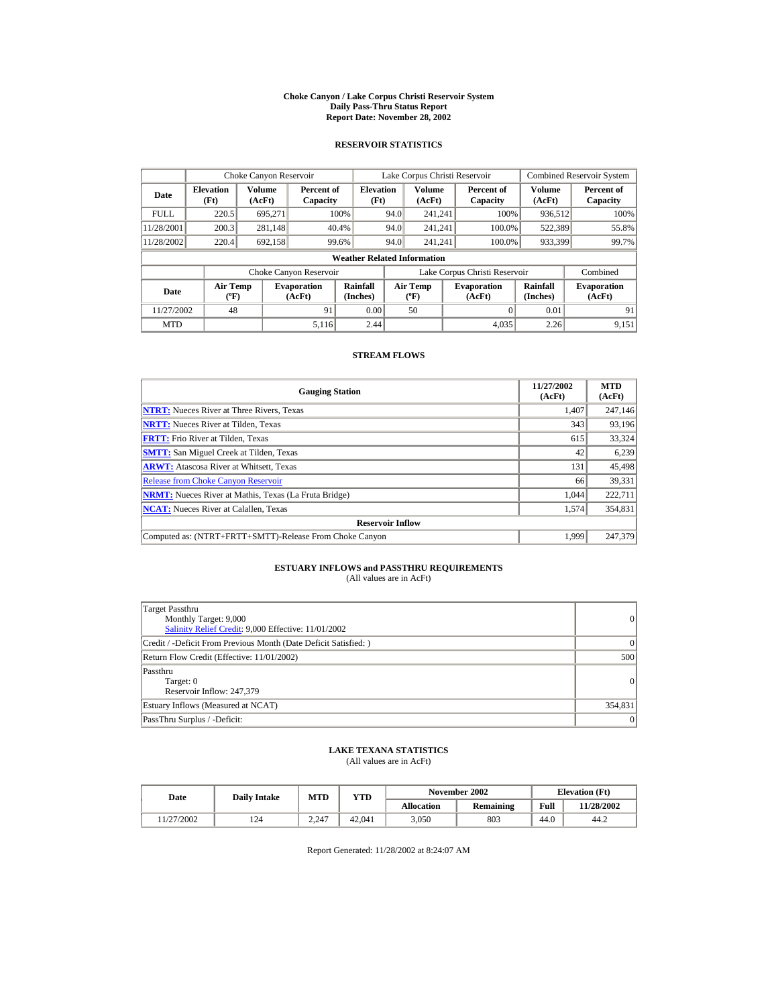#### **Choke Canyon / Lake Corpus Christi Reservoir System Daily Pass-Thru Status Report Report Date: November 28, 2002**

### **RESERVOIR STATISTICS**

|             | Choke Canyon Reservoir                      |                         |                              |                          | Lake Corpus Christi Reservoir |                                          |  |                               | <b>Combined Reservoir System</b> |                              |  |  |
|-------------|---------------------------------------------|-------------------------|------------------------------|--------------------------|-------------------------------|------------------------------------------|--|-------------------------------|----------------------------------|------------------------------|--|--|
| Date        | <b>Elevation</b><br>(Ft)                    | <b>Volume</b><br>(AcFt) | Percent of<br>Capacity       | <b>Elevation</b><br>(Ft) |                               | <b>Volume</b><br>(AcFt)                  |  | Percent of<br>Capacity        | Volume<br>(AcFt)                 | Percent of<br>Capacity       |  |  |
| <b>FULL</b> | 220.5                                       | 695.271                 |                              | 100%                     | 94.0                          | 241.241                                  |  | 100%                          | 936,512                          | 100%                         |  |  |
| 11/28/2001  | 200.3                                       | 281,148                 |                              | 40.4%                    | 94.0                          | 241.241                                  |  | 100.0%                        | 522,389                          | 55.8%                        |  |  |
| 11/28/2002  | 220.4                                       | 692,158                 |                              | 99.6%                    | 94.0                          | 241.241                                  |  | 100.0%                        | 933,399                          | 99.7%                        |  |  |
|             | <b>Weather Related Information</b>          |                         |                              |                          |                               |                                          |  |                               |                                  |                              |  |  |
|             |                                             |                         | Choke Canyon Reservoir       |                          |                               |                                          |  | Lake Corpus Christi Reservoir |                                  | Combined                     |  |  |
| <b>Date</b> | <b>Air Temp</b><br>$({}^{\circ}\mathrm{F})$ |                         | <b>Evaporation</b><br>(AcFt) | Rainfall<br>(Inches)     |                               | <b>Air Temp</b><br>$({}^{\circ}{\rm F})$ |  | <b>Evaporation</b><br>(AcFt)  | Rainfall<br>(Inches)             | <b>Evaporation</b><br>(AcFt) |  |  |
| 11/27/2002  | 48                                          |                         | 91                           | 0.00                     |                               | 50                                       |  |                               | 0.01                             | 91                           |  |  |
| <b>MTD</b>  |                                             |                         | 5.116                        | 2.44                     |                               |                                          |  | 4.035                         | 2.26                             | 9.151                        |  |  |

#### **STREAM FLOWS**

| <b>Gauging Station</b>                                       | 11/27/2002<br>(AcFt) | <b>MTD</b><br>(AcFt) |
|--------------------------------------------------------------|----------------------|----------------------|
| <b>NTRT:</b> Nueces River at Three Rivers, Texas             | 1,407                | 247,146              |
| <b>NRTT:</b> Nueces River at Tilden, Texas                   | 343                  | 93,196               |
| <b>FRTT:</b> Frio River at Tilden, Texas                     | 615                  | 33,324               |
| <b>SMTT:</b> San Miguel Creek at Tilden, Texas               | 42                   | 6,239                |
| <b>ARWT:</b> Atascosa River at Whitsett, Texas               | 131                  | 45,498               |
| <b>Release from Choke Canyon Reservoir</b>                   | 66                   | 39,331               |
| <b>NRMT:</b> Nueces River at Mathis, Texas (La Fruta Bridge) | 1.044                | 222.711              |
| <b>NCAT:</b> Nueces River at Calallen, Texas                 | 1,574                | 354,831              |
| <b>Reservoir Inflow</b>                                      |                      |                      |
| Computed as: (NTRT+FRTT+SMTT)-Release From Choke Canyon      | 1.999                | 247,379              |

# **ESTUARY INFLOWS and PASSTHRU REQUIREMENTS**<br>(All values are in AcFt)

| Target Passthru<br>Monthly Target: 9,000<br>Salinity Relief Credit: 9,000 Effective: 11/01/2002 | 0               |
|-------------------------------------------------------------------------------------------------|-----------------|
| Credit / -Deficit From Previous Month (Date Deficit Satisfied:)                                 | $\Omega$        |
| Return Flow Credit (Effective: 11/01/2002)                                                      | 500             |
| Passthru<br>Target: 0<br>Reservoir Inflow: 247,379                                              | $\vert$ 0       |
| Estuary Inflows (Measured at NCAT)                                                              | 354,831         |
| PassThru Surplus / -Deficit:                                                                    | $\vert 0 \vert$ |

## **LAKE TEXANA STATISTICS**

(All values are in AcFt)

| Date      | <b>Daily Intake</b> | MTD   | YTD    |                   | November 2002 | <b>Elevation</b> (Ft) |            |
|-----------|---------------------|-------|--------|-------------------|---------------|-----------------------|------------|
|           |                     |       |        | <b>Allocation</b> | Remaining     | Full                  | 11/28/2002 |
| 1/27/2002 | 124                 | 2.247 | 42,041 | 3,050             | 803           | 44.0                  | 44.2       |

Report Generated: 11/28/2002 at 8:24:07 AM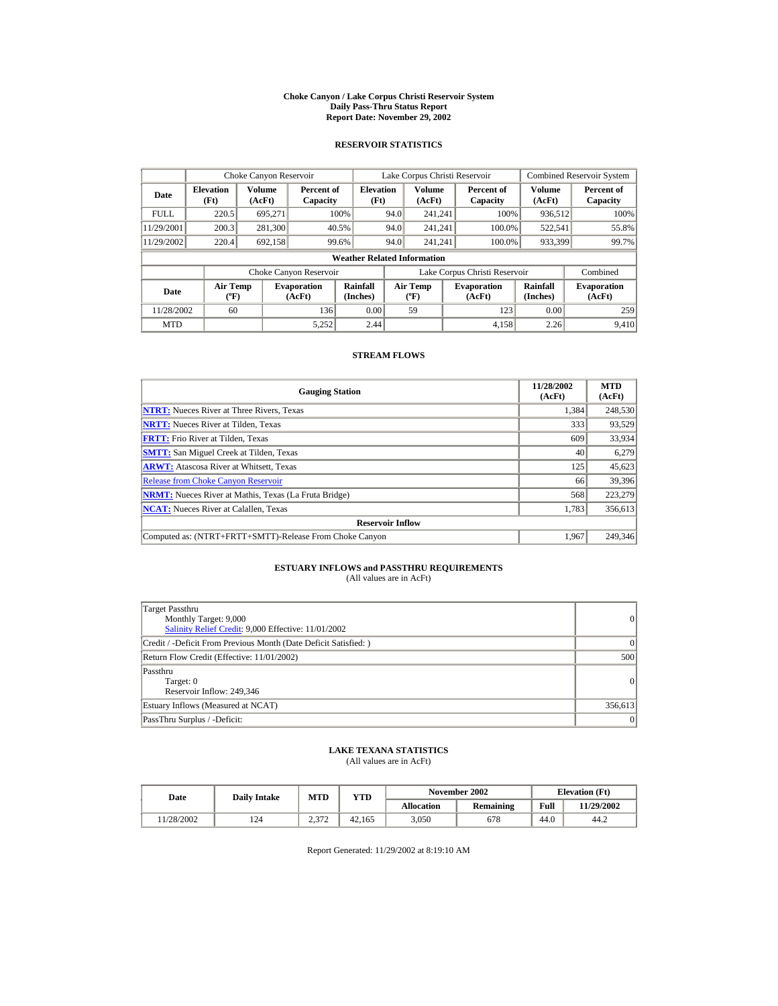#### **Choke Canyon / Lake Corpus Christi Reservoir System Daily Pass-Thru Status Report Report Date: November 29, 2002**

### **RESERVOIR STATISTICS**

|             | Choke Canyon Reservoir                      |                         |                              |                          | Lake Corpus Christi Reservoir |                                         |  |                               |                      | <b>Combined Reservoir System</b> |  |  |
|-------------|---------------------------------------------|-------------------------|------------------------------|--------------------------|-------------------------------|-----------------------------------------|--|-------------------------------|----------------------|----------------------------------|--|--|
| Date        | <b>Elevation</b><br>(Ft)                    | <b>Volume</b><br>(AcFt) | Percent of<br>Capacity       | <b>Elevation</b><br>(Ft) |                               | <b>Volume</b><br>(AcFt)                 |  | Percent of<br>Capacity        | Volume<br>(AcFt)     | Percent of<br>Capacity           |  |  |
| <b>FULL</b> | 220.5                                       | 695.271                 |                              | 100%                     | 94.0                          | 241.241                                 |  | 100%                          | 936,512              | 100%                             |  |  |
| 11/29/2001  | 200.3                                       | 281,300                 |                              | 40.5%                    | 94.0                          | 241.241                                 |  | 100.0%                        | 522,541              | 55.8%                            |  |  |
| 11/29/2002  | 220.4                                       | 692,158                 |                              | 99.6%                    | 94.0                          | 241.241                                 |  | 100.0%                        | 933,399              | 99.7%                            |  |  |
|             | <b>Weather Related Information</b>          |                         |                              |                          |                               |                                         |  |                               |                      |                                  |  |  |
|             |                                             |                         | Choke Canyon Reservoir       |                          |                               |                                         |  | Lake Corpus Christi Reservoir |                      | Combined                         |  |  |
| Date        | <b>Air Temp</b><br>$({}^{\circ}\mathrm{F})$ |                         | <b>Evaporation</b><br>(AcFt) | Rainfall<br>(Inches)     |                               | <b>Air Temp</b><br>$(^{\circ}\text{F})$ |  | <b>Evaporation</b><br>(AcFt)  | Rainfall<br>(Inches) | <b>Evaporation</b><br>(AcFt)     |  |  |
| 11/28/2002  | 60                                          |                         | 136                          | 0.00                     |                               | 59                                      |  | 123                           | 0.00                 | 259                              |  |  |
| <b>MTD</b>  |                                             |                         | 5.252                        | 2.44                     |                               |                                         |  | 4.158                         | 2.26                 | 9.410                            |  |  |

#### **STREAM FLOWS**

| <b>Gauging Station</b>                                       | 11/28/2002<br>(AcFt) | <b>MTD</b><br>(AcFt) |
|--------------------------------------------------------------|----------------------|----------------------|
| <b>NTRT:</b> Nueces River at Three Rivers, Texas             | 1,384                | 248,530              |
| <b>NRTT:</b> Nueces River at Tilden, Texas                   | 333                  | 93,529               |
| <b>FRTT:</b> Frio River at Tilden, Texas                     | 609                  | 33,934               |
| <b>SMTT:</b> San Miguel Creek at Tilden, Texas               | 40                   | 6,279                |
| <b>ARWT:</b> Atascosa River at Whitsett, Texas               | 125                  | 45,623               |
| <b>Release from Choke Canyon Reservoir</b>                   | 66                   | 39,396               |
| <b>NRMT:</b> Nueces River at Mathis, Texas (La Fruta Bridge) | 568                  | 223,279              |
| <b>NCAT:</b> Nueces River at Calallen, Texas                 | 1,783                | 356,613              |
| <b>Reservoir Inflow</b>                                      |                      |                      |
| Computed as: (NTRT+FRTT+SMTT)-Release From Choke Canyon      | 1.967                | 249,346              |

# **ESTUARY INFLOWS and PASSTHRU REQUIREMENTS**<br>(All values are in AcFt)

| Target Passthru<br>Monthly Target: 9,000<br>Salinity Relief Credit: 9,000 Effective: 11/01/2002 | $\overline{0}$ |
|-------------------------------------------------------------------------------------------------|----------------|
| Credit / -Deficit From Previous Month (Date Deficit Satisfied: )                                | ( )            |
| Return Flow Credit (Effective: 11/01/2002)                                                      | 500            |
| Passthru<br>Target: 0<br>Reservoir Inflow: 249,346                                              | $\overline{0}$ |
| Estuary Inflows (Measured at NCAT)                                                              | 356,613        |
| PassThru Surplus / -Deficit:                                                                    | 0              |

## **LAKE TEXANA STATISTICS**

(All values are in AcFt)

| Date      | <b>Daily Intake</b> | <b>MTD</b>     | YTD    |                   | November 2002 | <b>Elevation</b> (Ft) |            |
|-----------|---------------------|----------------|--------|-------------------|---------------|-----------------------|------------|
|           |                     |                |        | <b>Allocation</b> | Remaining     | Full                  | 11/29/2002 |
| 1/28/2002 | 124                 | n 270<br>ے ردے | 42.165 | 3.050             | 678           | 44.0                  | 44.2       |

Report Generated: 11/29/2002 at 8:19:10 AM